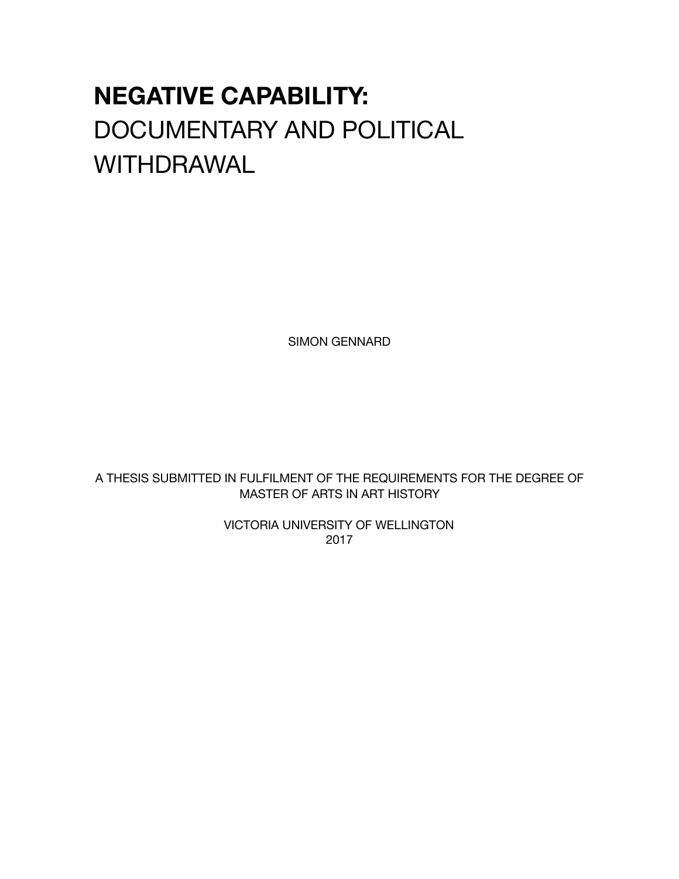# **NEGATIVE CAPABILITY:** DOCUMENTARY AND POLITICAL WITHDRAWAL

SIMON GENNARD

A THESIS SUBMITTED IN FULFILMENT OF THE REQUIREMENTS FOR THE DEGREE OF MASTER OF ARTS IN ART HISTORY

> VICTORIA UNIVERSITY OF WELLINGTON 2017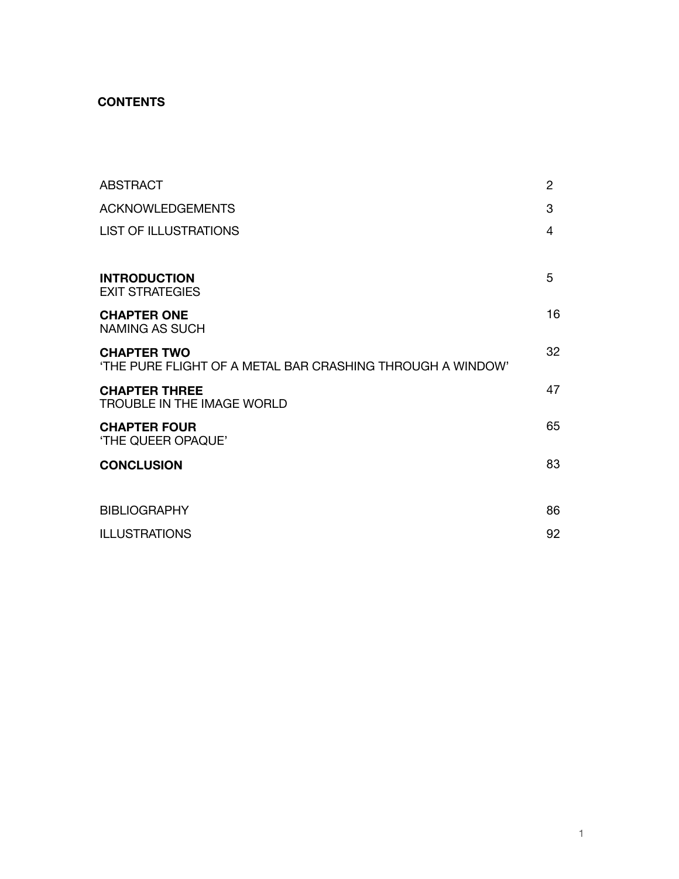# **CONTENTS**

| ABSTRACT                                                                         | $\overline{2}$ |
|----------------------------------------------------------------------------------|----------------|
| <b>ACKNOWLEDGEMENTS</b>                                                          | 3              |
| <b>LIST OF ILLUSTRATIONS</b>                                                     | 4              |
|                                                                                  |                |
| <b>INTRODUCTION</b><br><b>EXIT STRATEGIES</b>                                    | 5              |
| <b>CHAPTER ONE</b><br><b>NAMING AS SUCH</b>                                      | 16             |
| <b>CHAPTER TWO</b><br>'THE PURE FLIGHT OF A METAL BAR CRASHING THROUGH A WINDOW' | 32             |
| <b>CHAPTER THREE</b><br>TROUBLE IN THE IMAGE WORLD                               | 47             |
| <b>CHAPTER FOUR</b><br>'THE QUEER OPAQUE'                                        | 65             |
| <b>CONCLUSION</b>                                                                | 83             |
|                                                                                  |                |
| <b>BIBLIOGRAPHY</b>                                                              | 86             |
| <b>ILLUSTRATIONS</b>                                                             | 92             |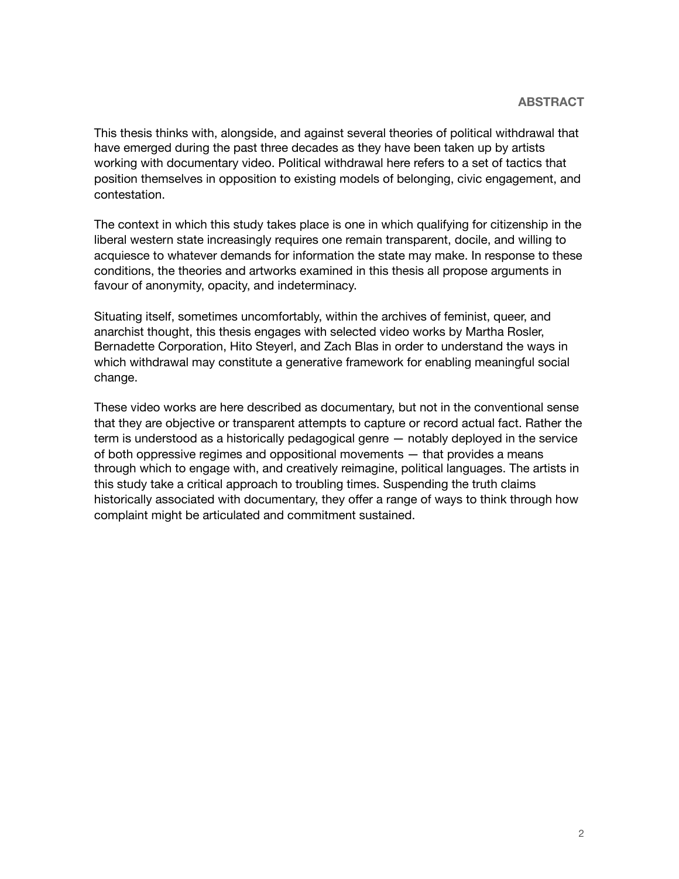This thesis thinks with, alongside, and against several theories of political withdrawal that have emerged during the past three decades as they have been taken up by artists working with documentary video. Political withdrawal here refers to a set of tactics that position themselves in opposition to existing models of belonging, civic engagement, and contestation.

The context in which this study takes place is one in which qualifying for citizenship in the liberal western state increasingly requires one remain transparent, docile, and willing to acquiesce to whatever demands for information the state may make. In response to these conditions, the theories and artworks examined in this thesis all propose arguments in favour of anonymity, opacity, and indeterminacy.

Situating itself, sometimes uncomfortably, within the archives of feminist, queer, and anarchist thought, this thesis engages with selected video works by Martha Rosler, Bernadette Corporation, Hito Steyerl, and Zach Blas in order to understand the ways in which withdrawal may constitute a generative framework for enabling meaningful social change.

These video works are here described as documentary, but not in the conventional sense that they are objective or transparent attempts to capture or record actual fact. Rather the term is understood as a historically pedagogical genre — notably deployed in the service of both oppressive regimes and oppositional movements — that provides a means through which to engage with, and creatively reimagine, political languages. The artists in this study take a critical approach to troubling times. Suspending the truth claims historically associated with documentary, they offer a range of ways to think through how complaint might be articulated and commitment sustained.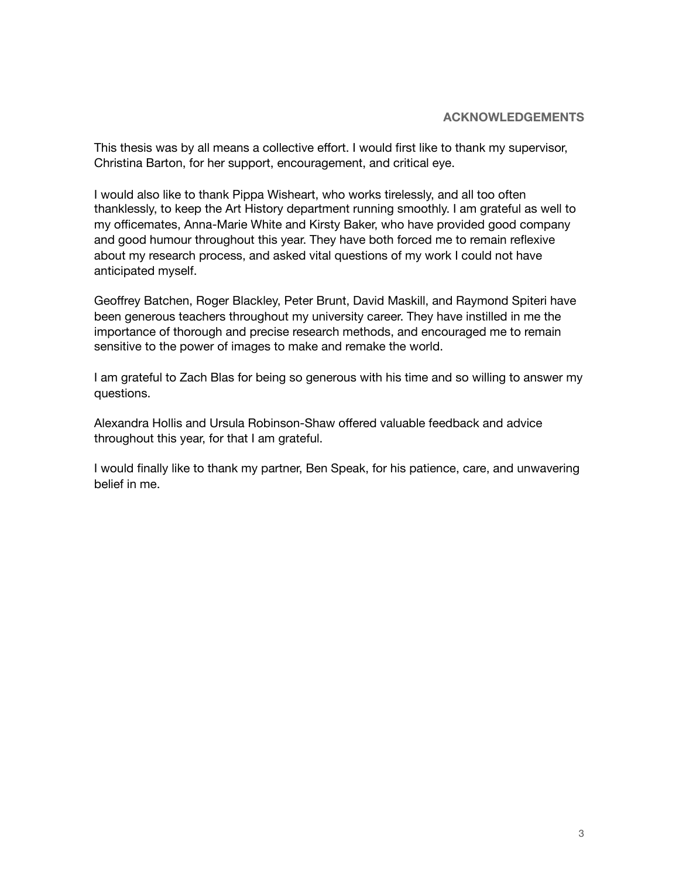This thesis was by all means a collective effort. I would first like to thank my supervisor, Christina Barton, for her support, encouragement, and critical eye.

I would also like to thank Pippa Wisheart, who works tirelessly, and all too often thanklessly, to keep the Art History department running smoothly. I am grateful as well to my officemates, Anna-Marie White and Kirsty Baker, who have provided good company and good humour throughout this year. They have both forced me to remain reflexive about my research process, and asked vital questions of my work I could not have anticipated myself.

Geoffrey Batchen, Roger Blackley, Peter Brunt, David Maskill, and Raymond Spiteri have been generous teachers throughout my university career. They have instilled in me the importance of thorough and precise research methods, and encouraged me to remain sensitive to the power of images to make and remake the world.

I am grateful to Zach Blas for being so generous with his time and so willing to answer my questions.

Alexandra Hollis and Ursula Robinson-Shaw offered valuable feedback and advice throughout this year, for that I am grateful.

I would finally like to thank my partner, Ben Speak, for his patience, care, and unwavering belief in me.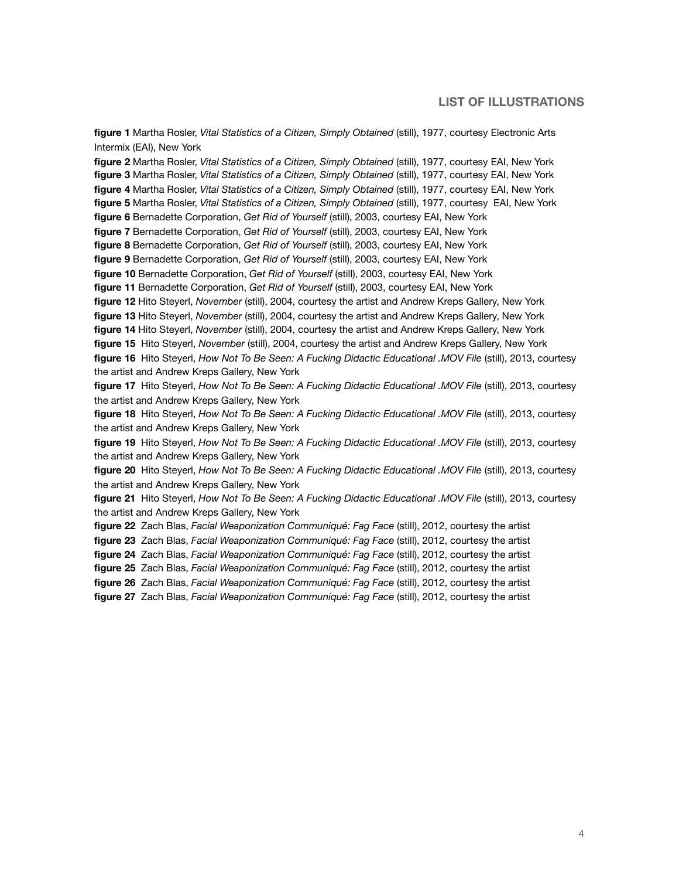#### **LIST OF ILLUSTRATIONS**

**figure 1** Martha Rosler, *Vital Statistics of a Citizen, Simply Obtained* (still), 1977, courtesy Electronic Arts Intermix (EAI), New York

**figure 2** Martha Rosler, *Vital Statistics of a Citizen, Simply Obtained* (still), 1977, courtesy EAI, New York **figure 3** Martha Rosler, *Vital Statistics of a Citizen, Simply Obtained* (still), 1977, courtesy EAI, New York **figure 4** Martha Rosler, *Vital Statistics of a Citizen, Simply Obtained* (still), 1977, courtesy EAI, New York **figure 5** Martha Rosler, *Vital Statistics of a Citizen, Simply Obtained* (still), 1977, courtesy EAI, New York **figure 6** Bernadette Corporation, *Get Rid of Yourself* (still), 2003, courtesy EAI, New York **figure 7** Bernadette Corporation, *Get Rid of Yourself* (still), 2003, courtesy EAI, New York **figure 8** Bernadette Corporation, *Get Rid of Yourself* (still), 2003, courtesy EAI, New York **figure 9** Bernadette Corporation, *Get Rid of Yourself* (still), 2003, courtesy EAI, New York **figure 10** Bernadette Corporation, *Get Rid of Yourself* (still), 2003, courtesy EAI, New York **figure 11** Bernadette Corporation, *Get Rid of Yourself* (still), 2003, courtesy EAI, New York **figure 12** Hito Steyerl, *November* (still), 2004, courtesy the artist and Andrew Kreps Gallery, New York **figure 13** Hito Steyerl, *November* (still), 2004, courtesy the artist and Andrew Kreps Gallery, New York **figure 14** Hito Steyerl, *November* (still), 2004, courtesy the artist and Andrew Kreps Gallery, New York **figure 15** Hito Steyerl, *November* (still), 2004, courtesy the artist and Andrew Kreps Gallery, New York **figure 16** Hito Steyerl, *How Not To Be Seen: A Fucking Didactic Educational .MOV File* (still), 2013, courtesy the artist and Andrew Kreps Gallery, New York **figure 17** Hito Steyerl, *How Not To Be Seen: A Fucking Didactic Educational .MOV File* (still), 2013, courtesy the artist and Andrew Kreps Gallery, New York **figure 18** Hito Steyerl, *How Not To Be Seen: A Fucking Didactic Educational .MOV File* (still), 2013, courtesy the artist and Andrew Kreps Gallery, New York **figure 19** Hito Steyerl, *How Not To Be Seen: A Fucking Didactic Educational .MOV File* (still), 2013, courtesy the artist and Andrew Kreps Gallery, New York **figure 20** Hito Steyerl, *How Not To Be Seen: A Fucking Didactic Educational .MOV File* (still), 2013, courtesy the artist and Andrew Kreps Gallery, New York

**figure 21** Hito Steyerl, *How Not To Be Seen: A Fucking Didactic Educational .MOV File* (still), 2013, courtesy the artist and Andrew Kreps Gallery, New York

**figure 22** Zach Blas, *Facial Weaponization Communiqué: Fag Face* (still), 2012, courtesy the artist

**figure 23** Zach Blas, *Facial Weaponization Communiqué: Fag Face* (still), 2012, courtesy the artist

**figure 24** Zach Blas, *Facial Weaponization Communiqué: Fag Face* (still), 2012, courtesy the artist

**figure 25** Zach Blas, *Facial Weaponization Communiqué: Fag Face* (still), 2012, courtesy the artist

**figure 26** Zach Blas, *Facial Weaponization Communiqué: Fag Face* (still), 2012, courtesy the artist

**figure 27** Zach Blas, *Facial Weaponization Communiqué: Fag Face* (still), 2012, courtesy the artist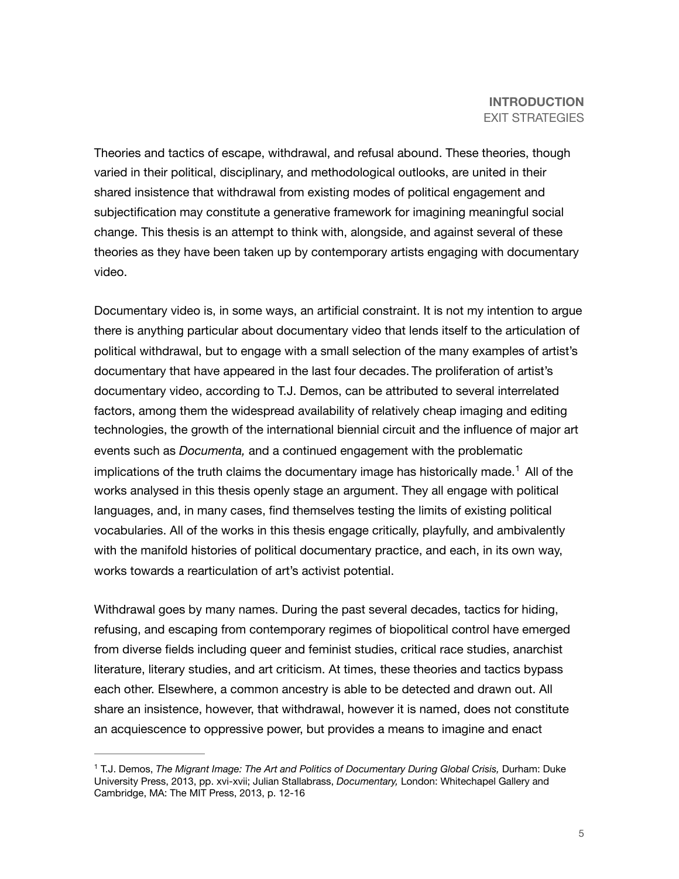## <span id="page-5-1"></span>**INTRODUCTION** EXIT STRATEGIES

Theories and tactics of escape, withdrawal, and refusal abound. These theories, though varied in their political, disciplinary, and methodological outlooks, are united in their shared insistence that withdrawal from existing modes of political engagement and subjectification may constitute a generative framework for imagining meaningful social change. This thesis is an attempt to think with, alongside, and against several of these theories as they have been taken up by contemporary artists engaging with documentary video.

Documentary video is, in some ways, an artificial constraint. It is not my intention to argue there is anything particular about documentary video that lends itself to the articulation of political withdrawal, but to engage with a small selection of the many examples of artist's documentary that have appeared in the last four decades. The proliferation of artist's documentary video, according to T.J. Demos, can be attributed to several interrelated factors, among them the widespread availability of relatively cheap imaging and editing technologies, the growth of the international biennial circuit and the influence of major art events such as *Documenta,* and a continued engagement with the problematic implications of the truth claims the documentary image has historically made.<sup>[1](#page-5-0)</sup> All of the works analysed in this thesis openly stage an argument. They all engage with political languages, and, in many cases, find themselves testing the limits of existing political vocabularies. All of the works in this thesis engage critically, playfully, and ambivalently with the manifold histories of political documentary practice, and each, in its own way, works towards a rearticulation of art's activist potential.

Withdrawal goes by many names. During the past several decades, tactics for hiding, refusing, and escaping from contemporary regimes of biopolitical control have emerged from diverse fields including queer and feminist studies, critical race studies, anarchist literature, literary studies, and art criticism. At times, these theories and tactics bypass each other. Elsewhere, a common ancestry is able to be detected and drawn out. All share an insistence, however, that withdrawal, however it is named, does not constitute an acquiescence to oppressive power, but provides a means to imagine and enact

<span id="page-5-0"></span><sup>&</sup>lt;sup>[1](#page-5-1)</sup> T.J. Demos, *The Migrant Image: The Art and Politics of Documentary During Global Crisis, Durham: Duke* University Press, 2013, pp. xvi-xvii; Julian Stallabrass, *Documentary,* London: Whitechapel Gallery and Cambridge, MA: The MIT Press, 2013, p. 12-16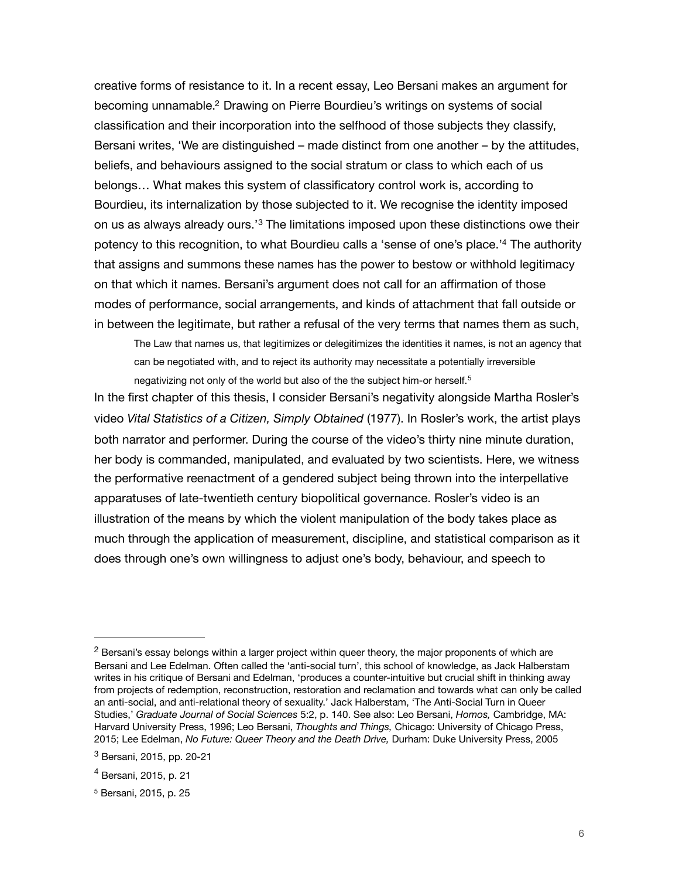<span id="page-6-4"></span>creative forms of resistance to it. In a recent essay, Leo Bersani makes an argument for becoming unnamable.<sup>[2](#page-6-0)</sup> Drawing on Pierre Bourdieu's writings on systems of social classification and their incorporation into the selfhood of those subjects they classify, Bersani writes, 'We are distinguished – made distinct from one another – by the attitudes, beliefs, and behaviours assigned to the social stratum or class to which each of us belongs… What makes this system of classificatory control work is, according to Bourdieu, its internalization by those subjected to it. We recognise the identity imposed onus as always already ours.<sup>[3](#page-6-1)</sup> The limitations imposed upon these distinctions owe their potency to this recognition, to what Bourdieu calls a ['](#page-6-2)sense of one's place.<sup>1[4](#page-6-2)</sup> The authority that assigns and summons these names has the power to bestow or withhold legitimacy on that which it names. Bersani's argument does not call for an affirmation of those modes of performance, social arrangements, and kinds of attachment that fall outside or in between the legitimate, but rather a refusal of the very terms that names them as such,

<span id="page-6-7"></span><span id="page-6-6"></span><span id="page-6-5"></span>The Law that names us, that legitimizes or delegitimizes the identities it names, is not an agency that can be negotiated with, and to reject its authority may necessitate a potentially irreversible negativizing not only of the world but also of the the subject him-or herself.<sup>[5](#page-6-3)</sup>

In the first chapter of this thesis, I consider Bersani's negativity alongside Martha Rosler's video *Vital Statistics of a Citizen, Simply Obtained* (1977). In Rosler's work, the artist plays both narrator and performer. During the course of the video's thirty nine minute duration, her body is commanded, manipulated, and evaluated by two scientists. Here, we witness the performative reenactment of a gendered subject being thrown into the interpellative apparatuses of late-twentieth century biopolitical governance. Rosler's video is an illustration of the means by which the violent manipulation of the body takes place as much through the application of measurement, discipline, and statistical comparison as it does through one's own willingness to adjust one's body, behaviour, and speech to

<span id="page-6-0"></span> $2$  Bersani's essay belongs within a larger project within queer theory, the major proponents of which are Bersani and Lee Edelman. Often called the 'anti-social turn', this school of knowledge, as Jack Halberstam writes in his critique of Bersani and Edelman, 'produces a counter-intuitive but crucial shift in thinking away from projects of redemption, reconstruction, restoration and reclamation and towards what can only be called an anti-social, and anti-relational theory of sexuality.' Jack Halberstam, 'The Anti-Social Turn in Queer Studies,' *Graduate Journal of Social Sciences* 5:2, p. 140. See also: Leo Bersani, *Homos,* Cambridge, MA: Harvard University Press, 1996; Leo Bersani, *Thoughts and Things,* Chicago: University of Chicago Press, 2015; Lee Edelman, *No Future: Queer Theory and the Death Drive,* Durham: Duke University Press, 2005

<span id="page-6-1"></span><sup>&</sup>lt;sup>[3](#page-6-5)</sup> Bersani, 2015, pp. 20-21

<span id="page-6-2"></span> $4$  Bersani, 2015, p. 21

<span id="page-6-3"></span><sup>&</sup>lt;sup>[5](#page-6-7)</sup> Bersani, 2015, p. 25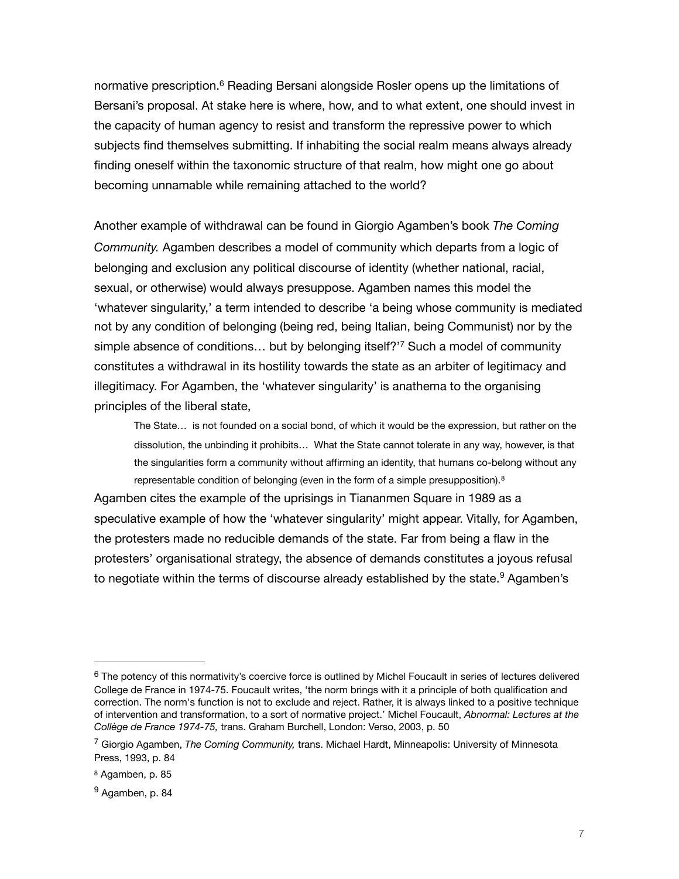<span id="page-7-4"></span>normative prescription[.](#page-7-0)<sup>[6](#page-7-0)</sup> Reading Bersani alongside Rosler opens up the limitations of Bersani's proposal. At stake here is where, how, and to what extent, one should invest in the capacity of human agency to resist and transform the repressive power to which subjects find themselves submitting. If inhabiting the social realm means always already finding oneself within the taxonomic structure of that realm, how might one go about becoming unnamable while remaining attached to the world?

Another example of withdrawal can be found in Giorgio Agamben's book *The Coming Community.* Agamben describes a model of community which departs from a logic of belonging and exclusion any political discourse of identity (whether national, racial, sexual, or otherwise) would always presuppose. Agamben names this model the 'whatever singularity,' a term intended to describe 'a being whose community is mediated not by any condition of belonging (being red, being Italian, being Communist) nor by the simpleabsence of conditions... but by belonging itself?<sup>[7](#page-7-1)7</sup> Such a model of community constitutes a withdrawal in its hostility towards the state as an arbiter of legitimacy and illegitimacy. For Agamben, the 'whatever singularity' is anathema to the organising principles of the liberal state,

<span id="page-7-7"></span><span id="page-7-6"></span><span id="page-7-5"></span>The State… is not founded on a social bond, of which it would be the expression, but rather on the dissolution, the unbinding it prohibits… What the State cannot tolerate in any way, however, is that the singularities form a community without affirming an identity, that humans co-belong without any representable condition of belonging (even in the form of a simple presupposition).<sup>[8](#page-7-2)</sup>

Agamben cites the example of the uprisings in Tiananmen Square in 1989 as a speculative example of how the 'whatever singularity' might appear. Vitally, for Agamben, the protesters made no reducible demands of the state. Far from being a flaw in the protesters' organisational strategy, the absence of demands constitutes a joyous refusal tonegotiate within the terms of discourse already established by the state.<sup>[9](#page-7-3)</sup> Agamben's

<span id="page-7-0"></span> $6$  The potency of this normativity's coercive force is outlined by Michel Foucault in series of lectures delivered College de France in 1974-75. Foucault writes, 'the norm brings with it a principle of both qualification and correction. The norm's function is not to exclude and reject. Rather, it is always linked to a positive technique of intervention and transformation, to a sort of normative project.' Michel Foucault, *Abnormal: Lectures at the Collège de France 1974-75,* trans. Graham Burchell, London: Verso, 2003, p. 50

<span id="page-7-1"></span>Giorgio Agamben, *The Coming Community,* trans. Michael Hardt, Minneapolis: University of Minnesota [7](#page-7-5) Press, 1993, p. 84

<span id="page-7-2"></span>[<sup>8</sup>](#page-7-6) Agamben, p. 85

<span id="page-7-3"></span> $9$  Agamben, p. 84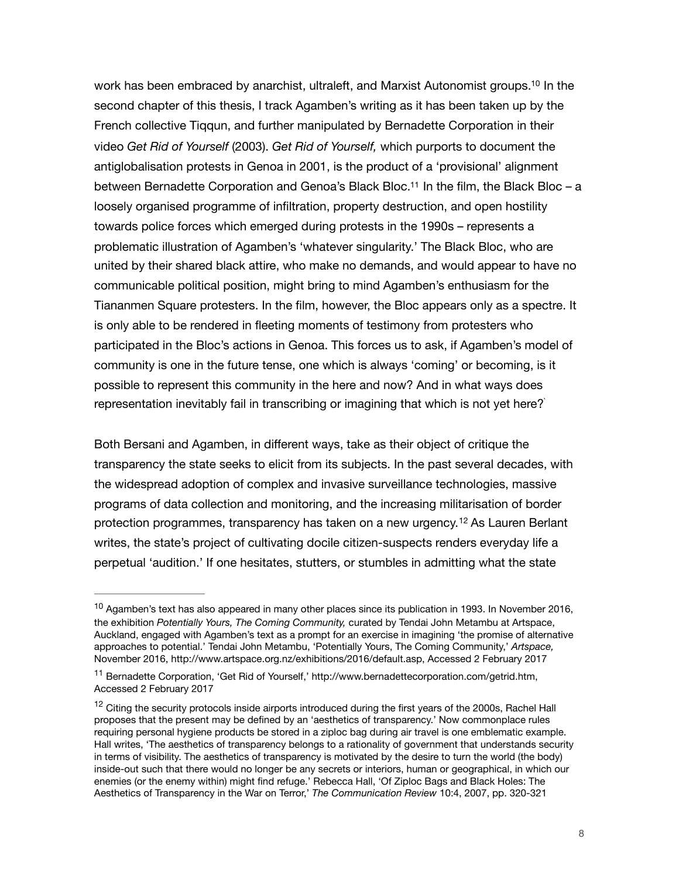<span id="page-8-4"></span><span id="page-8-3"></span>work has been embraced by anarchist, ultraleft, and Marxist Autonomist groups[.](#page-8-0)<sup>[10](#page-8-0)</sup> In the second chapter of this thesis, I track Agamben's writing as it has been taken up by the French collective Tiqqun, and further manipulated by Bernadette Corporation in their video *Get Rid of Yourself* (2003). *Get Rid of Yourself,* which purports to document the antiglobalisation protests in Genoa in 2001, is the product of a 'provisional' alignment between Bernadette Corporation and Genoa's Black Bloc.<sup>[11](#page-8-1)</sup> In the film, the Black Bloc – a loosely organised programme of infiltration, property destruction, and open hostility towards police forces which emerged during protests in the 1990s – represents a problematic illustration of Agamben's 'whatever singularity.' The Black Bloc, who are united by their shared black attire, who make no demands, and would appear to have no communicable political position, might bring to mind Agamben's enthusiasm for the Tiananmen Square protesters. In the film, however, the Bloc appears only as a spectre. It is only able to be rendered in fleeting moments of testimony from protesters who participated in the Bloc's actions in Genoa. This forces us to ask, if Agamben's model of community is one in the future tense, one which is always 'coming' or becoming, is it possible to represent this community in the here and now? And in what ways does representation inevitably fail in transcribing or imagining that which is not yet here?`

Both Bersani and Agamben, in different ways, take as their object of critique the transparency the state seeks to elicit from its subjects. In the past several decades, with the widespread adoption of complex and invasive surveillance technologies, massive programs of data collection and monitoring, and the increasing militarisation of border protectionprogrammes, transparency has taken on a new urgency.<sup>[12](#page-8-2)</sup> As Lauren Berlant writes, the state's project of cultivating docile citizen-suspects renders everyday life a perpetual 'audition.' If one hesitates, stutters, or stumbles in admitting what the state

<span id="page-8-5"></span><span id="page-8-0"></span> $10$  Agamben's text has also appeared in many other places since its publication in 1993. In November 2016, the exhibition *Potentially Yours, The Coming Community,* curated by Tendai John Metambu at Artspace, Auckland, engaged with Agamben's text as a prompt for an exercise in imagining 'the promise of alternative approaches to potential.' Tendai John Metambu, 'Potentially Yours, The Coming Community,' *Artspace,*  November 2016, http://www.artspace.org.nz/exhibitions/2016/default.asp, Accessed 2 February 2017

<span id="page-8-1"></span><sup>&</sup>lt;sup>[11](#page-8-4)</sup> Bernadette Corporation, 'Get Rid of Yourself,' http://www.bernadettecorporation.com/getrid.htm, Accessed 2 February 2017

<span id="page-8-2"></span> $12$  Citing the security protocols inside airports introduced during the first years of the 2000s, Rachel Hall proposes that the present may be defined by an 'aesthetics of transparency.' Now commonplace rules requiring personal hygiene products be stored in a ziploc bag during air travel is one emblematic example. Hall writes, 'The aesthetics of transparency belongs to a rationality of government that understands security in terms of visibility. The aesthetics of transparency is motivated by the desire to turn the world (the body) inside-out such that there would no longer be any secrets or interiors, human or geographical, in which our enemies (or the enemy within) might find refuge.' Rebecca Hall, 'Of Ziploc Bags and Black Holes: The Aesthetics of Transparency in the War on Terror,' *The Communication Review* 10:4, 2007, pp. 320-321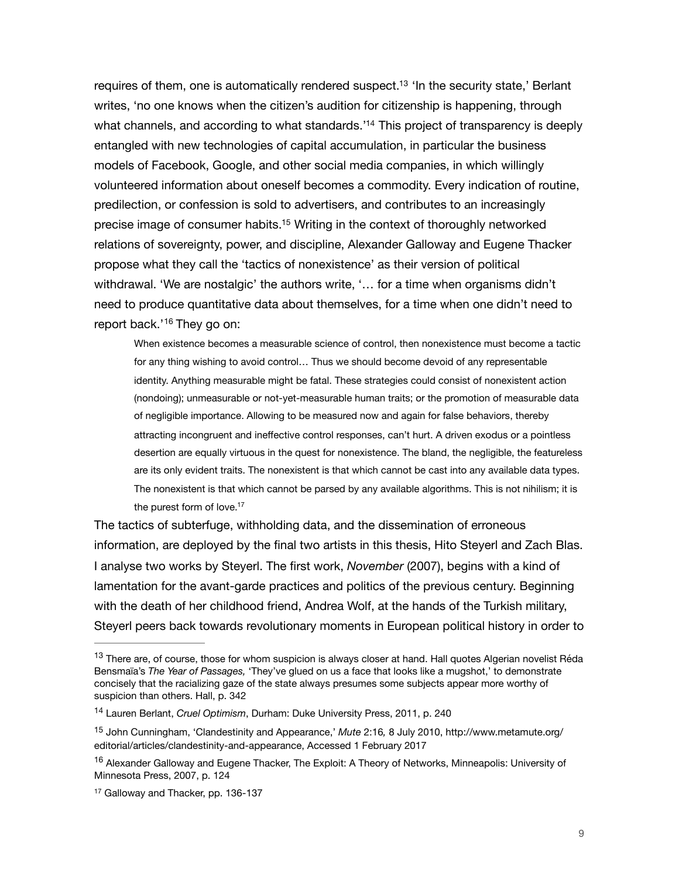<span id="page-9-6"></span><span id="page-9-5"></span>requires of them, one is automatically rendered suspect.<sup>[13](#page-9-0)</sup> 'In the security state,' Berlant writes, 'no one knows when the citizen's audition for citizenship is happening, through what channels, and according to what standards.<sup>['](#page-9-1)[14](#page-9-1)</sup> This project of transparency is deeply entangled with new technologies of capital accumulation, in particular the business models of Facebook, Google, and other social media companies, in which willingly volunteered information about oneself becomes a commodity. Every indication of routine, predilection, or confession is sold to advertisers, and contributes to an increasingly precise image of consumer habits[.](#page-9-2)<sup>[15](#page-9-2)</sup> Writing in the context of thoroughly networked relations of sovereignty, power, and discipline, Alexander Galloway and Eugene Thacker propose what they call the 'tactics of nonexistence' as their version of political withdrawal. 'We are nostalgic' the authors write, '… for a time when organisms didn't need to produce quantitative data about themselves, for a time when one didn't need to reportback.<sup>'16</sup> They go on:

<span id="page-9-8"></span><span id="page-9-7"></span>When existence becomes a measurable science of control, then nonexistence must become a tactic for any thing wishing to avoid control… Thus we should become devoid of any representable identity. Anything measurable might be fatal. These strategies could consist of nonexistent action (nondoing); unmeasurable or not-yet-measurable human traits; or the promotion of measurable data of negligible importance. Allowing to be measured now and again for false behaviors, thereby attracting incongruent and ineffective control responses, can't hurt. A driven exodus or a pointless desertion are equally virtuous in the quest for nonexistence. The bland, the negligible, the featureless are its only evident traits. The nonexistent is that which cannot be cast into any available data types. The nonexistent is that which cannot be parsed by any available algorithms. This is not nihilism; it is the purest form of love.<sup>17</sup>

<span id="page-9-9"></span>The tactics of subterfuge, withholding data, and the dissemination of erroneous information, are deployed by the final two artists in this thesis, Hito Steyerl and Zach Blas. I analyse two works by Steyerl. The first work, *November* (2007), begins with a kind of lamentation for the avant-garde practices and politics of the previous century. Beginning with the death of her childhood friend, Andrea Wolf, at the hands of the Turkish military, Steyerl peers back towards revolutionary moments in European political history in order to

<span id="page-9-0"></span><sup>&</sup>lt;sup>[13](#page-9-5)</sup> There are, of course, those for whom suspicion is always closer at hand. Hall quotes Algerian novelist Réda Bensmaïa's *The Year of Passages,* 'They've glued on us a face that looks like a mugshot,' to demonstrate concisely that the racializing gaze of the state always presumes some subjects appear more worthy of suspicion than others. Hall, p. 342

<span id="page-9-1"></span><sup>&</sup>lt;sup>[14](#page-9-6)</sup> Lauren Berlant, *Cruel Optimism*, Durham: Duke University Press, 2011, p. 240

<span id="page-9-2"></span><sup>&</sup>lt;sup>[15](#page-9-7)</sup> John Cunningham, 'Clandestinity and Appearance,' *Mute* 2:16, 8 July 2010, http://www.metamute.org/ editorial/articles/clandestinity-and-appearance, Accessed 1 February 2017

<span id="page-9-3"></span><sup>&</sup>lt;sup>[16](#page-9-8)</sup> Alexander Galloway and Eugene Thacker, The Exploit: A Theory of Networks, Minneapolis: University of Minnesota Press, 2007, p. 124

<span id="page-9-4"></span><sup>&</sup>lt;sup>[17](#page-9-9)</sup> Galloway and Thacker, pp. 136-137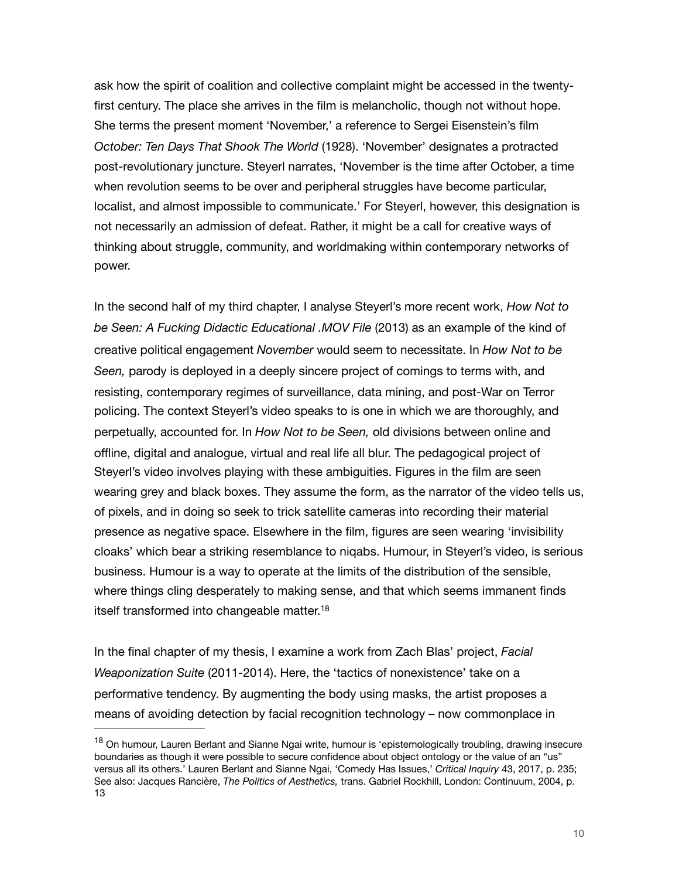ask how the spirit of coalition and collective complaint might be accessed in the twentyfirst century. The place she arrives in the film is melancholic, though not without hope. She terms the present moment 'November,' a reference to Sergei Eisenstein's film *October: Ten Days That Shook The World* (1928). 'November' designates a protracted post-revolutionary juncture. Steyerl narrates, 'November is the time after October, a time when revolution seems to be over and peripheral struggles have become particular, localist, and almost impossible to communicate.' For Steyerl, however, this designation is not necessarily an admission of defeat. Rather, it might be a call for creative ways of thinking about struggle, community, and worldmaking within contemporary networks of power.

In the second half of my third chapter, I analyse Steyerl's more recent work, *How Not to be Seen: A Fucking Didactic Educational .MOV File* (2013) as an example of the kind of creative political engagement *November* would seem to necessitate. In *How Not to be Seen,* parody is deployed in a deeply sincere project of comings to terms with, and resisting, contemporary regimes of surveillance, data mining, and post-War on Terror policing. The context Steyerl's video speaks to is one in which we are thoroughly, and perpetually, accounted for. In *How Not to be Seen,* old divisions between online and offline, digital and analogue, virtual and real life all blur. The pedagogical project of Steyerl's video involves playing with these ambiguities. Figures in the film are seen wearing grey and black boxes. They assume the form, as the narrator of the video tells us, of pixels, and in doing so seek to trick satellite cameras into recording their material presence as negative space. Elsewhere in the film, figures are seen wearing 'invisibility cloaks' which bear a striking resemblance to niqabs. Humour, in Steyerl's video, is serious business. Humour is a way to operate at the limits of the distribution of the sensible, where things cling desperately to making sense, and that which seems immanent finds itself transformed into changeable matter[.18](#page-10-0)

<span id="page-10-1"></span>In the final chapter of my thesis, I examine a work from Zach Blas' project, *Facial Weaponization Suite* (2011-2014). Here, the 'tactics of nonexistence' take on a performative tendency. By augmenting the body using masks, the artist proposes a means of avoiding detection by facial recognition technology – now commonplace in

<span id="page-10-0"></span><sup>&</sup>lt;sup>[18](#page-10-1)</sup> On humour, Lauren Berlant and Sianne Ngai write, humour is 'epistemologically troubling, drawing insecure boundaries as though it were possible to secure confidence about object ontology or the value of an "us" versus all its others.' Lauren Berlant and Sianne Ngai, 'Comedy Has Issues,' *Critical Inquiry* 43, 2017, p. 235; See also: Jacques Rancière, *The Politics of Aesthetics,* trans. Gabriel Rockhill, London: Continuum, 2004, p. 13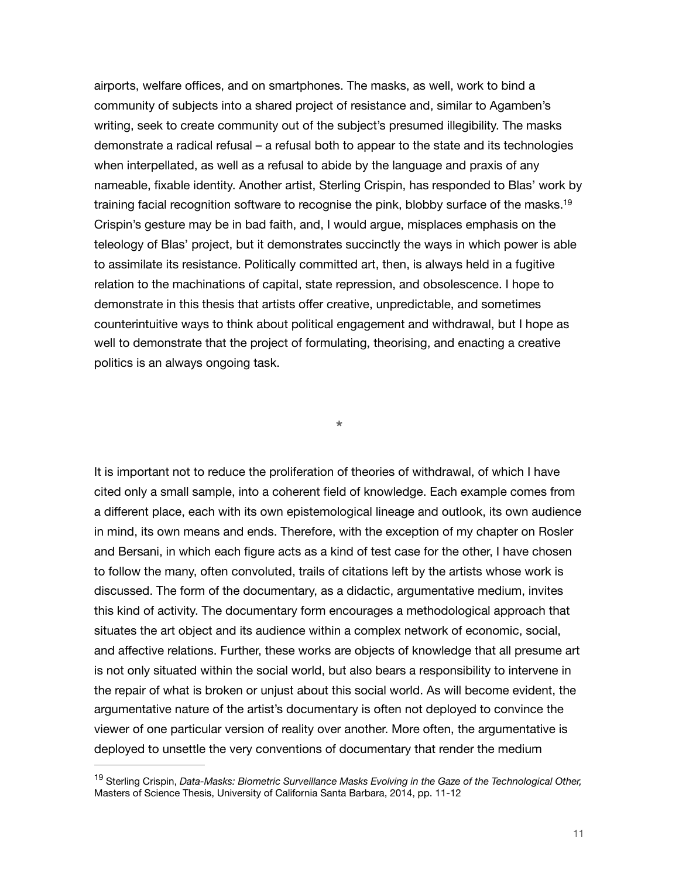airports, welfare offices, and on smartphones. The masks, as well, work to bind a community of subjects into a shared project of resistance and, similar to Agamben's writing, seek to create community out of the subject's presumed illegibility. The masks demonstrate a radical refusal – a refusal both to appear to the state and its technologies when interpellated, as well as a refusal to abide by the language and praxis of any nameable, fixable identity. Another artist, Sterling Crispin, has responded to Blas' work by training facial recognition software to recognise the pink, blobby surface of the masks[.19](#page-11-0) Crispin's gesture may be in bad faith, and, I would argue, misplaces emphasis on the teleology of Blas' project, but it demonstrates succinctly the ways in which power is able to assimilate its resistance. Politically committed art, then, is always held in a fugitive relation to the machinations of capital, state repression, and obsolescence. I hope to demonstrate in this thesis that artists offer creative, unpredictable, and sometimes counterintuitive ways to think about political engagement and withdrawal, but I hope as well to demonstrate that the project of formulating, theorising, and enacting a creative politics is an always ongoing task.

<span id="page-11-1"></span>**\***

It is important not to reduce the proliferation of theories of withdrawal, of which I have cited only a small sample, into a coherent field of knowledge. Each example comes from a different place, each with its own epistemological lineage and outlook, its own audience in mind, its own means and ends. Therefore, with the exception of my chapter on Rosler and Bersani, in which each figure acts as a kind of test case for the other, I have chosen to follow the many, often convoluted, trails of citations left by the artists whose work is discussed. The form of the documentary, as a didactic, argumentative medium, invites this kind of activity. The documentary form encourages a methodological approach that situates the art object and its audience within a complex network of economic, social, and affective relations. Further, these works are objects of knowledge that all presume art is not only situated within the social world, but also bears a responsibility to intervene in the repair of what is broken or unjust about this social world. As will become evident, the argumentative nature of the artist's documentary is often not deployed to convince the viewer of one particular version of reality over another. More often, the argumentative is deployed to unsettle the very conventions of documentary that render the medium

<span id="page-11-0"></span><sup>&</sup>lt;sup>[19](#page-11-1)</sup> Sterling Crispin, *Data-Masks: Biometric Surveillance Masks Evolving in the Gaze of the Technological Other,* Masters of Science Thesis, University of California Santa Barbara, 2014, pp. 11-12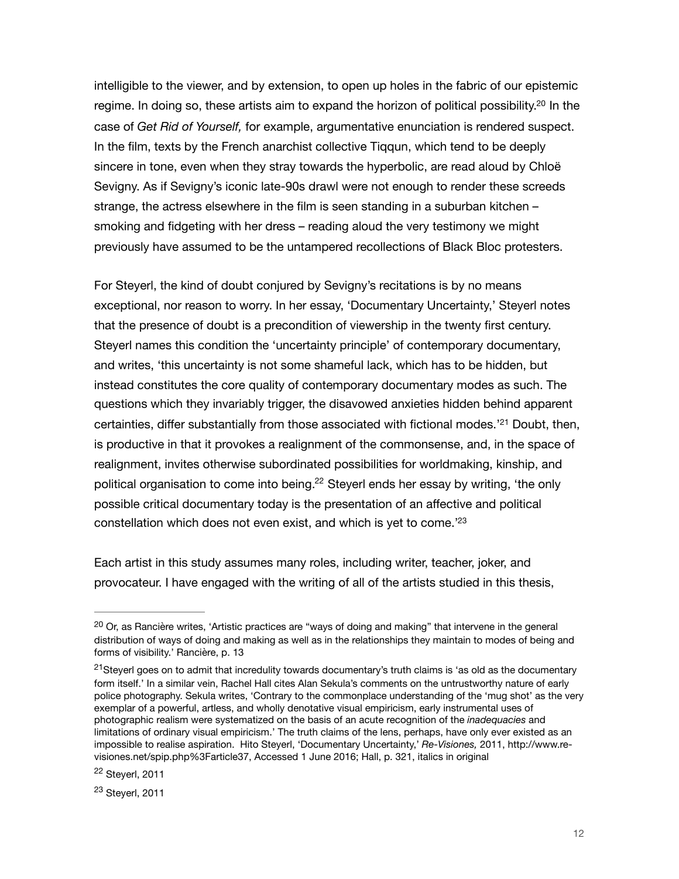<span id="page-12-4"></span>intelligible to the viewer, and by extension, to open up holes in the fabric of our epistemic regime[.](#page-12-0) In doing so, these artists aim to expand the horizon of political possibility.<sup>[20](#page-12-0)</sup> In the case of *Get Rid of Yourself,* for example, argumentative enunciation is rendered suspect. In the film, texts by the French anarchist collective Tiqqun, which tend to be deeply sincere in tone, even when they stray towards the hyperbolic, are read aloud by Chloë Sevigny. As if Sevigny's iconic late-90s drawl were not enough to render these screeds strange, the actress elsewhere in the film is seen standing in a suburban kitchen – smoking and fidgeting with her dress – reading aloud the very testimony we might previously have assumed to be the untampered recollections of Black Bloc protesters.

For Steyerl, the kind of doubt conjured by Sevigny's recitations is by no means exceptional, nor reason to worry. In her essay, 'Documentary Uncertainty,' Steyerl notes that the presence of doubt is a precondition of viewership in the twenty first century. Steyerl names this condition the 'uncertainty principle' of contemporary documentary, and writes, 'this uncertainty is not some shameful lack, which has to be hidden, but instead constitutes the core quality of contemporary documentary modes as such. The questions which they invariably trigger, the disavowed anxieties hidden behind apparent certainties, differ substantially from those associated with fictional modes.<sup>'[21](#page-12-1)</sup> Doubt, then, is productive in that it provokes a realignment of the commonsense, and, in the space of realignment, invites otherwise subordinated possibilities for worldmaking, kinship, and political organisation to come into being[.](#page-12-2)<sup>[22](#page-12-2)</sup> Steyerl ends her essay by writing, 'the only possible critical documentary today is the presentation of an affective and political constellation which does not even exist, and which is yet to come.<sup>['23](#page-12-3)</sup>

<span id="page-12-7"></span><span id="page-12-6"></span><span id="page-12-5"></span>Each artist in this study assumes many roles, including writer, teacher, joker, and provocateur. I have engaged with the writing of all of the artists studied in this thesis,

<span id="page-12-0"></span> $20$  Or, as Rancière writes, 'Artistic practices are "ways of doing and making" that intervene in the general distribution of ways of doing and making as well as in the relationships they maintain to modes of being and forms of visibility.' Rancière, p. 13

<span id="page-12-1"></span><sup>&</sup>lt;sup>[21](#page-12-5)</sup>Steyerl goes on to admit that incredulity towards documentary's truth claims is 'as old as the documentary form itself.' In a similar vein, Rachel Hall cites Alan Sekula's comments on the untrustworthy nature of early police photography. Sekula writes, 'Contrary to the commonplace understanding of the 'mug shot' as the very exemplar of a powerful, artless, and wholly denotative visual empiricism, early instrumental uses of photographic realism were systematized on the basis of an acute recognition of the *inadequacies* and limitations of ordinary visual empiricism.' The truth claims of the lens, perhaps, have only ever existed as an impossible to realise aspiration. Hito Steyerl, 'Documentary Uncertainty,' *Re-Visiones,* 2011, http://www.revisiones.net/spip.php%3Farticle37, Accessed 1 June 2016; Hall, p. 321, italics in original

<span id="page-12-2"></span> $22$  Steyerl, 2011

<span id="page-12-3"></span> $23$  Steyerl, 2011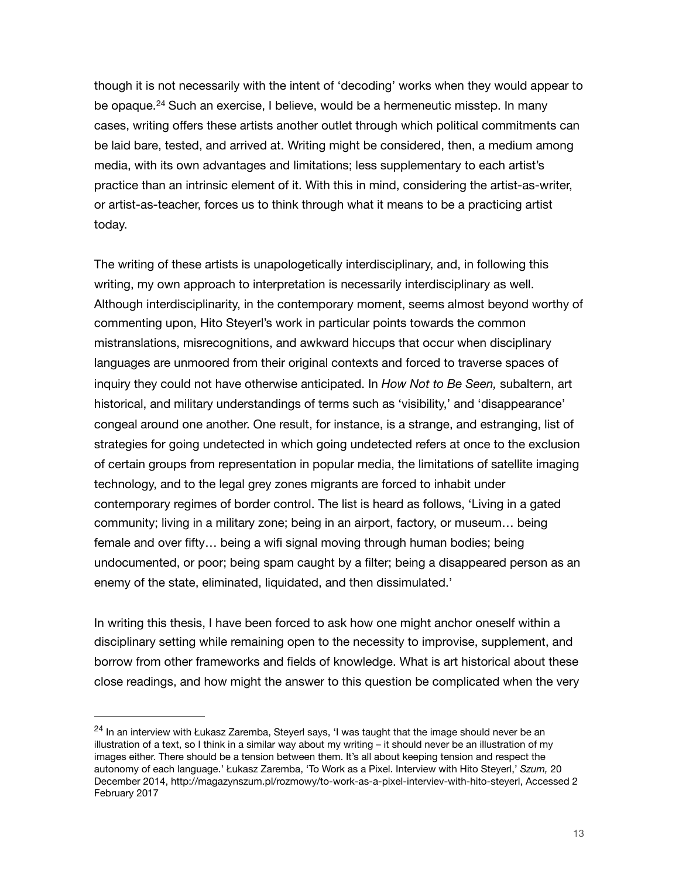<span id="page-13-1"></span>though it is not necessarily with the intent of 'decoding' works when they would appear to beopaque.<sup>[24](#page-13-0)</sup> Such an exercise, I believe, would be a hermeneutic misstep. In many cases, writing offers these artists another outlet through which political commitments can be laid bare, tested, and arrived at. Writing might be considered, then, a medium among media, with its own advantages and limitations; less supplementary to each artist's practice than an intrinsic element of it. With this in mind, considering the artist-as-writer, or artist-as-teacher, forces us to think through what it means to be a practicing artist today.

The writing of these artists is unapologetically interdisciplinary, and, in following this writing, my own approach to interpretation is necessarily interdisciplinary as well. Although interdisciplinarity, in the contemporary moment, seems almost beyond worthy of commenting upon, Hito Steyerl's work in particular points towards the common mistranslations, misrecognitions, and awkward hiccups that occur when disciplinary languages are unmoored from their original contexts and forced to traverse spaces of inquiry they could not have otherwise anticipated. In *How Not to Be Seen,* subaltern, art historical, and military understandings of terms such as 'visibility,' and 'disappearance' congeal around one another. One result, for instance, is a strange, and estranging, list of strategies for going undetected in which going undetected refers at once to the exclusion of certain groups from representation in popular media, the limitations of satellite imaging technology, and to the legal grey zones migrants are forced to inhabit under contemporary regimes of border control. The list is heard as follows, 'Living in a gated community; living in a military zone; being in an airport, factory, or museum… being female and over fifty… being a wifi signal moving through human bodies; being undocumented, or poor; being spam caught by a filter; being a disappeared person as an enemy of the state, eliminated, liquidated, and then dissimulated.'

In writing this thesis, I have been forced to ask how one might anchor oneself within a disciplinary setting while remaining open to the necessity to improvise, supplement, and borrow from other frameworks and fields of knowledge. What is art historical about these close readings, and how might the answer to this question be complicated when the very

<span id="page-13-0"></span> $124$  $124$  In an interview with Łukasz Zaremba, Steyerl says, 'I was taught that the image should never be an illustration of a text, so I think in a similar way about my writing – it should never be an illustration of my images either. There should be a tension between them. It's all about keeping tension and respect the autonomy of each language.' Łukasz Zaremba, 'To Work as a Pixel. Interview with Hito Steyerl,' *Szum,* 20 December 2014, http://magazynszum.pl/rozmowy/to-work-as-a-pixel-interviev-with-hito-steyerl, Accessed 2 February 2017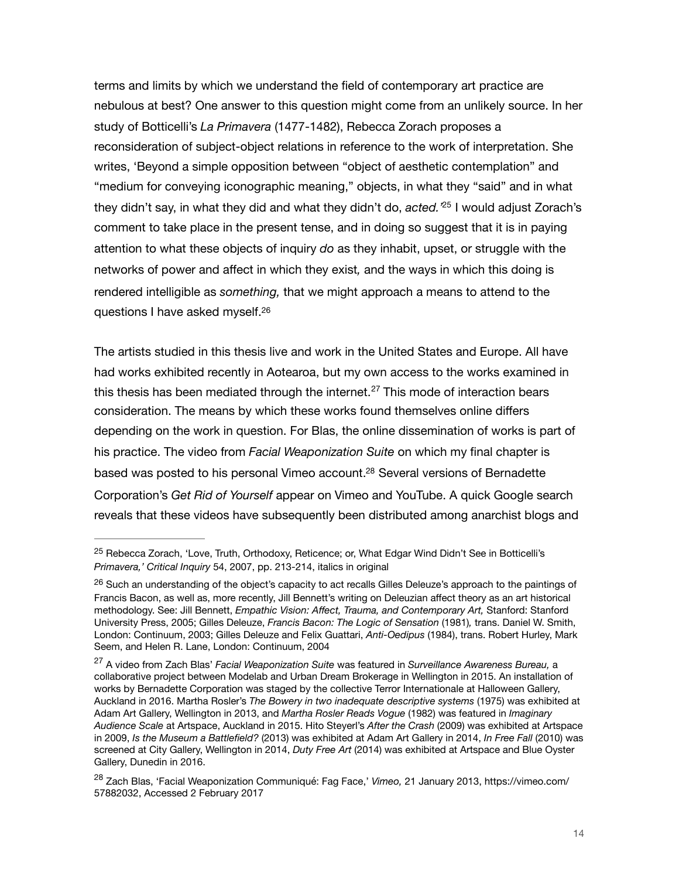<span id="page-14-4"></span>terms and limits by which we understand the field of contemporary art practice are nebulous at best? One answer to this question might come from an unlikely source. In her study of Botticelli's *La Primavera* (1477-1482), Rebecca Zorach proposes a reconsideration of subject-object relations in reference to the work of interpretation. She writes, 'Beyond a simple opposition between "object of aesthetic contemplation" and "medium for conveying iconographic meaning," objects, in what they "said" and in what theydidn't say, in what they did and what they didn't do, *acted.*<sup>[25](#page-14-0)</sup> I would adjust Zorach's comment to take place in the present tense, and in doing so suggest that it is in paying attention to what these objects of inquiry *do* as they inhabit, upset, or struggle with the networks of power and affect in which they exist*,* and the ways in which this doing is rendered intelligible as *something,* that we might approach a means to attend to the questions I have asked myself.[26](#page-14-1)

<span id="page-14-6"></span><span id="page-14-5"></span>The artists studied in this thesis live and work in the United States and Europe. All have had works exhibited recently in Aotearoa, but my own access to the works examined in thisthesis has been mediated through the internet.<sup>[27](#page-14-2)</sup> This mode of interaction bears consideration. The means by which these works found themselves online differs depending on the work in question. For Blas, the online dissemination of works is part of his practice. The video from *Facial Weaponization Suite* on which my final chapter is based was posted to his personal Vimeo account[.](#page-14-3)<sup>[28](#page-14-3)</sup> Several versions of Bernadette Corporation's *Get Rid of Yourself* appear on Vimeo and YouTube. A quick Google search reveals that these videos have subsequently been distributed among anarchist blogs and

<span id="page-14-7"></span><span id="page-14-0"></span><sup>&</sup>lt;sup>[25](#page-14-4)</sup> Rebecca Zorach, 'Love, Truth, Orthodoxy, Reticence; or, What Edgar Wind Didn't See in Botticelli's *Primavera,' Critical Inquiry* 54, 2007, pp. 213-214, italics in original

<span id="page-14-1"></span><sup>&</sup>lt;sup>[26](#page-14-5)</sup> Such an understanding of the object's capacity to act recalls Gilles Deleuze's approach to the paintings of Francis Bacon, as well as, more recently, Jill Bennett's writing on Deleuzian affect theory as an art historical methodology. See: Jill Bennett, *Empathic Vision: Affect, Trauma, and Contemporary Art,* Stanford: Stanford University Press, 2005; Gilles Deleuze, *Francis Bacon: The Logic of Sensation* (1981)*,* trans. Daniel W. Smith, London: Continuum, 2003; Gilles Deleuze and Felix Guattari, *Anti-Oedipus* (1984), trans. Robert Hurley, Mark Seem, and Helen R. Lane, London: Continuum, 2004

<span id="page-14-2"></span>A video from Zach Blas' *Facial Weaponization Suite* was featured in *Surveillance Awareness Bureau,* a [27](#page-14-6) collaborative project between Modelab and Urban Dream Brokerage in Wellington in 2015. An installation of works by Bernadette Corporation was staged by the collective Terror Internationale at Halloween Gallery, Auckland in 2016. Martha Rosler's *The Bowery in two inadequate descriptive systems* (1975) was exhibited at Adam Art Gallery, Wellington in 2013, and *Martha Rosler Reads Vogue* (1982) was featured in *Imaginary Audience Scale* at Artspace, Auckland in 2015. Hito Steyerl's *After the Crash* (2009) was exhibited at Artspace in 2009, *Is the Museum a Battlefield?* (2013) was exhibited at Adam Art Gallery in 2014, *In Free Fall* (2010) was screened at City Gallery, Wellington in 2014, *Duty Free Art* (2014) was exhibited at Artspace and Blue Oyster Gallery, Dunedin in 2016.

<span id="page-14-3"></span><sup>&</sup>lt;sup>[28](#page-14-7)</sup> Zach Blas, 'Facial Weaponization Communiqué: Fag Face,' Vimeo, 21 January 2013, https://vimeo.com/ 57882032, Accessed 2 February 2017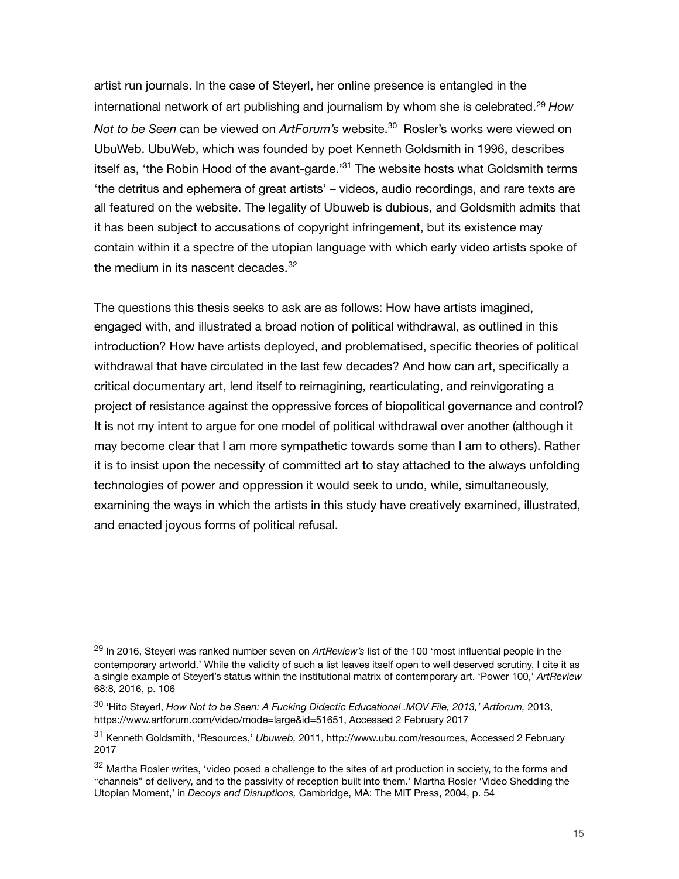<span id="page-15-6"></span><span id="page-15-5"></span><span id="page-15-4"></span>artist run journals. In the case of Steyerl, her online presence is entangled in the international network of art publishing and journalism by whom she is celebrated. *How* [29](#page-15-0) *Notto be Seen can be viewed on ArtForum's website.<sup>[30](#page-15-1)</sup> Rosler's works were viewed on* UbuWeb. UbuWeb, which was founded by poet Kenneth Goldsmith in 1996, describes itself as, 'the Robin Hood of the avant-garde. $31$  The website hosts what Goldsmith terms 'the detritus and ephemera of great artists' – videos, audio recordings, and rare texts are all featured on the website. The legality of Ubuweb is dubious, and Goldsmith admits that it has been subject to accusations of copyright infringement, but its existence may contain within it a spectre of the utopian language with which early video artists spoke of the medium in its nascent decades.<sup>[32](#page-15-3)</sup>

<span id="page-15-7"></span>The questions this thesis seeks to ask are as follows: How have artists imagined, engaged with, and illustrated a broad notion of political withdrawal, as outlined in this introduction? How have artists deployed, and problematised, specific theories of political withdrawal that have circulated in the last few decades? And how can art, specifically a critical documentary art, lend itself to reimagining, rearticulating, and reinvigorating a project of resistance against the oppressive forces of biopolitical governance and control? It is not my intent to argue for one model of political withdrawal over another (although it may become clear that I am more sympathetic towards some than I am to others). Rather it is to insist upon the necessity of committed art to stay attached to the always unfolding technologies of power and oppression it would seek to undo, while, simultaneously, examining the ways in which the artists in this study have creatively examined, illustrated, and enacted joyous forms of political refusal.

<span id="page-15-0"></span><sup>&</sup>lt;sup>[29](#page-15-4)</sup> In 2016, Steyerl was ranked number seven on *ArtReview's* list of the 100 'most influential people in the contemporary artworld.' While the validity of such a list leaves itself open to well deserved scrutiny, I cite it as a single example of Steyerl's status within the institutional matrix of contemporary art. 'Power 100,' *ArtReview*  68:8*,* 2016, p. 106

<span id="page-15-1"></span><sup>&</sup>lt;sup>[30](#page-15-5)</sup> 'Hito Steyerl, *How Not to be Seen: A Fucking Didactic Educational .MOV File, 2013,' Artforum, 2013,* https://www.artforum.com/video/mode=large&id=51651, Accessed 2 February 2017

<span id="page-15-2"></span><sup>&</sup>lt;sup>[31](#page-15-6)</sup> Kenneth Goldsmith, 'Resources,' Ubuweb, 2011, http://www.ubu.com/resources, Accessed 2 February 2017

<span id="page-15-3"></span> $32$  Martha Rosler writes, 'video posed a challenge to the sites of art production in society, to the forms and "channels" of delivery, and to the passivity of reception built into them.' Martha Rosler 'Video Shedding the Utopian Moment,' in *Decoys and Disruptions,* Cambridge, MA: The MIT Press, 2004, p. 54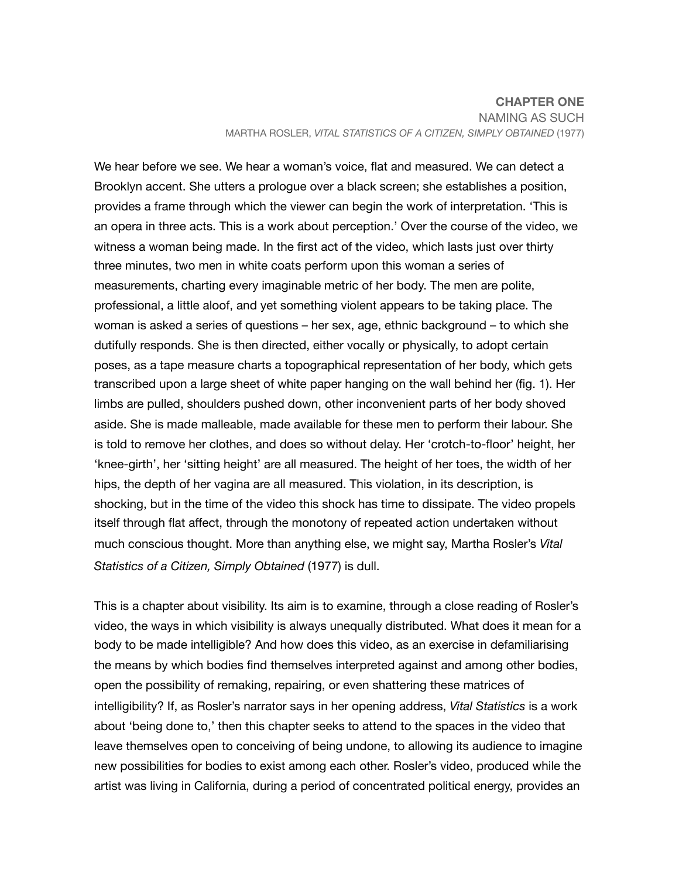### **CHAPTER ONE** NAMING AS SUCH MARTHA ROSLER, *VITAL STATISTICS OF A CITIZEN, SIMPLY OBTAINED* (1977)

We hear before we see. We hear a woman's voice, flat and measured. We can detect a Brooklyn accent. She utters a prologue over a black screen; she establishes a position, provides a frame through which the viewer can begin the work of interpretation. 'This is an opera in three acts. This is a work about perception.' Over the course of the video, we witness a woman being made. In the first act of the video, which lasts just over thirty three minutes, two men in white coats perform upon this woman a series of measurements, charting every imaginable metric of her body. The men are polite, professional, a little aloof, and yet something violent appears to be taking place. The woman is asked a series of questions – her sex, age, ethnic background – to which she dutifully responds. She is then directed, either vocally or physically, to adopt certain poses, as a tape measure charts a topographical representation of her body, which gets transcribed upon a large sheet of white paper hanging on the wall behind her (fig. 1). Her limbs are pulled, shoulders pushed down, other inconvenient parts of her body shoved aside. She is made malleable, made available for these men to perform their labour. She is told to remove her clothes, and does so without delay. Her 'crotch-to-floor' height, her 'knee-girth', her 'sitting height' are all measured. The height of her toes, the width of her hips, the depth of her vagina are all measured. This violation, in its description, is shocking, but in the time of the video this shock has time to dissipate. The video propels itself through flat affect, through the monotony of repeated action undertaken without much conscious thought. More than anything else, we might say, Martha Rosler's *Vital Statistics of a Citizen, Simply Obtained* (1977) is dull.

This is a chapter about visibility. Its aim is to examine, through a close reading of Rosler's video, the ways in which visibility is always unequally distributed. What does it mean for a body to be made intelligible? And how does this video, as an exercise in defamiliarising the means by which bodies find themselves interpreted against and among other bodies, open the possibility of remaking, repairing, or even shattering these matrices of intelligibility? If, as Rosler's narrator says in her opening address, *Vital Statistics* is a work about 'being done to,' then this chapter seeks to attend to the spaces in the video that leave themselves open to conceiving of being undone, to allowing its audience to imagine new possibilities for bodies to exist among each other. Rosler's video, produced while the artist was living in California, during a period of concentrated political energy, provides an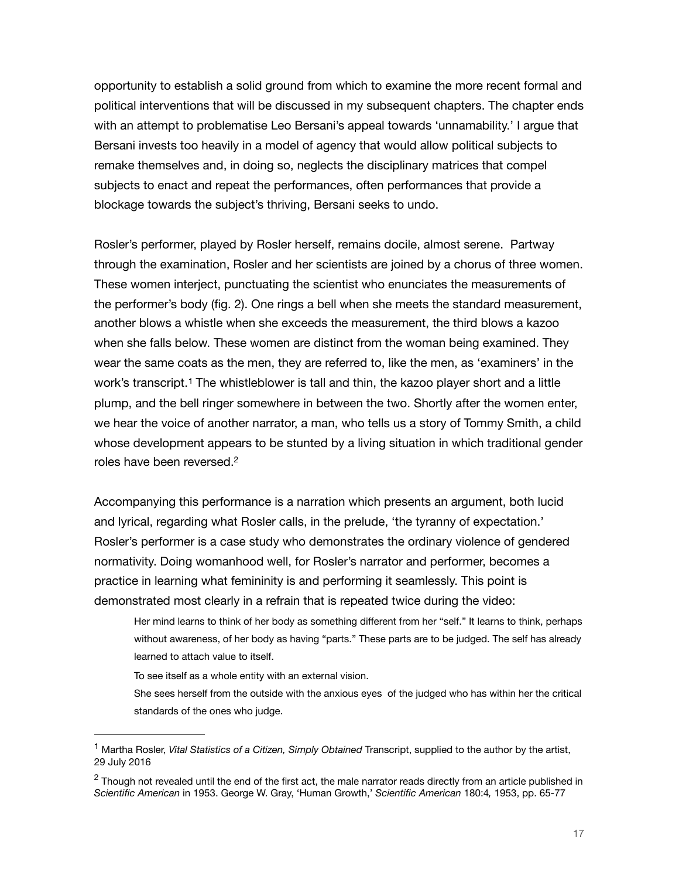opportunity to establish a solid ground from which to examine the more recent formal and political interventions that will be discussed in my subsequent chapters. The chapter ends with an attempt to problematise Leo Bersani's appeal towards 'unnamability.' I argue that Bersani invests too heavily in a model of agency that would allow political subjects to remake themselves and, in doing so, neglects the disciplinary matrices that compel subjects to enact and repeat the performances, often performances that provide a blockage towards the subject's thriving, Bersani seeks to undo.

Rosler's performer, played by Rosler herself, remains docile, almost serene. Partway through the examination, Rosler and her scientists are joined by a chorus of three women. These women interject, punctuating the scientist who enunciates the measurements of the performer's body (fig. 2). One rings a bell when she meets the standard measurement, another blows a whistle when she exceeds the measurement, the third blows a kazoo when she falls below. These women are distinct from the woman being examined. They wear the same coats as the men, they are referred to, like the men, as 'examiners' in the work'stranscript.<sup>[1](#page-17-0)</sup> The whistleblower is tall and thin, the kazoo player short and a little plump, and the bell ringer somewhere in between the two. Shortly after the women enter, we hear the voice of another narrator, a man, who tells us a story of Tommy Smith, a child whose development appears to be stunted by a living situation in which traditional gender roles have been reversed[.2](#page-17-1)

<span id="page-17-3"></span><span id="page-17-2"></span>Accompanying this performance is a narration which presents an argument, both lucid and lyrical, regarding what Rosler calls, in the prelude, 'the tyranny of expectation.' Rosler's performer is a case study who demonstrates the ordinary violence of gendered normativity. Doing womanhood well, for Rosler's narrator and performer, becomes a practice in learning what femininity is and performing it seamlessly. This point is demonstrated most clearly in a refrain that is repeated twice during the video:

Her mind learns to think of her body as something different from her "self." It learns to think, perhaps without awareness, of her body as having "parts." These parts are to be judged. The self has already learned to attach value to itself.

To see itself as a whole entity with an external vision.

She sees herself from the outside with the anxious eyes of the judged who has within her the critical standards of the ones who judge.

<span id="page-17-0"></span><sup>&</sup>lt;sup>[1](#page-17-2)</sup> Martha Rosler, *Vital Statistics of a Citizen, Simply Obtained* Transcript, supplied to the author by the artist, 29 July 2016

<span id="page-17-1"></span> $2$  Though not revealed until the end of the first act, the male narrator reads directly from an article published in *Scientific American* in 1953. George W. Gray, 'Human Growth,' *Scientific American* 180:4*,* 1953, pp. 65-77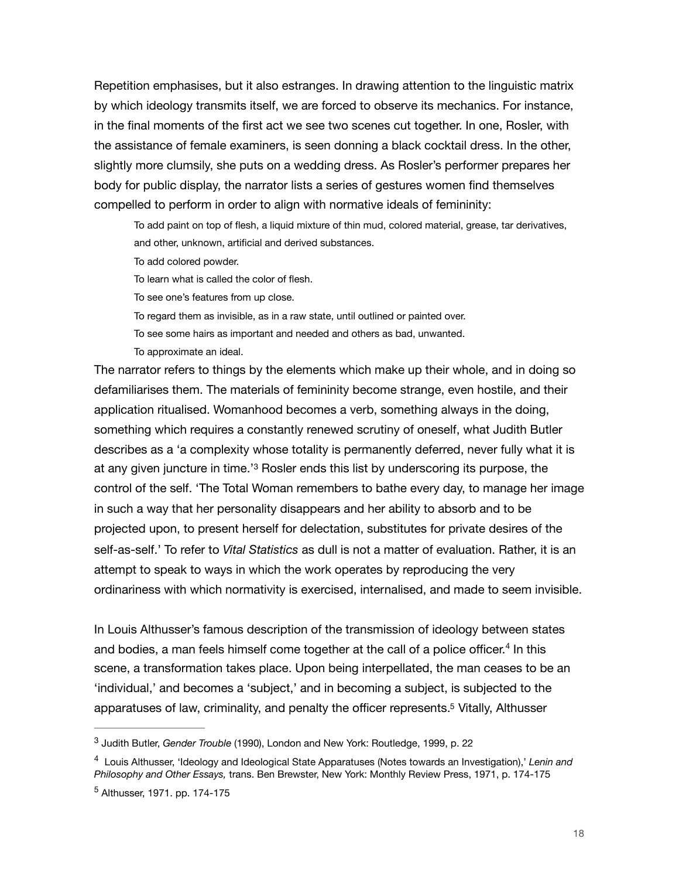Repetition emphasises, but it also estranges. In drawing attention to the linguistic matrix by which ideology transmits itself, we are forced to observe its mechanics. For instance, in the final moments of the first act we see two scenes cut together. In one, Rosler, with the assistance of female examiners, is seen donning a black cocktail dress. In the other, slightly more clumsily, she puts on a wedding dress. As Rosler's performer prepares her body for public display, the narrator lists a series of gestures women find themselves compelled to perform in order to align with normative ideals of femininity:

To add paint on top of flesh, a liquid mixture of thin mud, colored material, grease, tar derivatives, and other, unknown, artificial and derived substances.

- To add colored powder.
- To learn what is called the color of flesh.
- To see one's features from up close.
- To regard them as invisible, as in a raw state, until outlined or painted over.
- To see some hairs as important and needed and others as bad, unwanted.
- <span id="page-18-3"></span>To approximate an ideal.

The narrator refers to things by the elements which make up their whole, and in doing so defamiliarises them. The materials of femininity become strange, even hostile, and their application ritualised. Womanhood becomes a verb, something always in the doing, something which requires a constantly renewed scrutiny of oneself, what Judith Butler describes as a 'a complexity whose totality is permanently deferred, never fully what it is atany given juncture in time.<sup>[3](#page-18-0)</sup> Rosler ends this list by underscoring its purpose, the control of the self. 'The Total Woman remembers to bathe every day, to manage her image in such a way that her personality disappears and her ability to absorb and to be projected upon, to present herself for delectation, substitutes for private desires of the self-as-self.' To refer to *Vital Statistics* as dull is not a matter of evaluation. Rather, it is an attempt to speak to ways in which the work operates by reproducing the very ordinariness with which normativity is exercised, internalised, and made to seem invisible.

<span id="page-18-4"></span>In Louis Althusser's famous description of the transmission of ideology between states andbodies, a man feels himself come together at the call of a police officer.<sup>[4](#page-18-1)</sup> In this scene, a transformation takes place. Upon being interpellated, the man ceases to be an 'individual,' and becomes a 'subject,' and in becoming a subject, is subjected to the apparatuses of law, criminality, and penalty the officer represents[.](#page-18-2)<sup>[5](#page-18-2)</sup> Vitally, Althusser

<span id="page-18-5"></span><span id="page-18-0"></span><sup>&</sup>lt;sup>[3](#page-18-3)</sup> Judith Butler, *Gender Trouble* (1990), London and New York: Routledge, 1999, p. 22

<span id="page-18-1"></span>Louis Althusser, 'Ideology and Ideological State Apparatuses (Notes towards an Investigation),' *Lenin and* [4](#page-18-4) *Philosophy and Other Essays,* trans. Ben Brewster, New York: Monthly Review Press, 1971, p. 174-175

<span id="page-18-2"></span> $<sup>5</sup>$  $<sup>5</sup>$  $<sup>5</sup>$  Althusser, 1971. pp. 174-175</sup>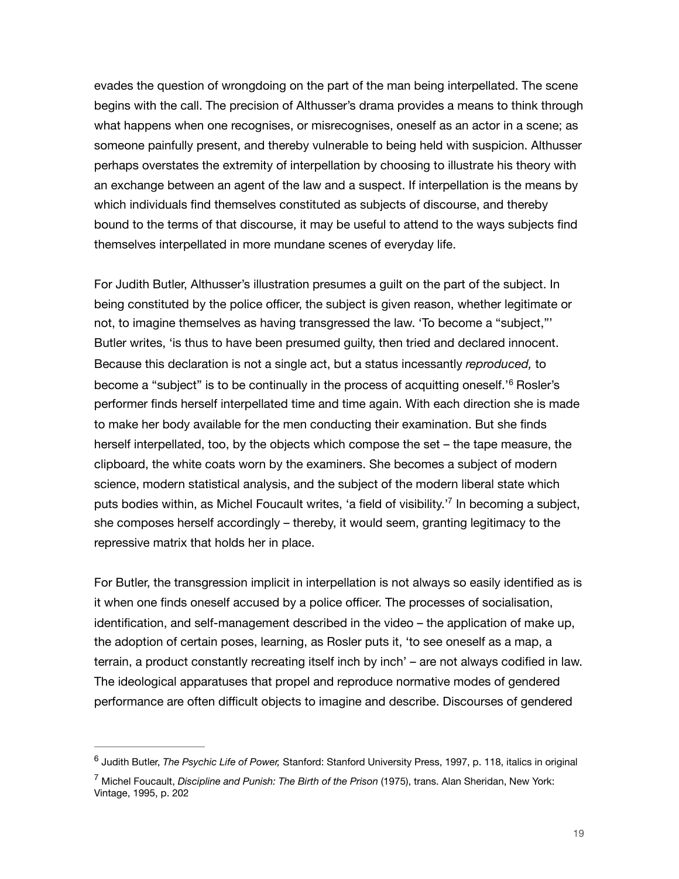evades the question of wrongdoing on the part of the man being interpellated. The scene begins with the call. The precision of Althusser's drama provides a means to think through what happens when one recognises, or misrecognises, oneself as an actor in a scene; as someone painfully present, and thereby vulnerable to being held with suspicion. Althusser perhaps overstates the extremity of interpellation by choosing to illustrate his theory with an exchange between an agent of the law and a suspect. If interpellation is the means by which individuals find themselves constituted as subjects of discourse, and thereby bound to the terms of that discourse, it may be useful to attend to the ways subjects find themselves interpellated in more mundane scenes of everyday life.

<span id="page-19-2"></span>For Judith Butler, Althusser's illustration presumes a guilt on the part of the subject. In being constituted by the police officer, the subject is given reason, whether legitimate or not, to imagine themselves as having transgressed the law. 'To become a "subject,"' Butler writes, 'is thus to have been presumed guilty, then tried and declared innocent. Because this declaration is not a single act, but a status incessantly *reproduced,* to becomea "subject" is to be continually in the process of acquitting oneself.<sup>'[6](#page-19-0)</sup> Rosler's performer finds herself interpellated time and time again. With each direction she is made to make her body available for the men conducting their examination. But she finds herself interpellated, too, by the objects which compose the set – the tape measure, the clipboard, the white coats worn by the examiners. She becomes a subject of modern science, modern statistical analysis, and the subject of the modern liberal state which puts bodies within, as Michel Foucault writes, ['](#page-19-1)a field of visibility.<sup> $7$ </sup> In becoming a subject, she composes herself accordingly – thereby, it would seem, granting legitimacy to the repressive matrix that holds her in place.

<span id="page-19-3"></span>For Butler, the transgression implicit in interpellation is not always so easily identified as is it when one finds oneself accused by a police officer. The processes of socialisation, identification, and self-management described in the video – the application of make up, the adoption of certain poses, learning, as Rosler puts it, 'to see oneself as a map, a terrain, a product constantly recreating itself inch by inch' – are not always codified in law. The ideological apparatuses that propel and reproduce normative modes of gendered performance are often difficult objects to imagine and describe. Discourses of gendered

<span id="page-19-0"></span>Judith Butler, *The Psychic Life of Power,* Stanford: Stanford University Press, 1997, p. 118, italics in original [6](#page-19-2)

<span id="page-19-1"></span><sup>&</sup>lt;sup>[7](#page-19-3)</sup> Michel Foucault, *Discipline and Punish: The Birth of the Prison* (1975), trans. Alan Sheridan, New York: Vintage, 1995, p. 202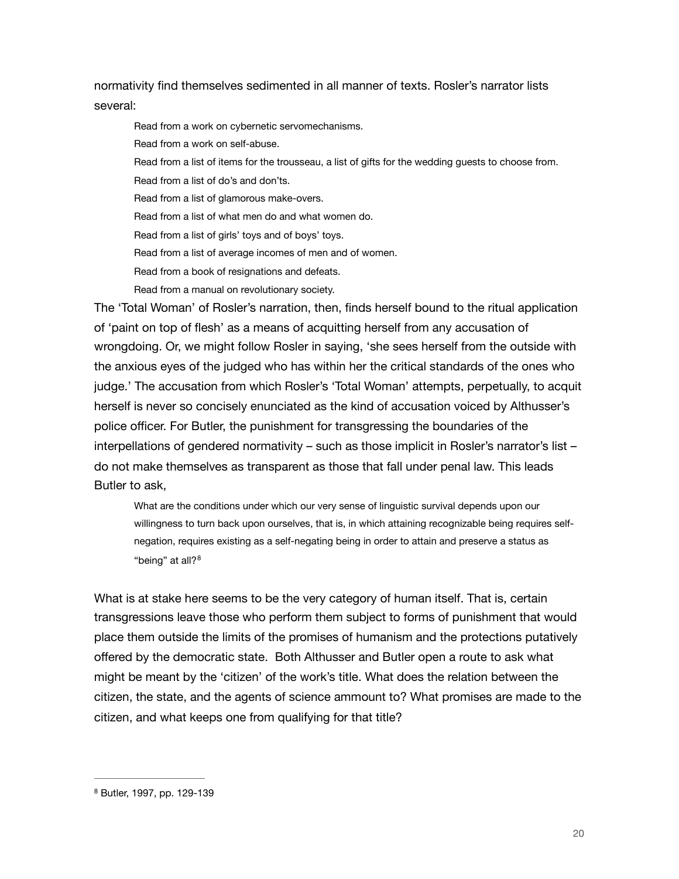normativity find themselves sedimented in all manner of texts. Rosler's narrator lists several:

Read from a work on cybernetic servomechanisms. Read from a work on self-abuse. Read from a list of items for the trousseau, a list of gifts for the wedding guests to choose from. Read from a list of do's and don'ts. Read from a list of glamorous make-overs. Read from a list of what men do and what women do. Read from a list of girls' toys and of boys' toys. Read from a list of average incomes of men and of women. Read from a book of resignations and defeats. Read from a manual on revolutionary society.

The 'Total Woman' of Rosler's narration, then, finds herself bound to the ritual application of 'paint on top of flesh' as a means of acquitting herself from any accusation of wrongdoing. Or, we might follow Rosler in saying, 'she sees herself from the outside with the anxious eyes of the judged who has within her the critical standards of the ones who judge.' The accusation from which Rosler's 'Total Woman' attempts, perpetually, to acquit herself is never so concisely enunciated as the kind of accusation voiced by Althusser's police officer. For Butler, the punishment for transgressing the boundaries of the interpellations of gendered normativity – such as those implicit in Rosler's narrator's list – do not make themselves as transparent as those that fall under penal law. This leads Butler to ask,

<span id="page-20-1"></span>What are the conditions under which our very sense of linguistic survival depends upon our willingness to turn back upon ourselves, that is, in which attaining recognizable being requires selfnegation, requires existing as a self-negating being in order to attain and preserve a status as "being" at all?<sup>[8](#page-20-0)</sup>

What is at stake here seems to be the very category of human itself. That is, certain transgressions leave those who perform them subject to forms of punishment that would place them outside the limits of the promises of humanism and the protections putatively offered by the democratic state. Both Althusser and Butler open a route to ask what might be meant by the 'citizen' of the work's title. What does the relation between the citizen, the state, and the agents of science ammount to? What promises are made to the citizen, and what keeps one from qualifying for that title?

<span id="page-20-0"></span><sup>&</sup>lt;sup>[8](#page-20-1)</sup> Butler, 1997, pp. 129-139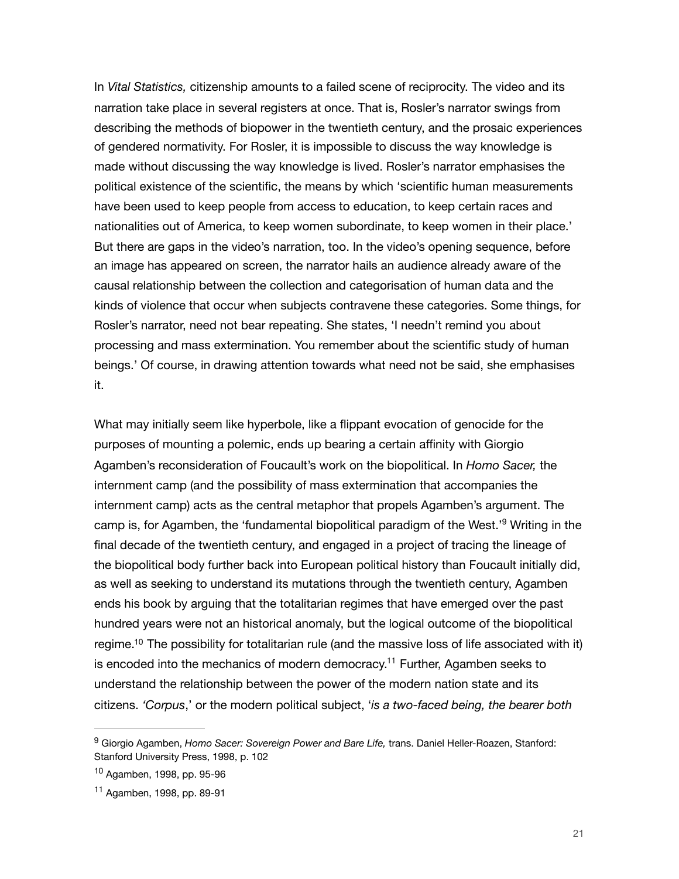In *Vital Statistics,* citizenship amounts to a failed scene of reciprocity. The video and its narration take place in several registers at once. That is, Rosler's narrator swings from describing the methods of biopower in the twentieth century, and the prosaic experiences of gendered normativity. For Rosler, it is impossible to discuss the way knowledge is made without discussing the way knowledge is lived. Rosler's narrator emphasises the political existence of the scientific, the means by which 'scientific human measurements have been used to keep people from access to education, to keep certain races and nationalities out of America, to keep women subordinate, to keep women in their place.' But there are gaps in the video's narration, too. In the video's opening sequence, before an image has appeared on screen, the narrator hails an audience already aware of the causal relationship between the collection and categorisation of human data and the kinds of violence that occur when subjects contravene these categories. Some things, for Rosler's narrator, need not bear repeating. She states, 'I needn't remind you about processing and mass extermination. You remember about the scientific study of human beings.' Of course, in drawing attention towards what need not be said, she emphasises it.

<span id="page-21-3"></span>What may initially seem like hyperbole, like a flippant evocation of genocide for the purposes of mounting a polemic, ends up bearing a certain affinity with Giorgio Agamben's reconsideration of Foucault's work on the biopolitical. In *Homo Sacer,* the internment camp (and the possibility of mass extermination that accompanies the internment camp) acts as the central metaphor that propels Agamben's argument. The camp is, for Agamben, the 'fundamental biopolitical paradigm of the West.'<sup>[9](#page-21-0)</sup> Writing in the final decade of the twentieth century, and engaged in a project of tracing the lineage of the biopolitical body further back into European political history than Foucault initially did, as well as seeking to understand its mutations through the twentieth century, Agamben ends his book by arguing that the totalitarian regimes that have emerged over the past hundred years were not an historical anomaly, but the logical outcome of the biopolitical regime.<sup>[10](#page-21-1)</sup> The possibility for totalitarian rule (and the massive loss of life associated with it) is encoded into the mechanics of modern democracy.<sup>[11](#page-21-2)</sup> Further, Agamben seeks to understand the relationship between the power of the modern nation state and its citizens. *'Corpus*,' or the modern political subject, '*is a two-faced being, the bearer both* 

<span id="page-21-5"></span><span id="page-21-4"></span><span id="page-21-0"></span>Giorgio Agamben, *Homo Sacer: Sovereign Power and Bare Life,* trans. Daniel Heller-Roazen, Stanford: [9](#page-21-3) Stanford University Press, 1998, p. 102

<span id="page-21-1"></span><sup>&</sup>lt;sup>[10](#page-21-4)</sup> Agamben, 1998, pp. 95-96

<span id="page-21-2"></span> $11$  Agamben, 1998, pp. 89-91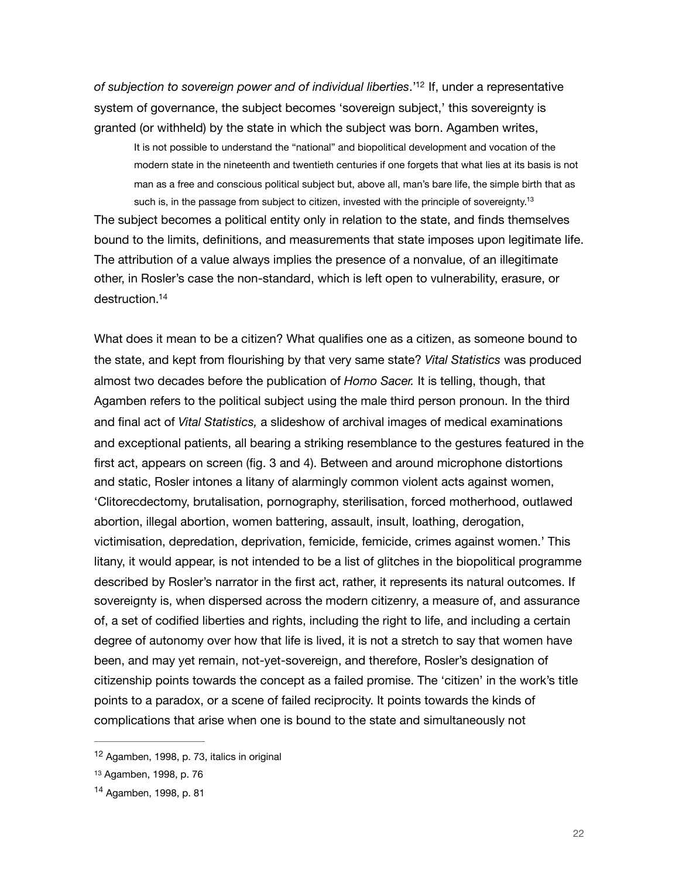<span id="page-22-3"></span>*of subjection to sovereign power and of individual liberties*.<sup>['](#page-22-0)[12](#page-22-0)</sup> If, under a representative system of governance, the subject becomes 'sovereign subject,' this sovereignty is granted (or withheld) by the state in which the subject was born. Agamben writes,

<span id="page-22-4"></span>It is not possible to understand the "national" and biopolitical development and vocation of the modern state in the nineteenth and twentieth centuries if one forgets that what lies at its basis is not man as a free and conscious political subject but, above all, man's bare life, the simple birth that as such is, in the passage from subject to citizen, invested with the principle of sovereignty.<sup>13</sup> The subject becomes a political entity only in relation to the state, and finds themselves bound to the limits, definitions, and measurements that state imposes upon legitimate life. The attribution of a value always implies the presence of a nonvalue, of an illegitimate other, in Rosler's case the non-standard, which is left open to vulnerability, erasure, or

<span id="page-22-5"></span>destruction[.14](#page-22-2)

What does it mean to be a citizen? What qualifies one as a citizen, as someone bound to the state, and kept from flourishing by that very same state? *Vital Statistics* was produced almost two decades before the publication of *Homo Sacer.* It is telling, though, that Agamben refers to the political subject using the male third person pronoun. In the third and final act of *Vital Statistics,* a slideshow of archival images of medical examinations and exceptional patients, all bearing a striking resemblance to the gestures featured in the first act, appears on screen (fig. 3 and 4). Between and around microphone distortions and static, Rosler intones a litany of alarmingly common violent acts against women, 'Clitorecdectomy, brutalisation, pornography, sterilisation, forced motherhood, outlawed abortion, illegal abortion, women battering, assault, insult, loathing, derogation, victimisation, depredation, deprivation, femicide, femicide, crimes against women.' This litany, it would appear, is not intended to be a list of glitches in the biopolitical programme described by Rosler's narrator in the first act, rather, it represents its natural outcomes. If sovereignty is, when dispersed across the modern citizenry, a measure of, and assurance of, a set of codified liberties and rights, including the right to life, and including a certain degree of autonomy over how that life is lived, it is not a stretch to say that women have been, and may yet remain, not-yet-sovereign, and therefore, Rosler's designation of citizenship points towards the concept as a failed promise. The 'citizen' in the work's title points to a paradox, or a scene of failed reciprocity. It points towards the kinds of complications that arise when one is bound to the state and simultaneously not

<span id="page-22-0"></span> $12$  Agamben, 1998, p. 73, italics in original

<span id="page-22-1"></span>[<sup>13</sup>](#page-22-4) Agamben, 1998, p. 76

<span id="page-22-2"></span> $14$  Agamben, 1998, p. 81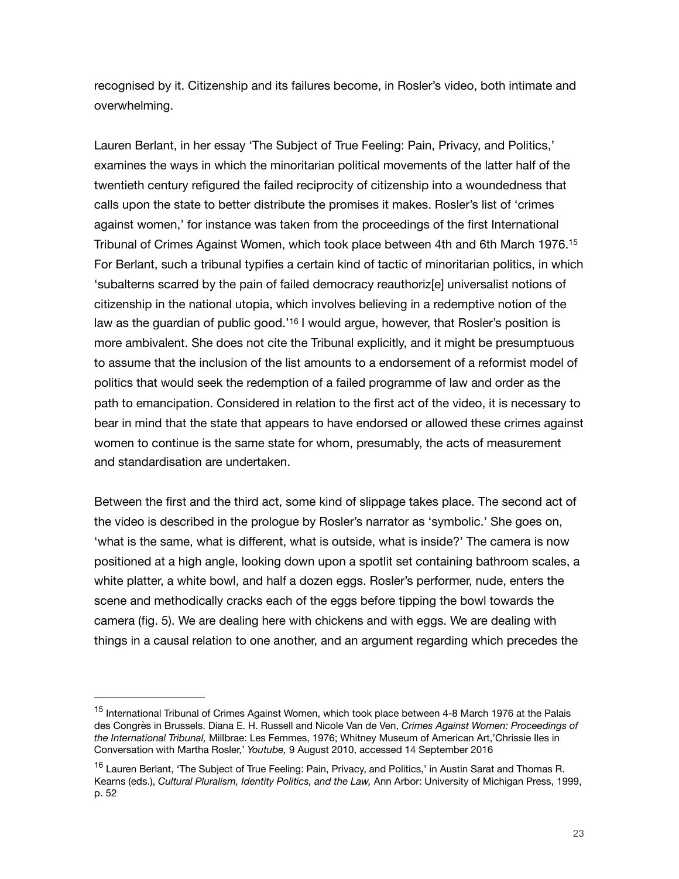recognised by it. Citizenship and its failures become, in Rosler's video, both intimate and overwhelming.

<span id="page-23-2"></span>Lauren Berlant, in her essay 'The Subject of True Feeling: Pain, Privacy, and Politics,' examines the ways in which the minoritarian political movements of the latter half of the twentieth century refigured the failed reciprocity of citizenship into a woundedness that calls upon the state to better distribute the promises it makes. Rosler's list of 'crimes against women,' for instance was taken from the proceedings of the first International Tribunal of Crimes Against Women, which took place between 4th and 6th March 1976.[15](#page-23-0) For Berlant, such a tribunal typifies a certain kind of tactic of minoritarian politics, in which 'subalterns scarred by the pain of failed democracy reauthoriz[e] universalist notions of citizenship in the national utopia, which involves believing in a redemptive notion of the lawas the guardian of public good.<sup>'[16](#page-23-1)</sup> I would argue, however, that Rosler's position is more ambivalent. She does not cite the Tribunal explicitly, and it might be presumptuous to assume that the inclusion of the list amounts to a endorsement of a reformist model of politics that would seek the redemption of a failed programme of law and order as the path to emancipation. Considered in relation to the first act of the video, it is necessary to bear in mind that the state that appears to have endorsed or allowed these crimes against women to continue is the same state for whom, presumably, the acts of measurement and standardisation are undertaken.

<span id="page-23-3"></span>Between the first and the third act, some kind of slippage takes place. The second act of the video is described in the prologue by Rosler's narrator as 'symbolic.' She goes on, 'what is the same, what is different, what is outside, what is inside?' The camera is now positioned at a high angle, looking down upon a spotlit set containing bathroom scales, a white platter, a white bowl, and half a dozen eggs. Rosler's performer, nude, enters the scene and methodically cracks each of the eggs before tipping the bowl towards the camera (fig. 5). We are dealing here with chickens and with eggs. We are dealing with things in a causal relation to one another, and an argument regarding which precedes the

<span id="page-23-0"></span><sup>&</sup>lt;sup>[15](#page-23-2)</sup> International Tribunal of Crimes Against Women, which took place between 4-8 March 1976 at the Palais des Congrès in Brussels. Diana E. H. Russell and Nicole Van de Ven, *Crimes Against Women: Proceedings of the International Tribunal,* Millbrae: Les Femmes, 1976; Whitney Museum of American Art,'Chrissie Iles in Conversation with Martha Rosler,' *Youtube,* 9 August 2010, accessed 14 September 2016

<span id="page-23-1"></span><sup>&</sup>lt;sup>[16](#page-23-3)</sup> Lauren Berlant, 'The Subject of True Feeling: Pain, Privacy, and Politics,' in Austin Sarat and Thomas R. Kearns (eds.), *Cultural Pluralism, Identity Politics, and the Law,* Ann Arbor: University of Michigan Press, 1999, p. 52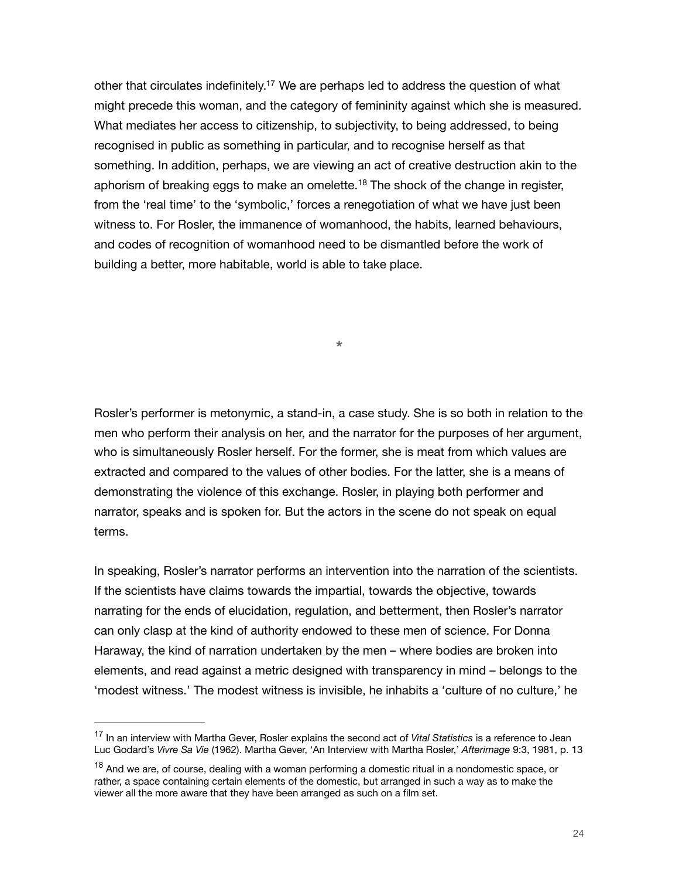<span id="page-24-2"></span>other that circulates indefinitely.<sup>[17](#page-24-0)</sup> We are perhaps led to address the question of what might precede this woman, and the category of femininity against which she is measured. What mediates her access to citizenship, to subjectivity, to being addressed, to being recognised in public as something in particular, and to recognise herself as that something. In addition, perhaps, we are viewing an act of creative destruction akin to the aphorismof breaking eggs to make an omelette.<sup>[18](#page-24-1)</sup> The shock of the change in register, from the 'real time' to the 'symbolic,' forces a renegotiation of what we have just been witness to. For Rosler, the immanence of womanhood, the habits, learned behaviours, and codes of recognition of womanhood need to be dismantled before the work of building a better, more habitable, world is able to take place.

<span id="page-24-3"></span>**\***

Rosler's performer is metonymic, a stand-in, a case study. She is so both in relation to the men who perform their analysis on her, and the narrator for the purposes of her argument, who is simultaneously Rosler herself. For the former, she is meat from which values are extracted and compared to the values of other bodies. For the latter, she is a means of demonstrating the violence of this exchange. Rosler, in playing both performer and narrator, speaks and is spoken for. But the actors in the scene do not speak on equal terms.

In speaking, Rosler's narrator performs an intervention into the narration of the scientists. If the scientists have claims towards the impartial, towards the objective, towards narrating for the ends of elucidation, regulation, and betterment, then Rosler's narrator can only clasp at the kind of authority endowed to these men of science. For Donna Haraway, the kind of narration undertaken by the men – where bodies are broken into elements, and read against a metric designed with transparency in mind – belongs to the 'modest witness.' The modest witness is invisible, he inhabits a 'culture of no culture,' he

<span id="page-24-0"></span><sup>&</sup>lt;sup>[17](#page-24-2)</sup> In an interview with Martha Gever, Rosler explains the second act of Vital Statistics is a reference to Jean Luc Godard's *Vivre Sa Vie* (1962). Martha Gever, 'An Interview with Martha Rosler,' *Afterimage* 9:3, 1981, p. 13

<span id="page-24-1"></span> $18$  And we are, of course, dealing with a woman performing a domestic ritual in a nondomestic space, or rather, a space containing certain elements of the domestic, but arranged in such a way as to make the viewer all the more aware that they have been arranged as such on a film set.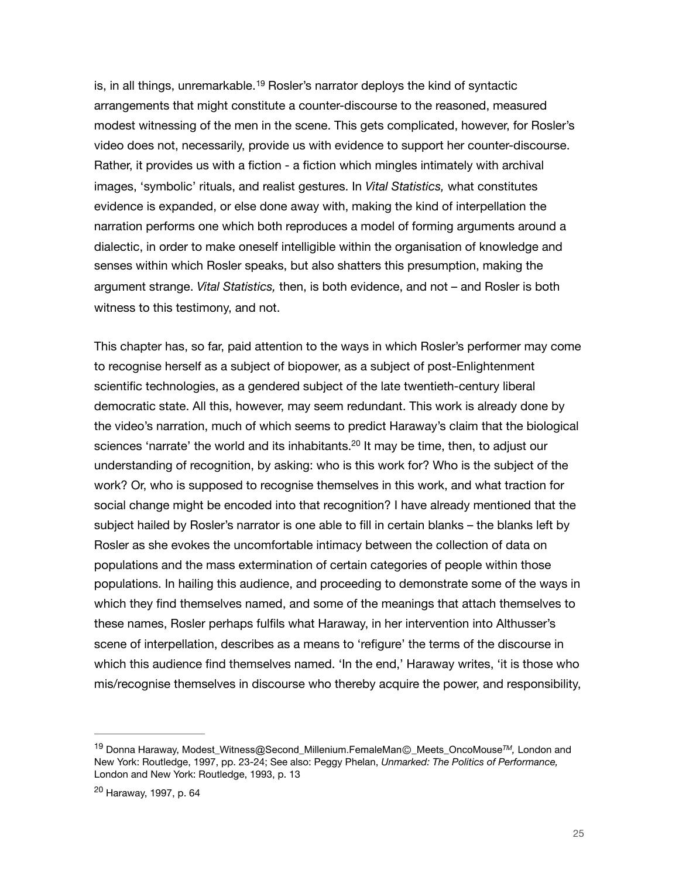<span id="page-25-2"></span>is,in all things, unremarkable.<sup>[19](#page-25-0)</sup> Rosler's narrator deploys the kind of syntactic arrangements that might constitute a counter-discourse to the reasoned, measured modest witnessing of the men in the scene. This gets complicated, however, for Rosler's video does not, necessarily, provide us with evidence to support her counter-discourse. Rather, it provides us with a fiction - a fiction which mingles intimately with archival images, 'symbolic' rituals, and realist gestures. In *Vital Statistics,* what constitutes evidence is expanded, or else done away with, making the kind of interpellation the narration performs one which both reproduces a model of forming arguments around a dialectic, in order to make oneself intelligible within the organisation of knowledge and senses within which Rosler speaks, but also shatters this presumption, making the argument strange. *Vital Statistics,* then, is both evidence, and not – and Rosler is both witness to this testimony, and not.

<span id="page-25-3"></span>This chapter has, so far, paid attention to the ways in which Rosler's performer may come to recognise herself as a subject of biopower, as a subject of post-Enlightenment scientific technologies, as a gendered subject of the late twentieth-century liberal democratic state. All this, however, may seem redundant. This work is already done by the video's narration, much of which seems to predict Haraway's claim that the biological sciences 'narrate' the world and its inhabitants[.](#page-25-1)<sup>[20](#page-25-1)</sup> It may be time, then, to adjust our understanding of recognition, by asking: who is this work for? Who is the subject of the work? Or, who is supposed to recognise themselves in this work, and what traction for social change might be encoded into that recognition? I have already mentioned that the subject hailed by Rosler's narrator is one able to fill in certain blanks – the blanks left by Rosler as she evokes the uncomfortable intimacy between the collection of data on populations and the mass extermination of certain categories of people within those populations. In hailing this audience, and proceeding to demonstrate some of the ways in which they find themselves named, and some of the meanings that attach themselves to these names, Rosler perhaps fulfils what Haraway, in her intervention into Althusser's scene of interpellation, describes as a means to 'refigure' the terms of the discourse in which this audience find themselves named. 'In the end,' Haraway writes, 'it is those who mis/recognise themselves in discourse who thereby acquire the power, and responsibility,

<span id="page-25-0"></span><sup>&</sup>lt;sup>[19](#page-25-2)</sup> Donna Haraway, Modest Witness@Second Millenium.FemaleMan© Meets OncoMouse<sup>™</sup>, London and New York: Routledge, 1997, pp. 23-24; See also: Peggy Phelan, *Unmarked: The Politics of Performance,*  London and New York: Routledge, 1993, p. 13

<span id="page-25-1"></span><sup>&</sup>lt;sup>[20](#page-25-3)</sup> Haraway, 1997, p. 64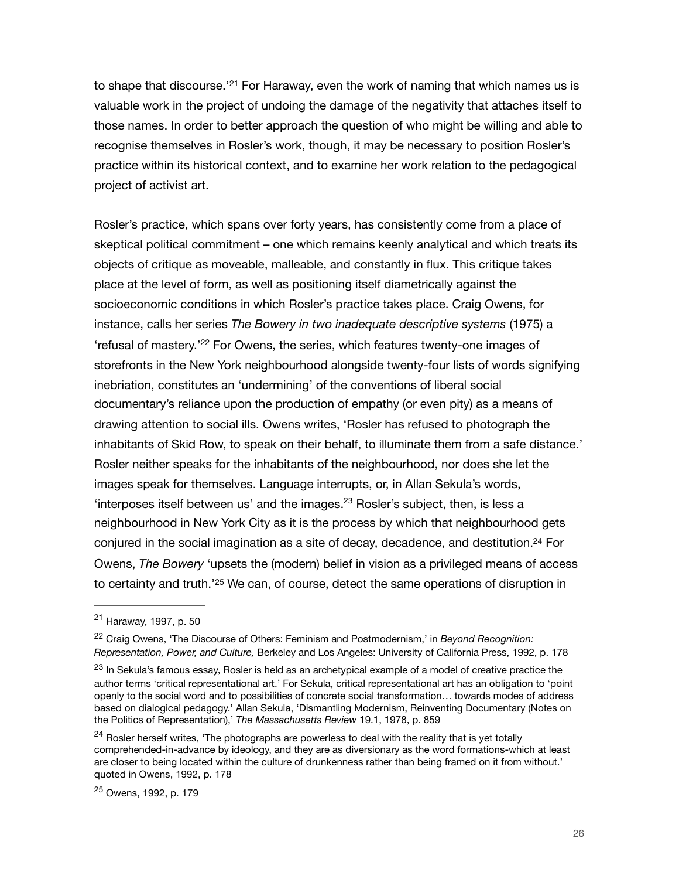<span id="page-26-5"></span>to shape that discourse.<sup>'[21](#page-26-0)</sup> For Haraway, even the work of naming that which names us is valuable work in the project of undoing the damage of the negativity that attaches itself to those names. In order to better approach the question of who might be willing and able to recognise themselves in Rosler's work, though, it may be necessary to position Rosler's practice within its historical context, and to examine her work relation to the pedagogical project of activist art.

<span id="page-26-6"></span>Rosler's practice, which spans over forty years, has consistently come from a place of skeptical political commitment – one which remains keenly analytical and which treats its objects of critique as moveable, malleable, and constantly in flux. This critique takes place at the level of form, as well as positioning itself diametrically against the socioeconomic conditions in which Rosler's practice takes place. Craig Owens, for instance, calls her series *The Bowery in two inadequate descriptive systems* (1975) a 'refusal of mastery.<sup>'[22](#page-26-1)</sup> For Owens, the series, which features twenty-one images of storefronts in the New York neighbourhood alongside twenty-four lists of words signifying inebriation, constitutes an 'undermining' of the conventions of liberal social documentary's reliance upon the production of empathy (or even pity) as a means of drawing attention to social ills. Owens writes, 'Rosler has refused to photograph the inhabitants of Skid Row, to speak on their behalf, to illuminate them from a safe distance.' Rosler neither speaks for the inhabitants of the neighbourhood, nor does she let the images speak for themselves. Language interrupts, or, in Allan Sekula's words, 'interposes itself between us' and the images[.](#page-26-2) $23$  Rosler's subject, then, is less a neighbourhood in New York City as it is the process by which that neighbourhood gets conjured in the social imagination as a site of decay, decadence, and destitution[.](#page-26-3)<sup>[24](#page-26-3)</sup> For Owens, *The Bowery* 'upsets the (modern) belief in vision as a privileged means of access tocertainty and truth.<sup>'[25](#page-26-4)</sup> We can, of course, detect the same operations of disruption in

<span id="page-26-9"></span><span id="page-26-8"></span><span id="page-26-7"></span><span id="page-26-0"></span> $21$  Haraway, 1997, p. 50

<span id="page-26-1"></span><sup>&</sup>lt;sup>[22](#page-26-6)</sup> Craig Owens, 'The Discourse of Others: Feminism and Postmodernism,' in *Beyond Recognition: Representation, Power, and Culture,* Berkeley and Los Angeles: University of California Press, 1992, p. 178

<span id="page-26-2"></span><sup>&</sup>lt;sup>[23](#page-26-7)</sup> In Sekula's famous essay, Rosler is held as an archetypical example of a model of creative practice the author terms 'critical representational art.' For Sekula, critical representational art has an obligation to 'point openly to the social word and to possibilities of concrete social transformation… towards modes of address based on dialogical pedagogy.' Allan Sekula, 'Dismantling Modernism, Reinventing Documentary (Notes on the Politics of Representation),' *The Massachusetts Review* 19.1, 1978, p. 859

<span id="page-26-3"></span> $24$  Rosler herself writes, 'The photographs are powerless to deal with the reality that is yet totally comprehended-in-advance by ideology, and they are as diversionary as the word formations-which at least are closer to being located within the culture of drunkenness rather than being framed on it from without.' quoted in Owens, 1992, p. 178

<span id="page-26-4"></span><sup>&</sup>lt;sup>[25](#page-26-9)</sup> Owens, 1992, p. 179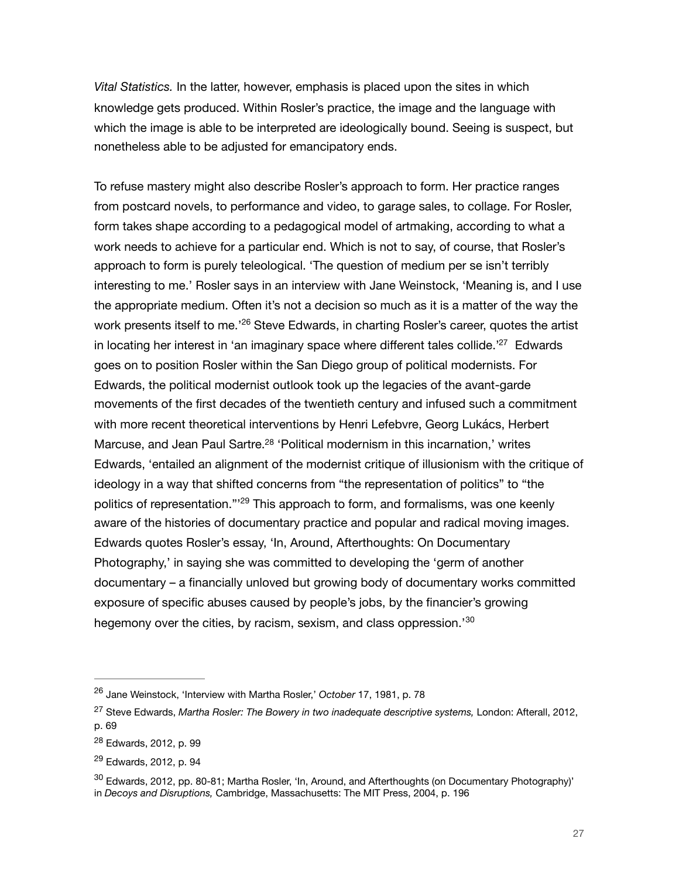*Vital Statistics.* In the latter, however, emphasis is placed upon the sites in which knowledge gets produced. Within Rosler's practice, the image and the language with which the image is able to be interpreted are ideologically bound. Seeing is suspect, but nonetheless able to be adjusted for emancipatory ends.

<span id="page-27-6"></span><span id="page-27-5"></span>To refuse mastery might also describe Rosler's approach to form. Her practice ranges from postcard novels, to performance and video, to garage sales, to collage. For Rosler, form takes shape according to a pedagogical model of artmaking, according to what a work needs to achieve for a particular end. Which is not to say, of course, that Rosler's approach to form is purely teleological. 'The question of medium per se isn't terribly interesting to me.' Rosler says in an interview with Jane Weinstock, 'Meaning is, and I use the appropriate medium. Often it's not a decision so much as it is a matter of the way the workpresents itself to me.<sup>'[26](#page-27-0)</sup> Steve Edwards, in charting Rosler's career, quotes the artist in locating her interest in ['](#page-27-1)an imaginary space where different tales collide.<sup>'[27](#page-27-1)</sup> Edwards goes on to position Rosler within the San Diego group of political modernists. For Edwards, the political modernist outlook took up the legacies of the avant-garde movements of the first decades of the twentieth century and infused such a commitment with more recent theoretical interventions by Henri Lefebvre, Georg Lukács, Herbert Marcuse, and Jean Paul Sartre[.](#page-27-2)<sup>[28](#page-27-2)</sup> 'Political modernism in this incarnation,' writes Edwards, 'entailed an alignment of the modernist critique of illusionism with the critique of ideology in a way that shifted concerns from "the representation of politics" to "the politics of representation."<sup>[29](#page-27-3)</sup> This approach to form, and formalisms, was one keenly aware of the histories of documentary practice and popular and radical moving images. Edwards quotes Rosler's essay, 'In, Around, Afterthoughts: On Documentary Photography,' in saying she was committed to developing the 'germ of another documentary – a financially unloved but growing body of documentary works committed exposure of specific abuses caused by people's jobs, by the financier's growing hegemony over the cities, by racism, sexism, and class oppression.<sup>[30](#page-27-4)</sup>

<span id="page-27-9"></span><span id="page-27-8"></span><span id="page-27-7"></span><span id="page-27-0"></span><sup>&</sup>lt;sup>[26](#page-27-5)</sup> Jane Weinstock, 'Interview with Martha Rosler,' October 17, 1981, p. 78

<span id="page-27-1"></span><sup>&</sup>lt;sup>[27](#page-27-6)</sup> Steve Edwards, *Martha Rosler: The Bowery in two inadequate descriptive systems, London: Afterall, 2012,* p. 69

<span id="page-27-2"></span><sup>&</sup>lt;sup>[28](#page-27-7)</sup> Edwards, 2012, p. 99

<span id="page-27-3"></span> $29$  Edwards, 2012, p. 94

<span id="page-27-4"></span><sup>&</sup>lt;sup>[30](#page-27-9)</sup> Edwards, 2012, pp. 80-81; Martha Rosler, 'In, Around, and Afterthoughts (on Documentary Photography)' in *Decoys and Disruptions,* Cambridge, Massachusetts: The MIT Press, 2004, p. 196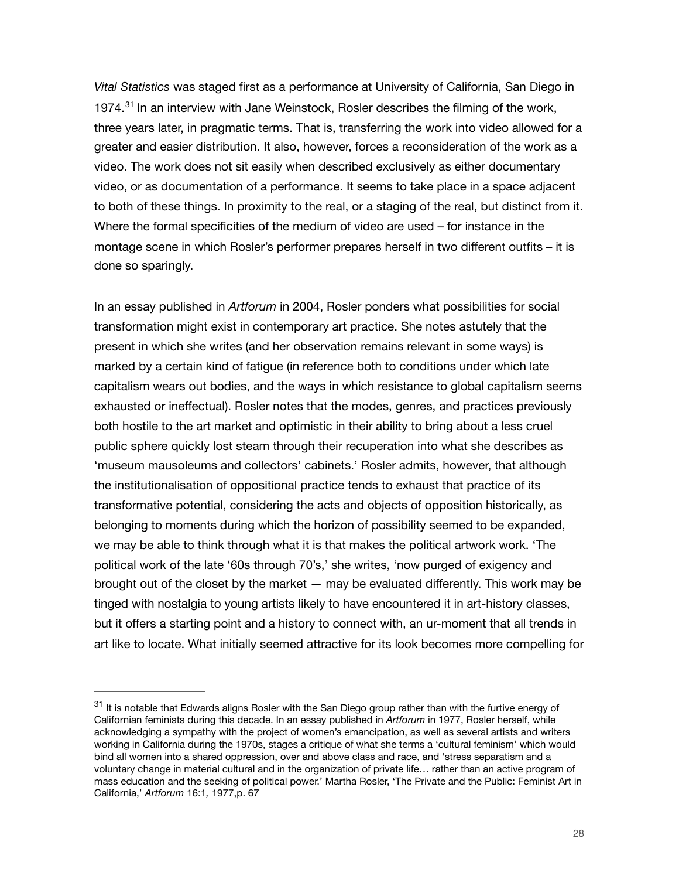<span id="page-28-1"></span>*Vital Statistics* was staged first as a performance at University of California, San Diego in 1974.<sup>31</sup>In an interview with Jane Weinstock, Rosler describes the filming of the work, three years later, in pragmatic terms. That is, transferring the work into video allowed for a greater and easier distribution. It also, however, forces a reconsideration of the work as a video. The work does not sit easily when described exclusively as either documentary video, or as documentation of a performance. It seems to take place in a space adjacent to both of these things. In proximity to the real, or a staging of the real, but distinct from it. Where the formal specificities of the medium of video are used – for instance in the montage scene in which Rosler's performer prepares herself in two different outfits – it is done so sparingly.

In an essay published in *Artforum* in 2004, Rosler ponders what possibilities for social transformation might exist in contemporary art practice. She notes astutely that the present in which she writes (and her observation remains relevant in some ways) is marked by a certain kind of fatigue (in reference both to conditions under which late capitalism wears out bodies, and the ways in which resistance to global capitalism seems exhausted or ineffectual). Rosler notes that the modes, genres, and practices previously both hostile to the art market and optimistic in their ability to bring about a less cruel public sphere quickly lost steam through their recuperation into what she describes as 'museum mausoleums and collectors' cabinets.' Rosler admits, however, that although the institutionalisation of oppositional practice tends to exhaust that practice of its transformative potential, considering the acts and objects of opposition historically, as belonging to moments during which the horizon of possibility seemed to be expanded, we may be able to think through what it is that makes the political artwork work. 'The political work of the late '60s through 70's,' she writes, 'now purged of exigency and brought out of the closet by the market — may be evaluated differently. This work may be tinged with nostalgia to young artists likely to have encountered it in art-history classes, but it offers a starting point and a history to connect with, an ur-moment that all trends in art like to locate. What initially seemed attractive for its look becomes more compelling for

<span id="page-28-0"></span> $31$  It is notable that Edwards aligns Rosler with the San Diego group rather than with the furtive energy of Californian feminists during this decade. In an essay published in *Artforum* in 1977, Rosler herself, while acknowledging a sympathy with the project of women's emancipation, as well as several artists and writers working in California during the 1970s, stages a critique of what she terms a 'cultural feminism' which would bind all women into a shared oppression, over and above class and race, and 'stress separatism and a voluntary change in material cultural and in the organization of private life… rather than an active program of mass education and the seeking of political power.' Martha Rosler, 'The Private and the Public: Feminist Art in California,' *Artforum* 16:1*,* 1977,p. 67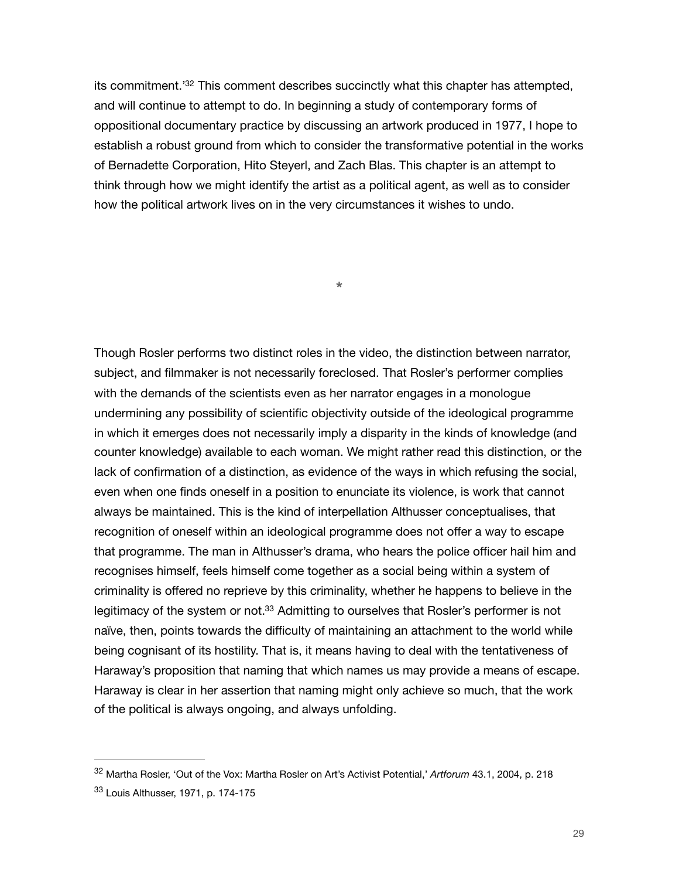<span id="page-29-2"></span>its commitment.<sup>'[32](#page-29-0)</sup> This comment describes succinctly what this chapter has attempted, and will continue to attempt to do. In beginning a study of contemporary forms of oppositional documentary practice by discussing an artwork produced in 1977, I hope to establish a robust ground from which to consider the transformative potential in the works of Bernadette Corporation, Hito Steyerl, and Zach Blas. This chapter is an attempt to think through how we might identify the artist as a political agent, as well as to consider how the political artwork lives on in the very circumstances it wishes to undo.

**\***

Though Rosler performs two distinct roles in the video, the distinction between narrator, subject, and filmmaker is not necessarily foreclosed. That Rosler's performer complies with the demands of the scientists even as her narrator engages in a monologue undermining any possibility of scientific objectivity outside of the ideological programme in which it emerges does not necessarily imply a disparity in the kinds of knowledge (and counter knowledge) available to each woman. We might rather read this distinction, or the lack of confirmation of a distinction, as evidence of the ways in which refusing the social, even when one finds oneself in a position to enunciate its violence, is work that cannot always be maintained. This is the kind of interpellation Althusser conceptualises, that recognition of oneself within an ideological programme does not offer a way to escape that programme. The man in Althusser's drama, who hears the police officer hail him and recognises himself, feels himself come together as a social being within a system of criminality is offered no reprieve by this criminality, whether he happens to believe in the legitimacy of the system or not[.](#page-29-1)<sup>[33](#page-29-1)</sup> Admitting to ourselves that Rosler's performer is not naïve, then, points towards the difficulty of maintaining an attachment to the world while being cognisant of its hostility. That is, it means having to deal with the tentativeness of Haraway's proposition that naming that which names us may provide a means of escape. Haraway is clear in her assertion that naming might only achieve so much, that the work of the political is always ongoing, and always unfolding.

<span id="page-29-3"></span><span id="page-29-0"></span><sup>&</sup>lt;sup>[32](#page-29-2)</sup> Martha Rosler, 'Out of the Vox: Martha Rosler on Art's Activist Potential,' Artforum 43.1, 2004, p. 218

<span id="page-29-1"></span>[<sup>33</sup>](#page-29-3) Louis Althusser, 1971, p. 174-175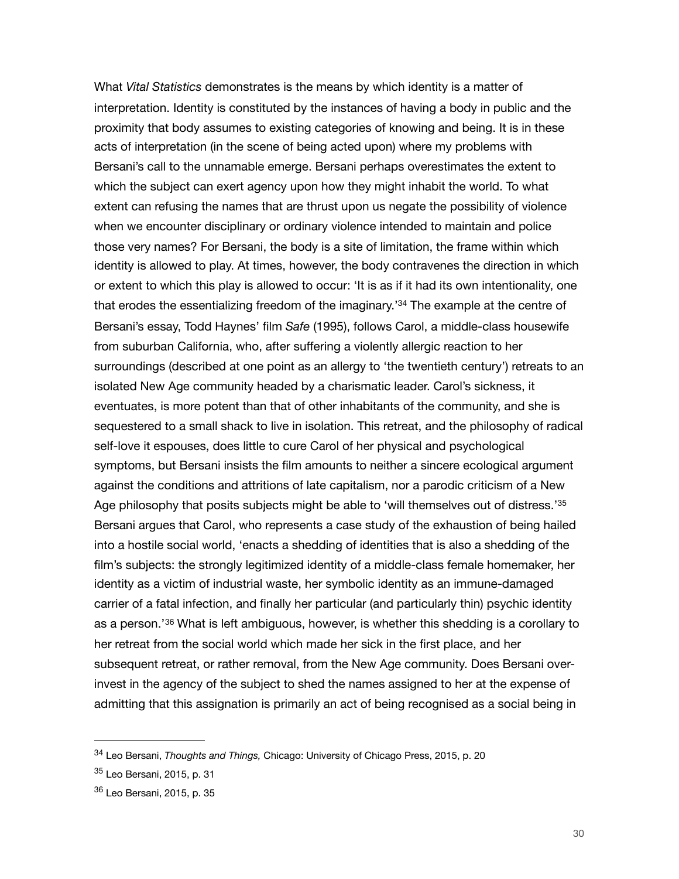<span id="page-30-3"></span>What *Vital Statistics* demonstrates is the means by which identity is a matter of interpretation. Identity is constituted by the instances of having a body in public and the proximity that body assumes to existing categories of knowing and being. It is in these acts of interpretation (in the scene of being acted upon) where my problems with Bersani's call to the unnamable emerge. Bersani perhaps overestimates the extent to which the subject can exert agency upon how they might inhabit the world. To what extent can refusing the names that are thrust upon us negate the possibility of violence when we encounter disciplinary or ordinary violence intended to maintain and police those very names? For Bersani, the body is a site of limitation, the frame within which identity is allowed to play. At times, however, the body contravenes the direction in which or extent to which this play is allowed to occur: 'It is as if it had its own intentionality, one that erodes the essentializing freedom of the imaginary.<sup>[34](#page-30-0)</sup> The example at the centre of Bersani's essay, Todd Haynes' film *Safe* (1995), follows Carol, a middle-class housewife from suburban California, who, after suffering a violently allergic reaction to her surroundings (described at one point as an allergy to 'the twentieth century') retreats to an isolated New Age community headed by a charismatic leader. Carol's sickness, it eventuates, is more potent than that of other inhabitants of the community, and she is sequestered to a small shack to live in isolation. This retreat, and the philosophy of radical self-love it espouses, does little to cure Carol of her physical and psychological symptoms, but Bersani insists the film amounts to neither a sincere ecological argument against the conditions and attritions of late capitalism, nor a parodic criticism of a New Age philosophy that posits subjects might be able to 'will themselves out of distress.'[35](#page-30-1) Bersani argues that Carol, who represents a case study of the exhaustion of being hailed into a hostile social world, 'enacts a shedding of identities that is also a shedding of the film's subjects: the strongly legitimized identity of a middle-class female homemaker, her identity as a victim of industrial waste, her symbolic identity as an immune-damaged carrier of a fatal infection, and finally her particular (and particularly thin) psychic identity asa person.'<sup>[36](#page-30-2)</sup> What is left ambiguous, however, is whether this shedding is a corollary to her retreat from the social world which made her sick in the first place, and her subsequent retreat, or rather removal, from the New Age community. Does Bersani overinvest in the agency of the subject to shed the names assigned to her at the expense of admitting that this assignation is primarily an act of being recognised as a social being in

<span id="page-30-5"></span><span id="page-30-4"></span><span id="page-30-0"></span>Leo Bersani, *Thoughts and Things,* Chicago: University of Chicago Press, 2015, p. 20 [34](#page-30-3)

<span id="page-30-1"></span><sup>&</sup>lt;sup>[35](#page-30-4)</sup> Leo Bersani, 2015, p. 31

<span id="page-30-2"></span><sup>&</sup>lt;sup>[36](#page-30-5)</sup> Leo Bersani, 2015, p. 35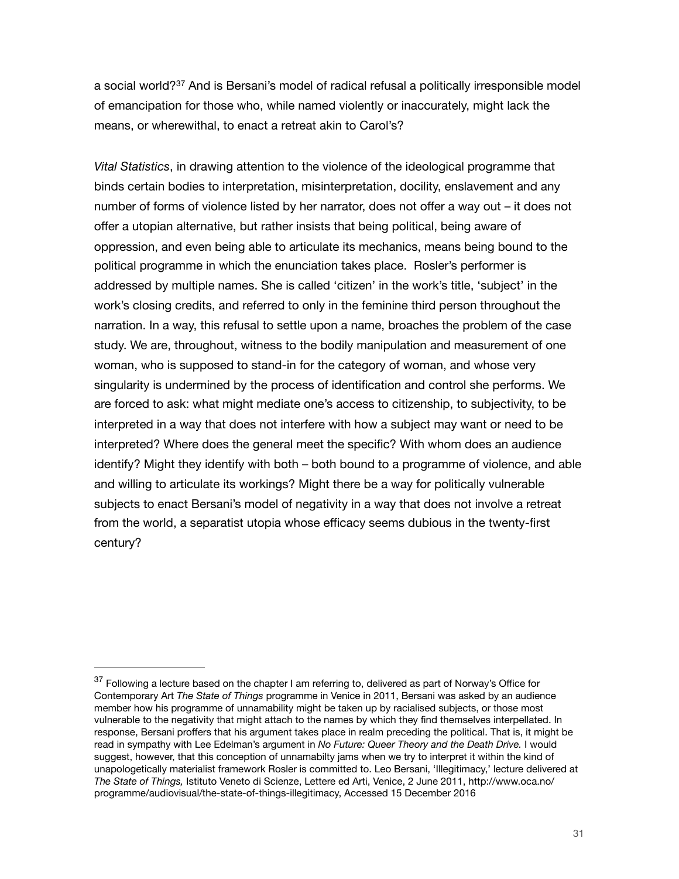<span id="page-31-1"></span>a social world?<sup>[37](#page-31-0)</sup> And is Bersani's model of radical refusal a politically irresponsible model of emancipation for those who, while named violently or inaccurately, might lack the means, or wherewithal, to enact a retreat akin to Carol's?

*Vital Statistics*, in drawing attention to the violence of the ideological programme that binds certain bodies to interpretation, misinterpretation, docility, enslavement and any number of forms of violence listed by her narrator, does not offer a way out – it does not offer a utopian alternative, but rather insists that being political, being aware of oppression, and even being able to articulate its mechanics, means being bound to the political programme in which the enunciation takes place. Rosler's performer is addressed by multiple names. She is called 'citizen' in the work's title, 'subject' in the work's closing credits, and referred to only in the feminine third person throughout the narration. In a way, this refusal to settle upon a name, broaches the problem of the case study. We are, throughout, witness to the bodily manipulation and measurement of one woman, who is supposed to stand-in for the category of woman, and whose very singularity is undermined by the process of identification and control she performs. We are forced to ask: what might mediate one's access to citizenship, to subjectivity, to be interpreted in a way that does not interfere with how a subject may want or need to be interpreted? Where does the general meet the specific? With whom does an audience identify? Might they identify with both – both bound to a programme of violence, and able and willing to articulate its workings? Might there be a way for politically vulnerable subjects to enact Bersani's model of negativity in a way that does not involve a retreat from the world, a separatist utopia whose efficacy seems dubious in the twenty-first century?

<span id="page-31-0"></span> $37$  Following a lecture based on the chapter I am referring to, delivered as part of Norway's Office for Contemporary Art *The State of Things* programme in Venice in 2011, Bersani was asked by an audience member how his programme of unnamability might be taken up by racialised subjects, or those most vulnerable to the negativity that might attach to the names by which they find themselves interpellated. In response, Bersani proffers that his argument takes place in realm preceding the political. That is, it might be read in sympathy with Lee Edelman's argument in *No Future: Queer Theory and the Death Drive.* I would suggest, however, that this conception of unnamabilty jams when we try to interpret it within the kind of unapologetically materialist framework Rosler is committed to. Leo Bersani, 'Illegitimacy,' lecture delivered at *The State of Things,* Istituto Veneto di Scienze, Lettere ed Arti, Venice, 2 June 2011, http://www.oca.no/ programme/audiovisual/the-state-of-things-illegitimacy, Accessed 15 December 2016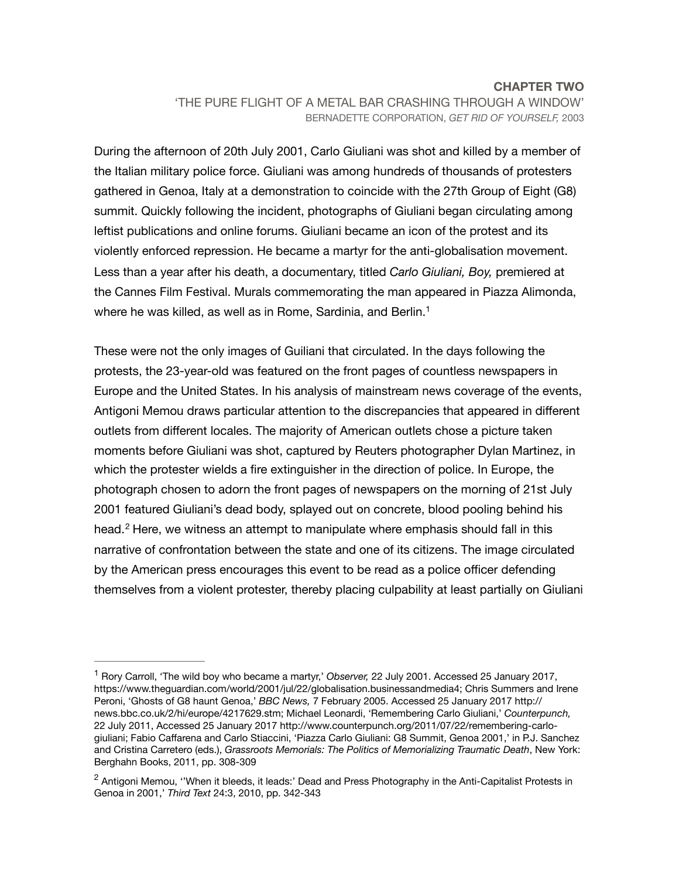#### **CHAPTER TWO** 'THE PURE FLIGHT OF A METAL BAR CRASHING THROUGH A WINDOW' BERNADETTE CORPORATION, *GET RID OF YOURSELF,* 2003

During the afternoon of 20th July 2001, Carlo Giuliani was shot and killed by a member of the Italian military police force. Giuliani was among hundreds of thousands of protesters gathered in Genoa, Italy at a demonstration to coincide with the 27th Group of Eight (G8) summit. Quickly following the incident, photographs of Giuliani began circulating among leftist publications and online forums. Giuliani became an icon of the protest and its violently enforced repression. He became a martyr for the anti-globalisation movement. Less than a year after his death, a documentary, titled *Carlo Giuliani, Boy,* premiered at the Cannes Film Festival. Murals commemorating the man appeared in Piazza Alimonda, where he was killed, as well as in Rome, Sardinia, and Berlin.<sup>1</sup>

<span id="page-32-2"></span>These were not the only images of Guiliani that circulated. In the days following the protests, the 23-year-old was featured on the front pages of countless newspapers in Europe and the United States. In his analysis of mainstream news coverage of the events, Antigoni Memou draws particular attention to the discrepancies that appeared in different outlets from different locales. The majority of American outlets chose a picture taken moments before Giuliani was shot, captured by Reuters photographer Dylan Martinez, in which the protester wields a fire extinguisher in the direction of police. In Europe, the photograph chosen to adorn the front pages of newspapers on the morning of 21st July 2001 featured Giuliani's dead body, splayed out on concrete, blood pooling behind his head. $<sup>2</sup>$  $<sup>2</sup>$  $<sup>2</sup>$  Here, we witness an attempt to manipulate where emphasis should fall in this</sup> narrative of confrontation between the state and one of its citizens. The image circulated by the American press encourages this event to be read as a police officer defending themselves from a violent protester, thereby placing culpability at least partially on Giuliani

<span id="page-32-3"></span><span id="page-32-0"></span><sup>&</sup>lt;sup>[1](#page-32-2)</sup> Rory Carroll, 'The wild boy who became a martyr,' *Observer*, 22 July 2001. Accessed 25 January 2017, https://www.theguardian.com/world/2001/jul/22/globalisation.businessandmedia4; Chris Summers and Irene Peroni, 'Ghosts of G8 haunt Genoa,' *BBC News,* 7 February 2005. Accessed 25 January 2017 http:// news.bbc.co.uk/2/hi/europe/4217629.stm; Michael Leonardi, 'Remembering Carlo Giuliani,' *Counterpunch,*  22 July 2011, Accessed 25 January 2017 http://www.counterpunch.org/2011/07/22/remembering-carlogiuliani; Fabio Caffarena and Carlo Stiaccini, 'Piazza Carlo Giuliani: G8 Summit, Genoa 2001,' in P.J. Sanchez and Cristina Carretero (eds.), *Grassroots Memorials: The Politics of Memorializing Traumatic Death*, New York: Berghahn Books, 2011, pp. 308-309

<span id="page-32-1"></span><sup>&</sup>lt;sup>[2](#page-32-3)</sup> Antigoni Memou, "When it bleeds, it leads:' Dead and Press Photography in the Anti-Capitalist Protests in Genoa in 2001,' *Third Text* 24:3, 2010, pp. 342-343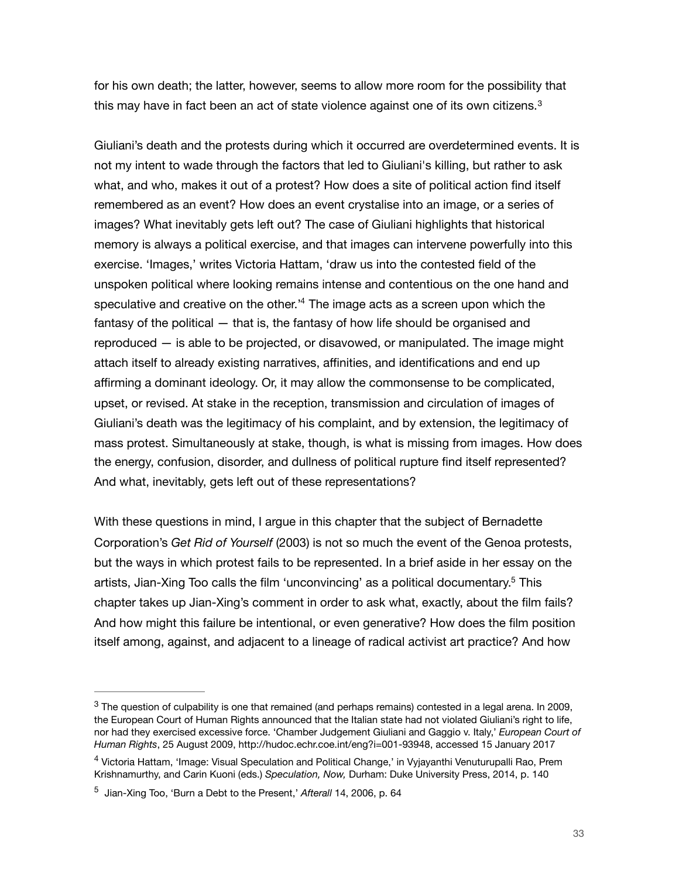for his own death; the latter, however, seems to allow more room for the possibility that this may have in fact been an act of state violence against one of its own citizens.<sup>[3](#page-33-0)</sup>

<span id="page-33-4"></span><span id="page-33-3"></span>Giuliani's death and the protests during which it occurred are overdetermined events. It is not my intent to wade through the factors that led to Giuliani's killing, but rather to ask what, and who, makes it out of a protest? How does a site of political action find itself remembered as an event? How does an event crystalise into an image, or a series of images? What inevitably gets left out? The case of Giuliani highlights that historical memory is always a political exercise, and that images can intervene powerfully into this exercise. 'Images,' writes Victoria Hattam, 'draw us into the contested field of the unspoken political where looking remains intense and contentious on the one hand and speculative and creative on the other.<sup> $14$  $14$ </sup> The image acts as a screen upon which the fantasy of the political — that is, the fantasy of how life should be organised and reproduced — is able to be projected, or disavowed, or manipulated. The image might attach itself to already existing narratives, affinities, and identifications and end up affirming a dominant ideology. Or, it may allow the commonsense to be complicated, upset, or revised. At stake in the reception, transmission and circulation of images of Giuliani's death was the legitimacy of his complaint, and by extension, the legitimacy of mass protest. Simultaneously at stake, though, is what is missing from images. How does the energy, confusion, disorder, and dullness of political rupture find itself represented? And what, inevitably, gets left out of these representations?

<span id="page-33-5"></span>With these questions in mind, I argue in this chapter that the subject of Bernadette Corporation's *Get Rid of Yourself* (2003) is not so much the event of the Genoa protests, but the ways in which protest fails to be represented. In a brief aside in her essay on the artists, Jian-Xing Too calls the film 'unconvincing' as a political documentary[.](#page-33-2)<sup>[5](#page-33-2)</sup> This chapter takes up Jian-Xing's comment in order to ask what, exactly, about the film fails? And how might this failure be intentional, or even generative? How does the film position itself among, against, and adjacent to a lineage of radical activist art practice? And how

<span id="page-33-0"></span> $3$  The question of culpability is one that remained (and perhaps remains) contested in a legal arena. In 2009, the European Court of Human Rights announced that the Italian state had not violated Giuliani's right to life, nor had they exercised excessive force. 'Chamber Judgement Giuliani and Gaggio v. Italy,' *European Court of Human Rights*, 25 August 2009, http://hudoc.echr.coe.int/eng?i=001-93948, accessed 15 January 2017

<span id="page-33-1"></span><sup>&</sup>lt;sup>[4](#page-33-4)</sup> Victoria Hattam, 'Image: Visual Speculation and Political Change,' in Vyjayanthi Venuturupalli Rao, Prem Krishnamurthy, and Carin Kuoni (eds.) *Speculation, Now,* Durham: Duke University Press, 2014, p. 140

<span id="page-33-2"></span><sup>&</sup>lt;sup>[5](#page-33-5)</sup> Jian-Xing Too, 'Burn a Debt to the Present,' *Afterall* 14, 2006, p. 64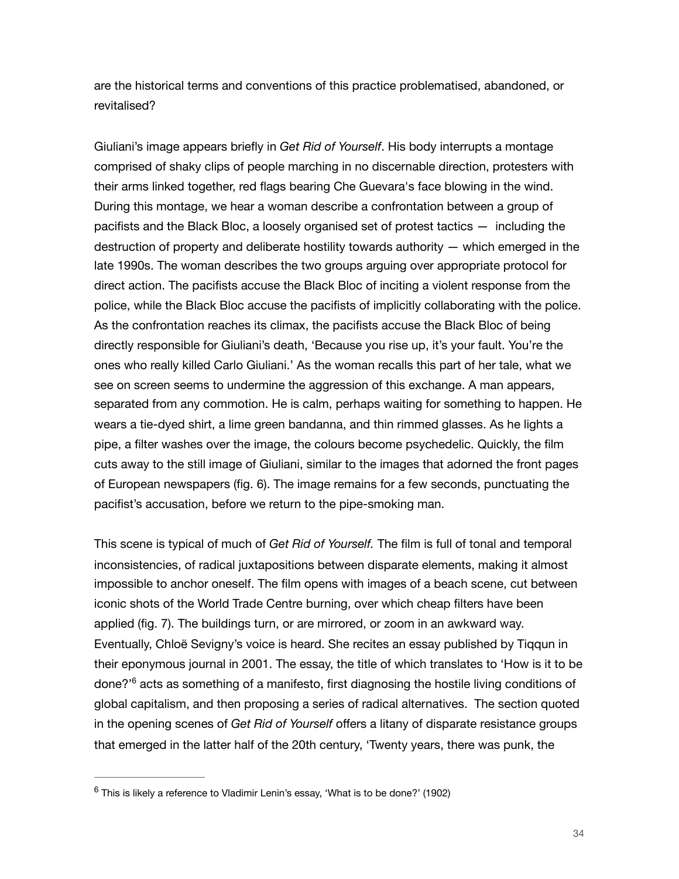are the historical terms and conventions of this practice problematised, abandoned, or revitalised?

Giuliani's image appears briefly in *Get Rid of Yourself*. His body interrupts a montage comprised of shaky clips of people marching in no discernable direction, protesters with their arms linked together, red flags bearing Che Guevara's face blowing in the wind. During this montage, we hear a woman describe a confrontation between a group of pacifists and the Black Bloc, a loosely organised set of protest tactics — including the destruction of property and deliberate hostility towards authority — which emerged in the late 1990s. The woman describes the two groups arguing over appropriate protocol for direct action. The pacifists accuse the Black Bloc of inciting a violent response from the police, while the Black Bloc accuse the pacifists of implicitly collaborating with the police. As the confrontation reaches its climax, the pacifists accuse the Black Bloc of being directly responsible for Giuliani's death, 'Because you rise up, it's your fault. You're the ones who really killed Carlo Giuliani.' As the woman recalls this part of her tale, what we see on screen seems to undermine the aggression of this exchange. A man appears, separated from any commotion. He is calm, perhaps waiting for something to happen. He wears a tie-dyed shirt, a lime green bandanna, and thin rimmed glasses. As he lights a pipe, a filter washes over the image, the colours become psychedelic. Quickly, the film cuts away to the still image of Giuliani, similar to the images that adorned the front pages of European newspapers (fig. 6). The image remains for a few seconds, punctuating the pacifist's accusation, before we return to the pipe-smoking man.

This scene is typical of much of *Get Rid of Yourself.* The film is full of tonal and temporal inconsistencies, of radical juxtapositions between disparate elements, making it almost impossible to anchor oneself. The film opens with images of a beach scene, cut between iconic shots of the World Trade Centre burning, over which cheap filters have been applied (fig. 7). The buildings turn, or are mirrored, or zoom in an awkward way. Eventually, Chloë Sevigny's voice is heard. She recites an essay published by Tiqqun in their eponymous journal in 2001. The essay, the title of which translates to 'How is it to be done?['](#page-34-0)<sup>[6](#page-34-0)</sup> acts as something of a manifesto, first diagnosing the hostile living conditions of global capitalism, and then proposing a series of radical alternatives. The section quoted in the opening scenes of *Get Rid of Yourself* offers a litany of disparate resistance groups that emerged in the latter half of the 20th century, 'Twenty years, there was punk, the

<span id="page-34-1"></span><span id="page-34-0"></span> $6$  This is likely a reference to Vladimir Lenin's essay, 'What is to be done?' (1902)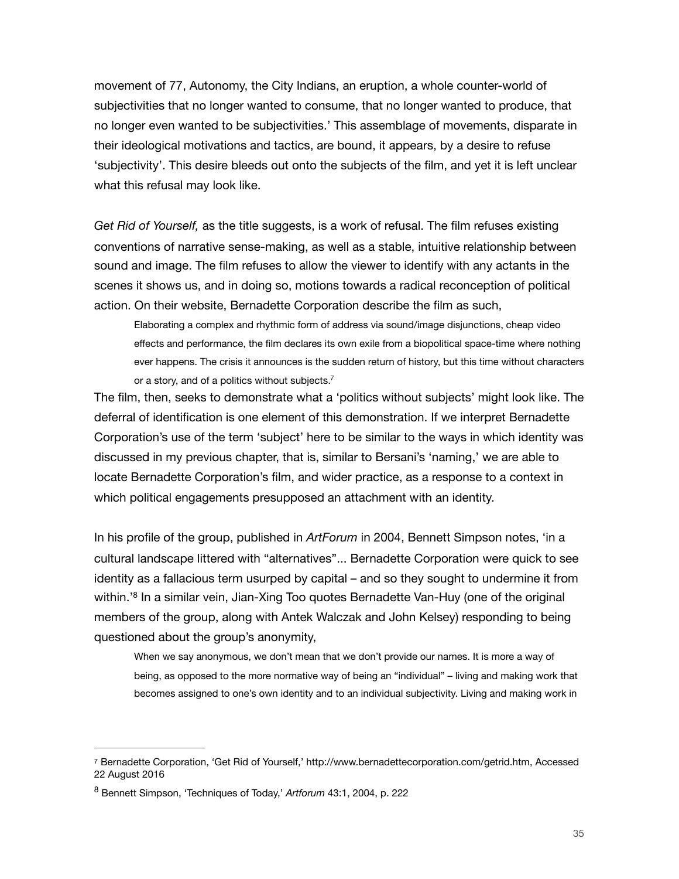movement of 77, Autonomy, the City Indians, an eruption, a whole counter-world of subjectivities that no longer wanted to consume, that no longer wanted to produce, that no longer even wanted to be subjectivities.' This assemblage of movements, disparate in their ideological motivations and tactics, are bound, it appears, by a desire to refuse 'subjectivity'. This desire bleeds out onto the subjects of the film, and yet it is left unclear what this refusal may look like.

*Get Rid of Yourself,* as the title suggests, is a work of refusal. The film refuses existing conventions of narrative sense-making, as well as a stable, intuitive relationship between sound and image. The film refuses to allow the viewer to identify with any actants in the scenes it shows us, and in doing so, motions towards a radical reconception of political action. On their website, Bernadette Corporation describe the film as such,

<span id="page-35-2"></span>Elaborating a complex and rhythmic form of address via sound/image disjunctions, cheap video effects and performance, the film declares its own exile from a biopolitical space-time where nothing ever happens. The crisis it announces is the sudden return of history, but this time without characters or a story, and of a politics without subjects.<sup>7</sup>

The film, then, seeks to demonstrate what a 'politics without subjects' might look like. The deferral of identification is one element of this demonstration. If we interpret Bernadette Corporation's use of the term 'subject' here to be similar to the ways in which identity was discussed in my previous chapter, that is, similar to Bersani's 'naming,' we are able to locate Bernadette Corporation's film, and wider practice, as a response to a context in which political engagements presupposed an attachment with an identity.

In his profile of the group, published in *ArtForum* in 2004, Bennett Simpson notes, 'in a cultural landscape littered with "alternatives"... Bernadette Corporation were quick to see identity as a fallacious term usurped by capital – and so they sought to undermine it from within.['](#page-35-1)<sup>[8](#page-35-1)</sup> In a similar vein, Jian-Xing Too quotes Bernadette Van-Huy (one of the original members of the group, along with Antek Walczak and John Kelsey) responding to being questioned about the group's anonymity,

<span id="page-35-3"></span>When we say anonymous, we don't mean that we don't provide our names. It is more a way of being, as opposed to the more normative way of being an "individual" – living and making work that becomes assigned to one's own identity and to an individual subjectivity. Living and making work in

<span id="page-35-0"></span><sup>&</sup>lt;sup>[7](#page-35-2)</sup> Bernadette Corporation, 'Get Rid of Yourself,' http://www.bernadettecorporation.com/getrid.htm, Accessed 22 August 2016

<span id="page-35-1"></span>Bennett Simpson, 'Techniques of Today,' *Artforum* 43:1, 2004, p. 222 [8](#page-35-3)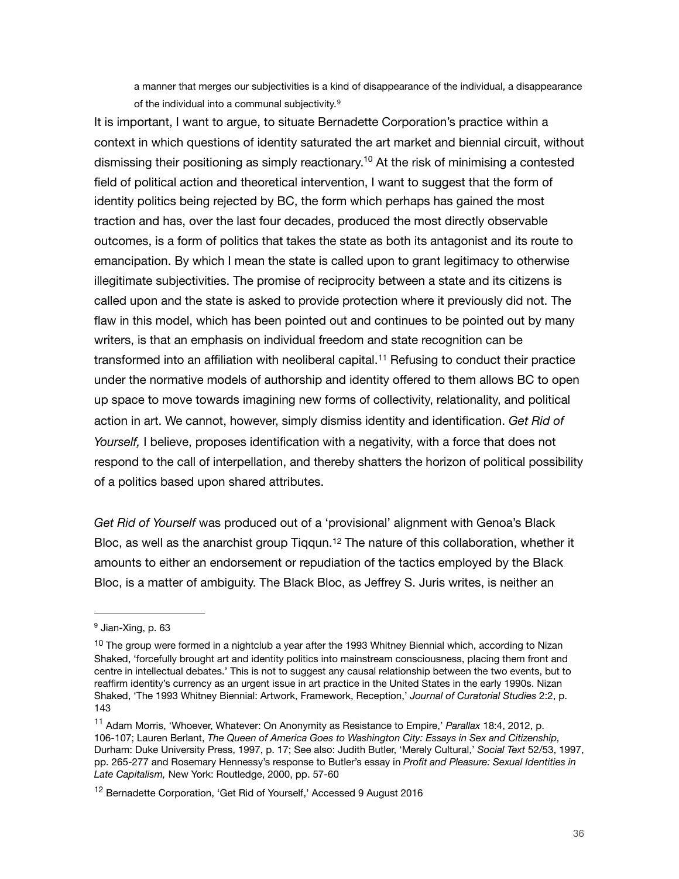<span id="page-36-5"></span><span id="page-36-4"></span>a manner that merges our subjectivities is a kind of disappearance of the individual, a disappearance of the individual into a communal subjectivity.<sup>[9](#page-36-0)</sup>

It is important, I want to argue, to situate Bernadette Corporation's practice within a context in which questions of identity saturated the art market and biennial circuit, without dismissing their positioning as simply reactionary[.](#page-36-1)<sup>[10](#page-36-1)</sup> At the risk of minimising a contested field of political action and theoretical intervention, I want to suggest that the form of identity politics being rejected by BC, the form which perhaps has gained the most traction and has, over the last four decades, produced the most directly observable outcomes, is a form of politics that takes the state as both its antagonist and its route to emancipation. By which I mean the state is called upon to grant legitimacy to otherwise illegitimate subjectivities. The promise of reciprocity between a state and its citizens is called upon and the state is asked to provide protection where it previously did not. The flaw in this model, which has been pointed out and continues to be pointed out by many writers, is that an emphasis on individual freedom and state recognition can be transformed into an affiliation with neoliberal capital.<sup>[11](#page-36-2)</sup> Refusing to conduct their practice under the normative models of authorship and identity offered to them allows BC to open up space to move towards imagining new forms of collectivity, relationality, and political action in art. We cannot, however, simply dismiss identity and identification. *Get Rid of Yourself,* I believe, proposes identification with a negativity, with a force that does not respond to the call of interpellation, and thereby shatters the horizon of political possibility of a politics based upon shared attributes.

<span id="page-36-7"></span><span id="page-36-6"></span>*Get Rid of Yourself* was produced out of a 'provisional' alignment with Genoa's Black Bloc,as well as the anarchist group Tiqqun.<sup>[12](#page-36-3)</sup> The nature of this collaboration, whether it amounts to either an endorsement or repudiation of the tactics employed by the Black Bloc, is a matter of ambiguity. The Black Bloc, as Jeffrey S. Juris writes, is neither an

<span id="page-36-0"></span> $9$  Jian-Xing, p. 63

<span id="page-36-1"></span> $10$  The group were formed in a nightclub a year after the 1993 Whitney Biennial which, according to Nizan Shaked, 'forcefully brought art and identity politics into mainstream consciousness, placing them front and centre in intellectual debates.' This is not to suggest any causal relationship between the two events, but to reaffirm identity's currency as an urgent issue in art practice in the United States in the early 1990s. Nizan Shaked, 'The 1993 Whitney Biennial: Artwork, Framework, Reception,' *Journal of Curatorial Studies* 2:2, p. 143

<span id="page-36-2"></span><sup>&</sup>lt;sup>[11](#page-36-6)</sup> Adam Morris, 'Whoever, Whatever: On Anonymity as Resistance to Empire,' *Parallax* 18:4, 2012, p. 106-107; Lauren Berlant, *The Queen of America Goes to Washington City: Essays in Sex and Citizenship,*  Durham: Duke University Press, 1997, p. 17; See also: Judith Butler, 'Merely Cultural,' *Social Text* 52/53, 1997, pp. 265-277 and Rosemary Hennessy's response to Butler's essay in *Profit and Pleasure: Sexual Identities in Late Capitalism,* New York: Routledge, 2000, pp. 57-60

<span id="page-36-3"></span><sup>&</sup>lt;sup>[12](#page-36-7)</sup> Bernadette Corporation, 'Get Rid of Yourself,' Accessed 9 August 2016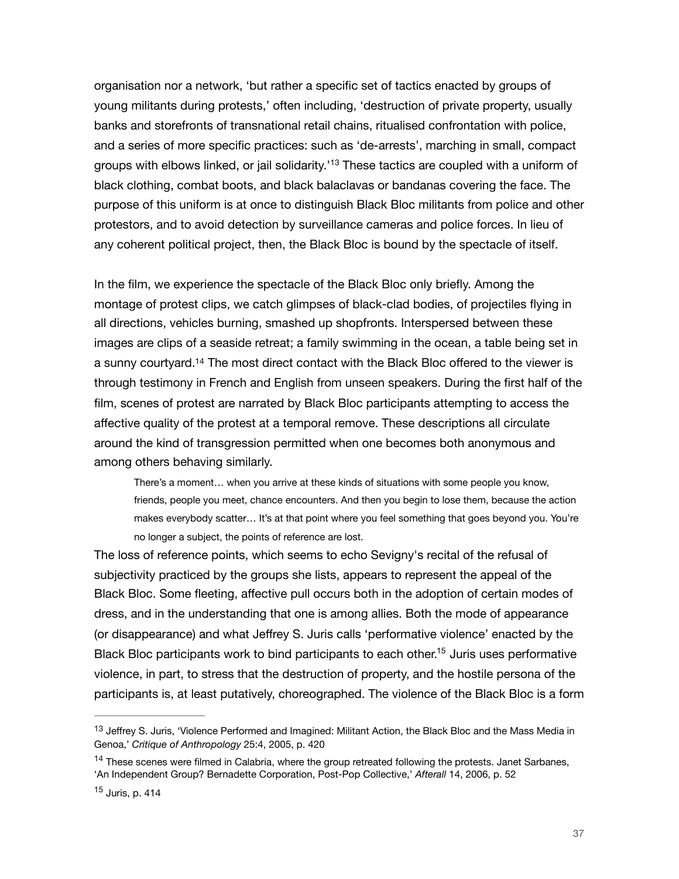<span id="page-37-3"></span>organisation nor a network, 'but rather a specific set of tactics enacted by groups of young militants during protests,' often including, 'destruction of private property, usually banks and storefronts of transnational retail chains, ritualised confrontation with police, and a series of more specific practices: such as 'de-arrests', marching in small, compact groups with elbows linked, or jail solidarity.<sup>[13](#page-37-0)</sup> These tactics are coupled with a uniform of black clothing, combat boots, and black balaclavas or bandanas covering the face. The purpose of this uniform is at once to distinguish Black Bloc militants from police and other protestors, and to avoid detection by surveillance cameras and police forces. In lieu of any coherent political project, then, the Black Bloc is bound by the spectacle of itself.

In the film, we experience the spectacle of the Black Bloc only briefly. Among the montage of protest clips, we catch glimpses of black-clad bodies, of projectiles flying in all directions, vehicles burning, smashed up shopfronts. Interspersed between these images are clips of a seaside retreat; a family swimming in the ocean, a table being set in a sunny courtyard.<sup>[14](#page-37-1)</sup> The most direct contact with the Black Bloc offered to the viewer is through testimony in French and English from unseen speakers. During the first half of the film, scenes of protest are narrated by Black Bloc participants attempting to access the affective quality of the protest at a temporal remove. These descriptions all circulate around the kind of transgression permitted when one becomes both anonymous and among others behaving similarly.

<span id="page-37-4"></span>There's a moment… when you arrive at these kinds of situations with some people you know, friends, people you meet, chance encounters. And then you begin to lose them, because the action makes everybody scatter… It's at that point where you feel something that goes beyond you. You're no longer a subject, the points of reference are lost.

The loss of reference points, which seems to echo Sevigny's recital of the refusal of subjectivity practiced by the groups she lists, appears to represent the appeal of the Black Bloc. Some fleeting, affective pull occurs both in the adoption of certain modes of dress, and in the understanding that one is among allies. Both the mode of appearance (or disappearance) and what Jeffrey S. Juris calls 'performative violence' enacted by the Black Bloc participants work to bind participants to each other.<sup>[15](#page-37-2)</sup> Juris uses performative violence, in part, to stress that the destruction of property, and the hostile persona of the participants is, at least putatively, choreographed. The violence of the Black Bloc is a form

<span id="page-37-5"></span><span id="page-37-0"></span><sup>&</sup>lt;sup>[13](#page-37-3)</sup> Jeffrey S. Juris, 'Violence Performed and Imagined: Militant Action, the Black Bloc and the Mass Media in Genoa,' *Critique of Anthropology* 25:4, 2005, p. 420

<span id="page-37-1"></span> $14$  These scenes were filmed in Calabria, where the group retreated following the protests. Janet Sarbanes, 'An Independent Group? Bernadette Corporation, Post-Pop Collective,' *Afterall* 14, 2006, p. 52

<span id="page-37-2"></span> $15$  Juris, p. 414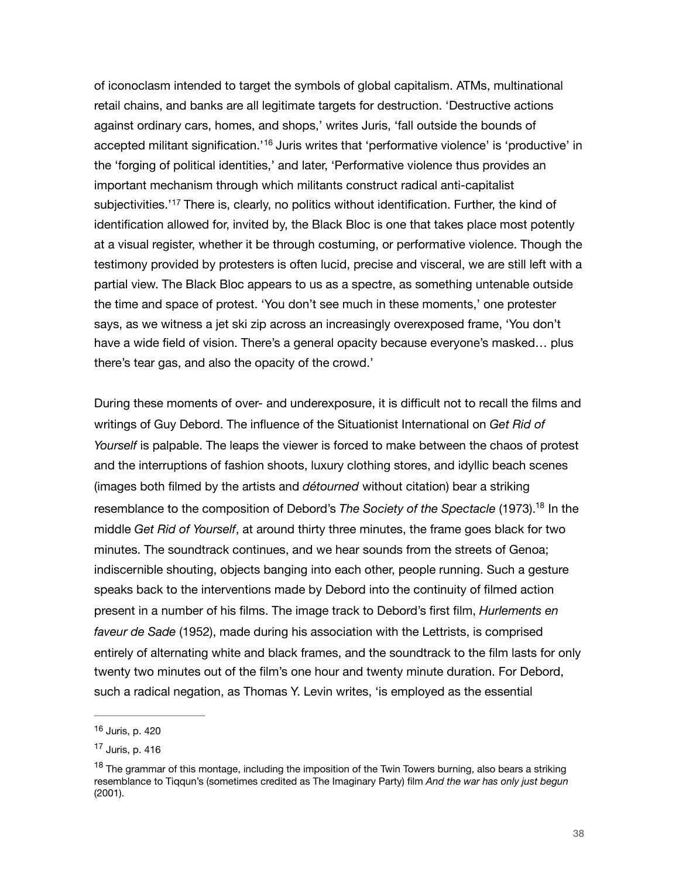<span id="page-38-4"></span><span id="page-38-3"></span>of iconoclasm intended to target the symbols of global capitalism. ATMs, multinational retail chains, and banks are all legitimate targets for destruction. 'Destructive actions against ordinary cars, homes, and shops,' writes Juris, 'fall outside the bounds of acceptedmilitant signification.<sup>'[16](#page-38-0)</sup> Juris writes that 'performative violence' is 'productive' in the 'forging of political identities,' and later, 'Performative violence thus provides an important mechanism through which militants construct radical anti-capitalist subjectivities.'<sup>17</sup>There is, clearly, no politics without identification. Further, the kind of identification allowed for, invited by, the Black Bloc is one that takes place most potently at a visual register, whether it be through costuming, or performative violence. Though the testimony provided by protesters is often lucid, precise and visceral, we are still left with a partial view. The Black Bloc appears to us as a spectre, as something untenable outside the time and space of protest. 'You don't see much in these moments,' one protester says, as we witness a jet ski zip across an increasingly overexposed frame, 'You don't have a wide field of vision. There's a general opacity because everyone's masked… plus there's tear gas, and also the opacity of the crowd.'

<span id="page-38-5"></span>During these moments of over- and underexposure, it is difficult not to recall the films and writings of Guy Debord. The influence of the Situationist International on *Get Rid of Yourself* is palpable. The leaps the viewer is forced to make between the chaos of protest and the interruptions of fashion shoots, luxury clothing stores, and idyllic beach scenes (images both filmed by the artists and *détourned* without citation) bear a striking resemblance to the composition of Debord's *The Society of the Spectacle* (1973).<sup>[18](#page-38-2)</sup> In the middle *Get Rid of Yourself*, at around thirty three minutes, the frame goes black for two minutes. The soundtrack continues, and we hear sounds from the streets of Genoa; indiscernible shouting, objects banging into each other, people running. Such a gesture speaks back to the interventions made by Debord into the continuity of filmed action present in a number of his films. The image track to Debord's first film, *Hurlements en faveur de Sade* (1952), made during his association with the Lettrists, is comprised entirely of alternating white and black frames, and the soundtrack to the film lasts for only twenty two minutes out of the film's one hour and twenty minute duration. For Debord, such a radical negation, as Thomas Y. Levin writes, 'is employed as the essential

<span id="page-38-0"></span><sup>&</sup>lt;sup>[16](#page-38-3)</sup> Juris, p. 420

<span id="page-38-1"></span> $17$  Juris, p. 416

<span id="page-38-2"></span> $18$  The grammar of this montage, including the imposition of the Twin Towers burning, also bears a striking resemblance to Tiqqun's (sometimes credited as The Imaginary Party) film *And the war has only just begun*  (2001).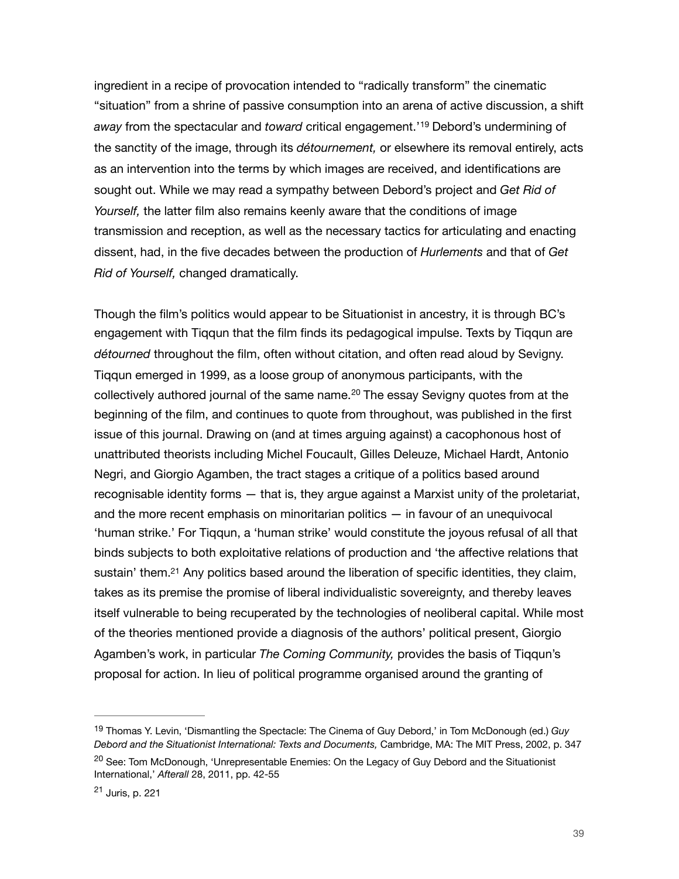<span id="page-39-3"></span>ingredient in a recipe of provocation intended to "radically transform" the cinematic "situation" from a shrine of passive consumption into an arena of active discussion, a shift *away*from the spectacular and *toward* critical engagement.<sup>'[19](#page-39-0)</sup> Debord's undermining of the sanctity of the image, through its *détournement,* or elsewhere its removal entirely, acts as an intervention into the terms by which images are received, and identifications are sought out. While we may read a sympathy between Debord's project and *Get Rid of Yourself,* the latter film also remains keenly aware that the conditions of image transmission and reception, as well as the necessary tactics for articulating and enacting dissent, had, in the five decades between the production of *Hurlements* and that of *Get Rid of Yourself,* changed dramatically.

<span id="page-39-4"></span>Though the film's politics would appear to be Situationist in ancestry, it is through BC's engagement with Tiqqun that the film finds its pedagogical impulse. Texts by Tiqqun are *détourned* throughout the film, often without citation, and often read aloud by Sevigny. Tiqqun emerged in 1999, as a loose group of anonymous participants, with the collectivelyauthored journal of the same name. $20$  The essay Sevigny quotes from at the beginning of the film, and continues to quote from throughout, was published in the first issue of this journal. Drawing on (and at times arguing against) a cacophonous host of unattributed theorists including Michel Foucault, Gilles Deleuze, Michael Hardt, Antonio Negri, and Giorgio Agamben, the tract stages a critique of a politics based around recognisable identity forms — that is, they argue against a Marxist unity of the proletariat, and the more recent emphasis on minoritarian politics — in favour of an unequivocal 'human strike.' For Tiqqun, a 'human strike' would constitute the joyous refusal of all that binds subjects to both exploitative relations of production and 'the affective relations that sustain' them[.](#page-39-2)<sup>[21](#page-39-2)</sup> Any politics based around the liberation of specific identities, they claim, takes as its premise the promise of liberal individualistic sovereignty, and thereby leaves itself vulnerable to being recuperated by the technologies of neoliberal capital. While most of the theories mentioned provide a diagnosis of the authors' political present, Giorgio Agamben's work, in particular *The Coming Community,* provides the basis of Tiqqun's proposal for action. In lieu of political programme organised around the granting of

<span id="page-39-5"></span><span id="page-39-0"></span><sup>&</sup>lt;sup>[19](#page-39-3)</sup> Thomas Y. Levin, 'Dismantling the Spectacle: The Cinema of Guy Debord,' in Tom McDonough (ed.) *Guy Debord and the Situationist International: Texts and Documents,* Cambridge, MA: The MIT Press, 2002, p. 347

<span id="page-39-1"></span> $20$  See: Tom McDonough, 'Unrepresentable Enemies: On the Legacy of Guy Debord and the Situationist International,' *Afterall* 28, 2011, pp. 42-55

<span id="page-39-2"></span> $21$  Juris, p. 221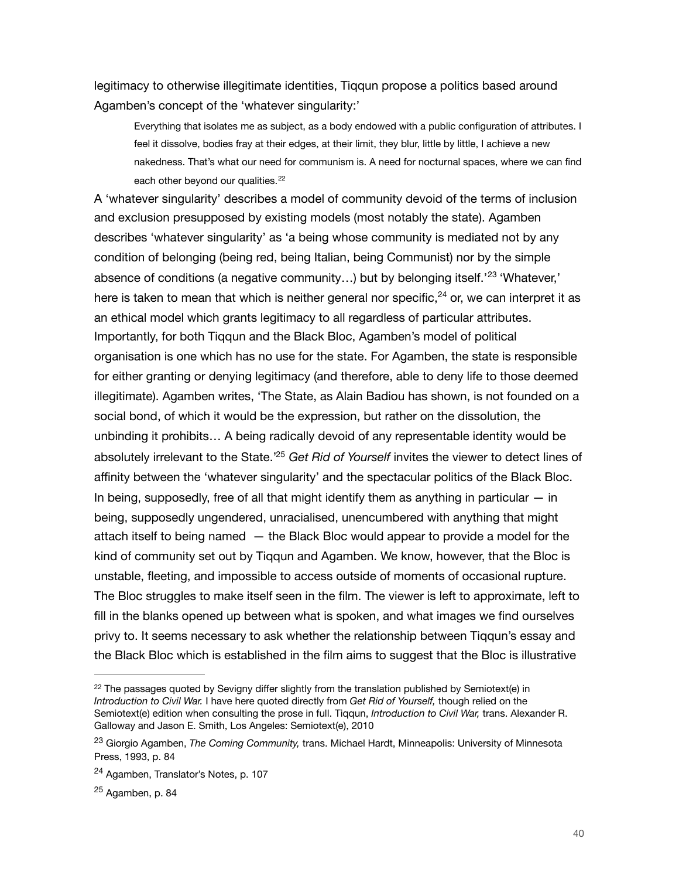legitimacy to otherwise illegitimate identities, Tiqqun propose a politics based around Agamben's concept of the 'whatever singularity:'

<span id="page-40-6"></span><span id="page-40-5"></span><span id="page-40-4"></span>Everything that isolates me as subject, as a body endowed with a public configuration of attributes. I feel it dissolve, bodies fray at their edges, at their limit, they blur, little by little, I achieve a new nakedness. That's what our need for communism is. A need for nocturnal spaces, where we can find each other beyond our qualities.<sup>[22](#page-40-0)</sup>

A 'whatever singularity' describes a model of community devoid of the terms of inclusion and exclusion presupposed by existing models (most notably the state). Agamben describes 'whatever singularity' as 'a being whose community is mediated not by any condition of belonging (being red, being Italian, being Communist) nor by the simple absenceof conditions (a negative community...) but by belonging itself.<sup>'[23](#page-40-1)</sup> 'Whatever,' here is taken to mean that which is neither general nor specific,  $24$  or, we can interpret it as an ethical model which grants legitimacy to all regardless of particular attributes. Importantly, for both Tiqqun and the Black Bloc, Agamben's model of political organisation is one which has no use for the state. For Agamben, the state is responsible for either granting or denying legitimacy (and therefore, able to deny life to those deemed illegitimate). Agamben writes, 'The State, as Alain Badiou has shown, is not founded on a social bond, of which it would be the expression, but rather on the dissolution, the unbinding it prohibits… A being radically devoid of any representable identity would be absolutely irrelevant to the State.<sup>'[25](#page-40-3)</sup> Get Rid of Yourself invites the viewer to detect lines of affinity between the 'whatever singularity' and the spectacular politics of the Black Bloc. In being, supposedly, free of all that might identify them as anything in particular  $-$  in being, supposedly ungendered, unracialised, unencumbered with anything that might attach itself to being named — the Black Bloc would appear to provide a model for the kind of community set out by Tiqqun and Agamben. We know, however, that the Bloc is unstable, fleeting, and impossible to access outside of moments of occasional rupture. The Bloc struggles to make itself seen in the film. The viewer is left to approximate, left to fill in the blanks opened up between what is spoken, and what images we find ourselves privy to. It seems necessary to ask whether the relationship between Tiqqun's essay and the Black Bloc which is established in the film aims to suggest that the Bloc is illustrative

<span id="page-40-7"></span><span id="page-40-0"></span> $22$  The passages quoted by Sevigny differ slightly from the translation published by Semiotext(e) in *Introduction to Civil War.* I have here quoted directly from *Get Rid of Yourself,* though relied on the Semiotext(e) edition when consulting the prose in full. Tiqqun, *Introduction to Civil War,* trans. Alexander R. Galloway and Jason E. Smith, Los Angeles: Semiotext(e), 2010

<span id="page-40-1"></span><sup>&</sup>lt;sup>[23](#page-40-5)</sup> Giorgio Agamben, *The Coming Community*, *trans. Michael Hardt, Minneapolis: University of Minnesota* Press, 1993, p. 84

<span id="page-40-2"></span><sup>&</sup>lt;sup>[24](#page-40-6)</sup> Agamben, Translator's Notes, p. 107

<span id="page-40-3"></span> $25$  Agamben, p. 84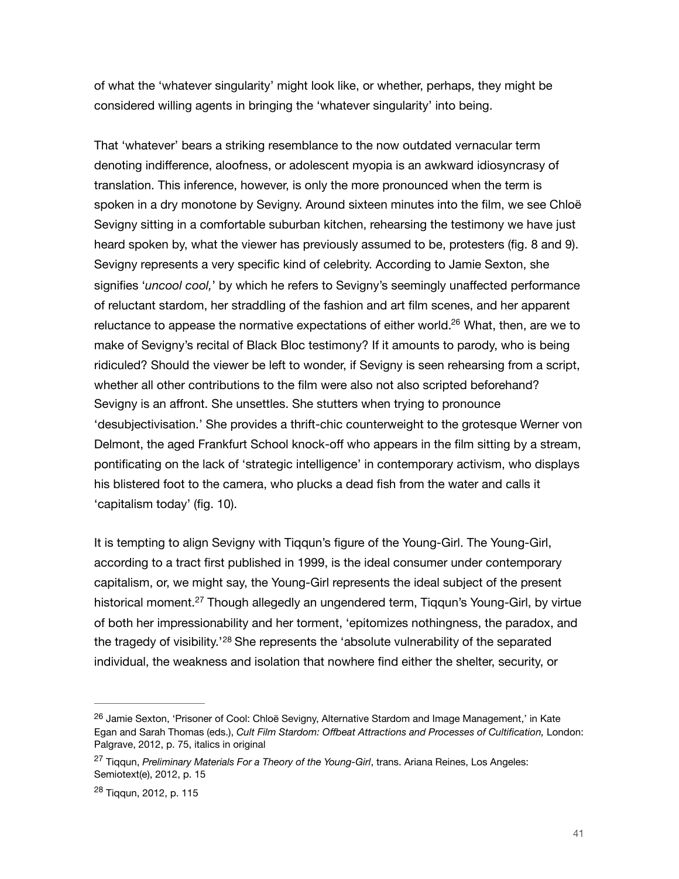of what the 'whatever singularity' might look like, or whether, perhaps, they might be considered willing agents in bringing the 'whatever singularity' into being.

<span id="page-41-3"></span>That 'whatever' bears a striking resemblance to the now outdated vernacular term denoting indifference, aloofness, or adolescent myopia is an awkward idiosyncrasy of translation. This inference, however, is only the more pronounced when the term is spoken in a dry monotone by Sevigny. Around sixteen minutes into the film, we see Chloë Sevigny sitting in a comfortable suburban kitchen, rehearsing the testimony we have just heard spoken by, what the viewer has previously assumed to be, protesters (fig. 8 and 9). Sevigny represents a very specific kind of celebrity. According to Jamie Sexton, she signifies '*uncool cool,*' by which he refers to Sevigny's seemingly unaffected performance of reluctant stardom, her straddling of the fashion and art film scenes, and her apparent reluctance to appease the normative expectations of either world[.](#page-41-0)<sup>[26](#page-41-0)</sup> What, then, are we to make of Sevigny's recital of Black Bloc testimony? If it amounts to parody, who is being ridiculed? Should the viewer be left to wonder, if Sevigny is seen rehearsing from a script, whether all other contributions to the film were also not also scripted beforehand? Sevigny is an affront. She unsettles. She stutters when trying to pronounce 'desubjectivisation.' She provides a thrift-chic counterweight to the grotesque Werner von Delmont, the aged Frankfurt School knock-off who appears in the film sitting by a stream, pontificating on the lack of 'strategic intelligence' in contemporary activism, who displays his blistered foot to the camera, who plucks a dead fish from the water and calls it 'capitalism today' (fig. 10).

<span id="page-41-4"></span>It is tempting to align Sevigny with Tiqqun's figure of the Young-Girl. The Young-Girl, according to a tract first published in 1999, is the ideal consumer under contemporary capitalism, or, we might say, the Young-Girl represents the ideal subject of the present historical moment.<sup>[27](#page-41-1)</sup> Though allegedly an ungendered term, Tiggun's Young-Girl, by virtue of both her impressionability and her torment, 'epitomizes nothingness, the paradox, and the tragedy of visibility.<sup>'[28](#page-41-2)</sup> She represents the 'absolute vulnerability of the separated individual, the weakness and isolation that nowhere find either the shelter, security, or

<span id="page-41-5"></span><span id="page-41-0"></span><sup>&</sup>lt;sup>[26](#page-41-3)</sup> Jamie Sexton, 'Prisoner of Cool: Chloë Sevigny, Alternative Stardom and Image Management,' in Kate Egan and Sarah Thomas (eds.), *Cult Film Stardom: Offbeat Attractions and Processes of Cultification,* London: Palgrave, 2012, p. 75, italics in original

<span id="page-41-1"></span><sup>&</sup>lt;sup>[27](#page-41-4)</sup> Tiggun, *Preliminary Materials For a Theory of the Young-Girl*, trans. Ariana Reines, Los Angeles: Semiotext(e), 2012, p. 15

<span id="page-41-2"></span><sup>&</sup>lt;sup>[28](#page-41-5)</sup> Tiggun, 2012, p. 115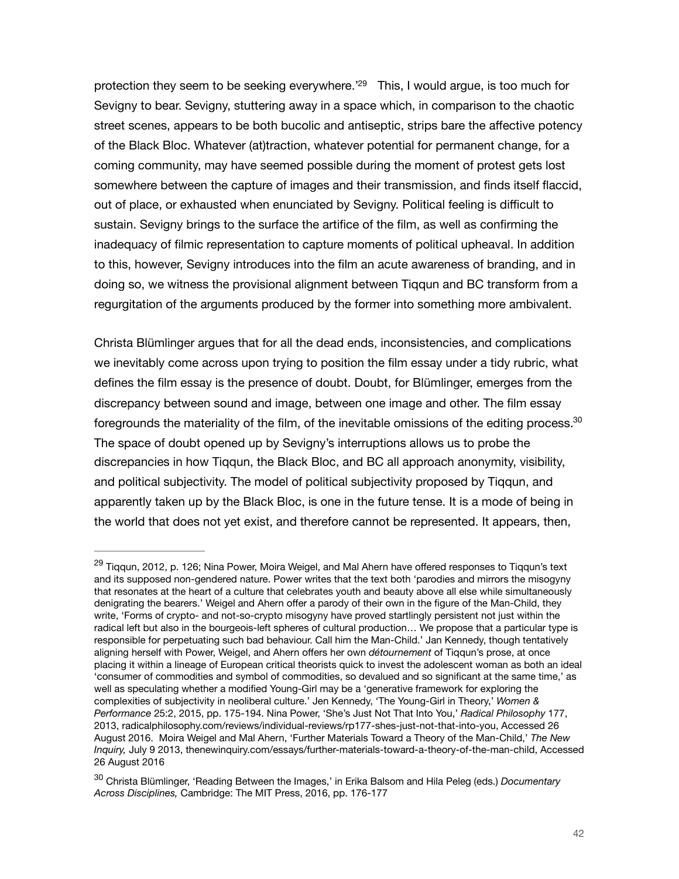<span id="page-42-2"></span>protection they seem to be seeking everywhere.<sup>'[29](#page-42-0)</sup> This, I would argue, is too much for Sevigny to bear. Sevigny, stuttering away in a space which, in comparison to the chaotic street scenes, appears to be both bucolic and antiseptic, strips bare the affective potency of the Black Bloc. Whatever (at)traction, whatever potential for permanent change, for a coming community, may have seemed possible during the moment of protest gets lost somewhere between the capture of images and their transmission, and finds itself flaccid, out of place, or exhausted when enunciated by Sevigny. Political feeling is difficult to sustain. Sevigny brings to the surface the artifice of the film, as well as confirming the inadequacy of filmic representation to capture moments of political upheaval. In addition to this, however, Sevigny introduces into the film an acute awareness of branding, and in doing so, we witness the provisional alignment between Tiqqun and BC transform from a regurgitation of the arguments produced by the former into something more ambivalent.

<span id="page-42-3"></span>Christa Blümlinger argues that for all the dead ends, inconsistencies, and complications we inevitably come across upon trying to position the film essay under a tidy rubric, what defines the film essay is the presence of doubt. Doubt, for Blümlinger, emerges from the discrepancy between sound and image, between one image and other. The film essay foregrounds the materiality of the film, of the inevitable omissions of the editing process. $30$ The space of doubt opened up by Sevigny's interruptions allows us to probe the discrepancies in how Tiqqun, the Black Bloc, and BC all approach anonymity, visibility, and political subjectivity. The model of political subjectivity proposed by Tiqqun, and apparently taken up by the Black Bloc, is one in the future tense. It is a mode of being in the world that does not yet exist, and therefore cannot be represented. It appears, then,

<span id="page-42-0"></span><sup>&</sup>lt;sup>[29](#page-42-2)</sup> Tiqqun, 2012, p. 126; Nina Power, Moira Weigel, and Mal Ahern have offered responses to Tiqqun's text and its supposed non-gendered nature. Power writes that the text both 'parodies and mirrors the misogyny that resonates at the heart of a culture that celebrates youth and beauty above all else while simultaneously denigrating the bearers.' Weigel and Ahern offer a parody of their own in the figure of the Man-Child, they write, 'Forms of crypto- and not-so-crypto misogyny have proved startlingly persistent not just within the radical left but also in the bourgeois-left spheres of cultural production… We propose that a particular type is responsible for perpetuating such bad behaviour. Call him the Man-Child.' Jan Kennedy, though tentatively aligning herself with Power, Weigel, and Ahern offers her own *détournement* of Tiqqun's prose, at once placing it within a lineage of European critical theorists quick to invest the adolescent woman as both an ideal 'consumer of commodities and symbol of commodities, so devalued and so significant at the same time,' as well as speculating whether a modified Young-Girl may be a 'generative framework for exploring the complexities of subjectivity in neoliberal culture.' Jen Kennedy, 'The Young-Girl in Theory,' *Women & Performance* 25:2, 2015, pp. 175-194. Nina Power, 'She's Just Not That Into You,' *Radical Philosophy* 177, 2013, radicalphilosophy.com/reviews/individual-reviews/rp177-shes-just-not-that-into-you, Accessed 26 August 2016. Moira Weigel and Mal Ahern, 'Further Materials Toward a Theory of the Man-Child,' *The New Inquiry,* July 9 2013, thenewinquiry.com/essays/further-materials-toward-a-theory-of-the-man-child, Accessed 26 August 2016

<span id="page-42-1"></span>Christa Blümlinger, 'Reading Between the Images,' in Erika Balsom and Hila Peleg (eds.) *Documentary* [30](#page-42-3) *Across Disciplines,* Cambridge: The MIT Press, 2016, pp. 176-177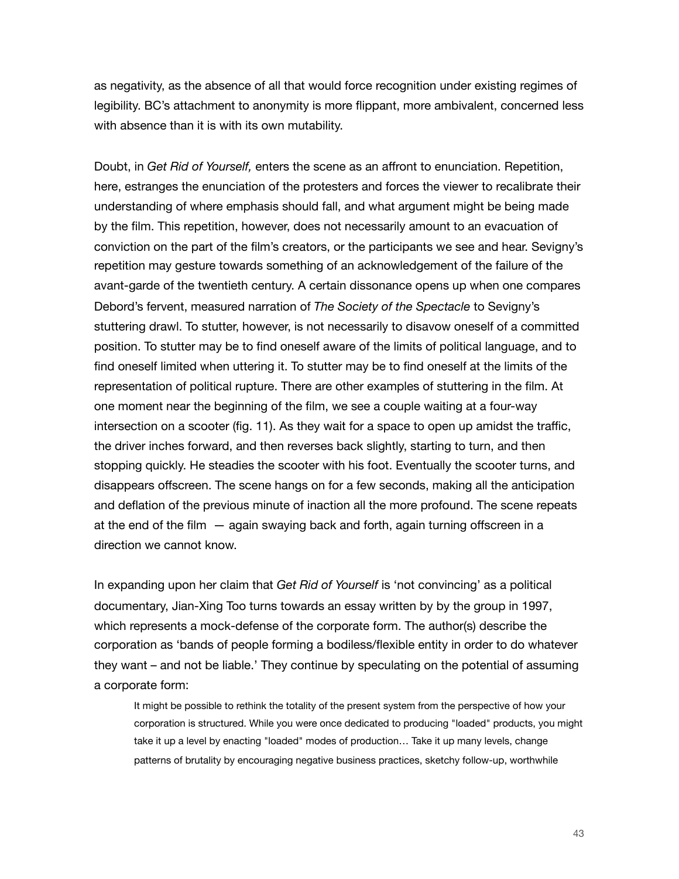as negativity, as the absence of all that would force recognition under existing regimes of legibility. BC's attachment to anonymity is more flippant, more ambivalent, concerned less with absence than it is with its own mutability.

Doubt, in *Get Rid of Yourself,* enters the scene as an affront to enunciation. Repetition, here, estranges the enunciation of the protesters and forces the viewer to recalibrate their understanding of where emphasis should fall, and what argument might be being made by the film. This repetition, however, does not necessarily amount to an evacuation of conviction on the part of the film's creators, or the participants we see and hear. Sevigny's repetition may gesture towards something of an acknowledgement of the failure of the avant-garde of the twentieth century. A certain dissonance opens up when one compares Debord's fervent, measured narration of *The Society of the Spectacle* to Sevigny's stuttering drawl. To stutter, however, is not necessarily to disavow oneself of a committed position. To stutter may be to find oneself aware of the limits of political language, and to find oneself limited when uttering it. To stutter may be to find oneself at the limits of the representation of political rupture. There are other examples of stuttering in the film. At one moment near the beginning of the film, we see a couple waiting at a four-way intersection on a scooter (fig. 11). As they wait for a space to open up amidst the traffic, the driver inches forward, and then reverses back slightly, starting to turn, and then stopping quickly. He steadies the scooter with his foot. Eventually the scooter turns, and disappears offscreen. The scene hangs on for a few seconds, making all the anticipation and deflation of the previous minute of inaction all the more profound. The scene repeats at the end of the film  $-$  again swaying back and forth, again turning offscreen in a direction we cannot know.

In expanding upon her claim that *Get Rid of Yourself* is 'not convincing' as a political documentary, Jian-Xing Too turns towards an essay written by by the group in 1997, which represents a mock-defense of the corporate form. The author(s) describe the corporation as 'bands of people forming a bodiless/flexible entity in order to do whatever they want – and not be liable.' They continue by speculating on the potential of assuming a corporate form:

It might be possible to rethink the totality of the present system from the perspective of how your corporation is structured. While you were once dedicated to producing "loaded" products, you might take it up a level by enacting "loaded" modes of production… Take it up many levels, change patterns of brutality by encouraging negative business practices, sketchy follow-up, worthwhile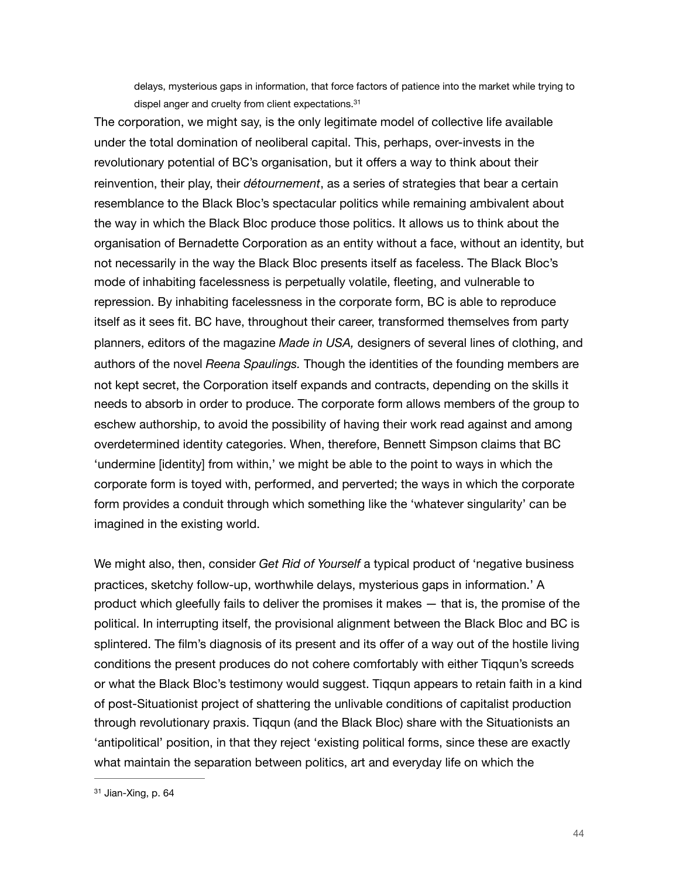<span id="page-44-1"></span>delays, mysterious gaps in information, that force factors of patience into the market while trying to dispel anger and cruelty from client expectations.<sup>31</sup>

The corporation, we might say, is the only legitimate model of collective life available under the total domination of neoliberal capital. This, perhaps, over-invests in the revolutionary potential of BC's organisation, but it offers a way to think about their reinvention, their play, their *détournement*, as a series of strategies that bear a certain resemblance to the Black Bloc's spectacular politics while remaining ambivalent about the way in which the Black Bloc produce those politics. It allows us to think about the organisation of Bernadette Corporation as an entity without a face, without an identity, but not necessarily in the way the Black Bloc presents itself as faceless. The Black Bloc's mode of inhabiting facelessness is perpetually volatile, fleeting, and vulnerable to repression. By inhabiting facelessness in the corporate form, BC is able to reproduce itself as it sees fit. BC have, throughout their career, transformed themselves from party planners, editors of the magazine *Made in USA,* designers of several lines of clothing, and authors of the novel *Reena Spaulings.* Though the identities of the founding members are not kept secret, the Corporation itself expands and contracts, depending on the skills it needs to absorb in order to produce. The corporate form allows members of the group to eschew authorship, to avoid the possibility of having their work read against and among overdetermined identity categories. When, therefore, Bennett Simpson claims that BC 'undermine [identity] from within,' we might be able to the point to ways in which the corporate form is toyed with, performed, and perverted; the ways in which the corporate form provides a conduit through which something like the 'whatever singularity' can be imagined in the existing world.

We might also, then, consider *Get Rid of Yourself* a typical product of 'negative business practices, sketchy follow-up, worthwhile delays, mysterious gaps in information.' A product which gleefully fails to deliver the promises it makes — that is, the promise of the political. In interrupting itself, the provisional alignment between the Black Bloc and BC is splintered. The film's diagnosis of its present and its offer of a way out of the hostile living conditions the present produces do not cohere comfortably with either Tiqqun's screeds or what the Black Bloc's testimony would suggest. Tiqqun appears to retain faith in a kind of post-Situationist project of shattering the unlivable conditions of capitalist production through revolutionary praxis. Tiqqun (and the Black Bloc) share with the Situationists an 'antipolitical' position, in that they reject 'existing political forms, since these are exactly what maintain the separation between politics, art and everyday life on which the

<span id="page-44-0"></span> $31$  Jian-Xing, p. 64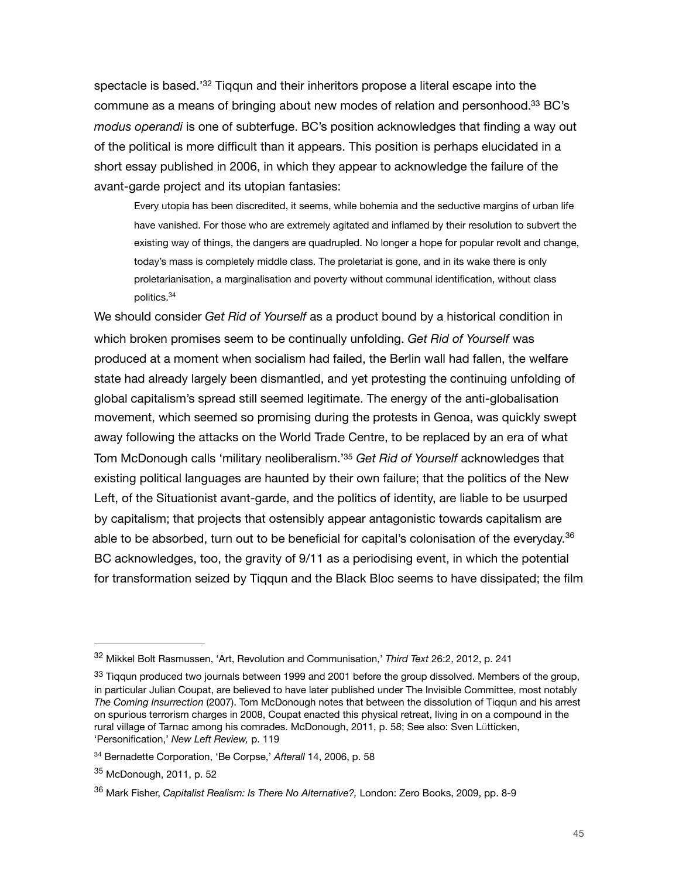<span id="page-45-5"></span>spectacle is based.<sup>'[32](#page-45-0)</sup> Tiqqun and their inheritors propose a literal escape into the commune as a means of bringing about new modes of relation and personhood[.](#page-45-1)<sup>[33](#page-45-1)</sup> BC's *modus operandi* is one of subterfuge. BC's position acknowledges that finding a way out of the political is more difficult than it appears. This position is perhaps elucidated in a short essay published in 2006, in which they appear to acknowledge the failure of the avant-garde project and its utopian fantasies:

<span id="page-45-6"></span>Every utopia has been discredited, it seems, while bohemia and the seductive margins of urban life have vanished. For those who are extremely agitated and inflamed by their resolution to subvert the existing way of things, the dangers are quadrupled. No longer a hope for popular revolt and change, today's mass is completely middle class. The proletariat is gone, and in its wake there is only proletarianisation, a marginalisation and poverty without communal identification, without class politics[.34](#page-45-2)

<span id="page-45-8"></span><span id="page-45-7"></span>We should consider *Get Rid of Yourself* as a product bound by a historical condition in which broken promises seem to be continually unfolding. *Get Rid of Yourself* was produced at a moment when socialism had failed, the Berlin wall had fallen, the welfare state had already largely been dismantled, and yet protesting the continuing unfolding of global capitalism's spread still seemed legitimate. The energy of the anti-globalisation movement, which seemed so promising during the protests in Genoa, was quickly swept away following the attacks on the World Trade Centre, to be replaced by an era of what Tom McDonough calls 'military neoliberalism.<sup>'[35](#page-45-3)</sup> Get Rid of Yourself acknowledges that existing political languages are haunted by their own failure; that the politics of the New Left, of the Situationist avant-garde, and the politics of identity, are liable to be usurped by capitalism; that projects that ostensibly appear antagonistic towards capitalism are able to be absorbed, turn out to be beneficial for capital's colonisation of the everyday. $36$ BC acknowledges, too, the gravity of 9/11 as a periodising event, in which the potential for transformation seized by Tiqqun and the Black Bloc seems to have dissipated; the film

<span id="page-45-9"></span><span id="page-45-0"></span><sup>&</sup>lt;sup>[32](#page-45-5)</sup> Mikkel Bolt Rasmussen, 'Art, Revolution and Communisation,' *Third Text* 26:2, 2012, p. 241

<span id="page-45-1"></span> $33$  Tiggun produced two journals between 1999 and 2001 before the group dissolved. Members of the group, in particular Julian Coupat, are believed to have later published under The Invisible Committee, most notably *The Coming Insurrection* (2007). Tom McDonough notes that between the dissolution of Tiqqun and his arrest on spurious terrorism charges in 2008, Coupat enacted this physical retreat, living in on a compound in the rural village of Tarnac among his comrades. McDonough, 2011, p. 58; See also: Sven Lütticken, 'Personification,' *New Left Review,* p. 119

<span id="page-45-2"></span><sup>&</sup>lt;sup>[34](#page-45-7)</sup> Bernadette Corporation, 'Be Corpse,' Afterall 14, 2006, p. 58

<span id="page-45-3"></span>[<sup>35</sup>](#page-45-8) McDonough, 2011, p. 52

<span id="page-45-4"></span><sup>&</sup>lt;sup>[36](#page-45-9)</sup> Mark Fisher, *Capitalist Realism: Is There No Alternative?*, London: Zero Books, 2009, pp. 8-9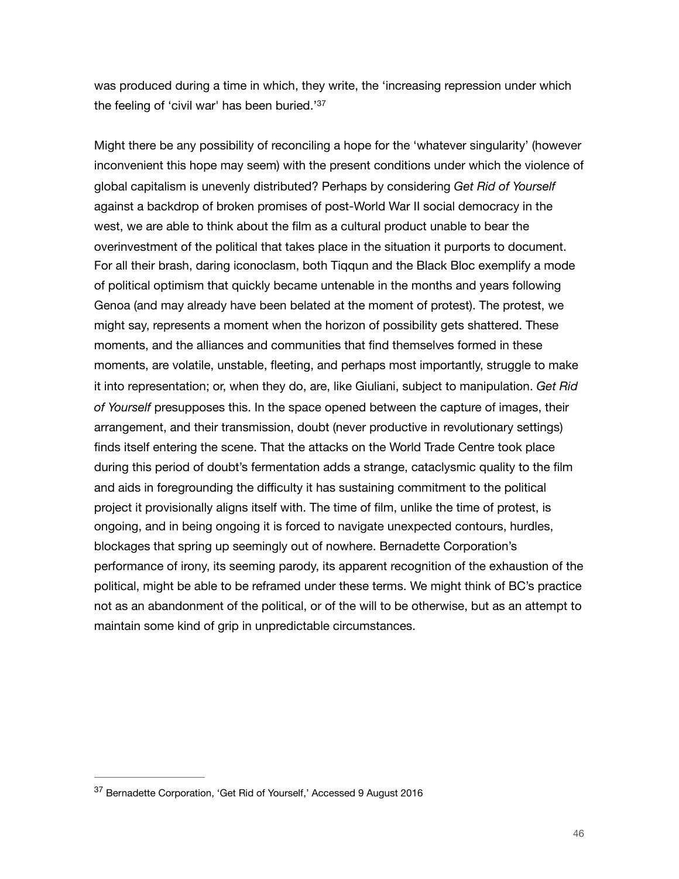<span id="page-46-1"></span>was produced during a time in which, they write, the 'increasing repression under which the feeling of 'civil war' has been buried.'[37](#page-46-0)

Might there be any possibility of reconciling a hope for the 'whatever singularity' (however inconvenient this hope may seem) with the present conditions under which the violence of global capitalism is unevenly distributed? Perhaps by considering *Get Rid of Yourself* against a backdrop of broken promises of post-World War II social democracy in the west, we are able to think about the film as a cultural product unable to bear the overinvestment of the political that takes place in the situation it purports to document. For all their brash, daring iconoclasm, both Tiqqun and the Black Bloc exemplify a mode of political optimism that quickly became untenable in the months and years following Genoa (and may already have been belated at the moment of protest). The protest, we might say, represents a moment when the horizon of possibility gets shattered. These moments, and the alliances and communities that find themselves formed in these moments, are volatile, unstable, fleeting, and perhaps most importantly, struggle to make it into representation; or, when they do, are, like Giuliani, subject to manipulation. *Get Rid of Yourself* presupposes this. In the space opened between the capture of images, their arrangement, and their transmission, doubt (never productive in revolutionary settings) finds itself entering the scene. That the attacks on the World Trade Centre took place during this period of doubt's fermentation adds a strange, cataclysmic quality to the film and aids in foregrounding the difficulty it has sustaining commitment to the political project it provisionally aligns itself with. The time of film, unlike the time of protest, is ongoing, and in being ongoing it is forced to navigate unexpected contours, hurdles, blockages that spring up seemingly out of nowhere. Bernadette Corporation's performance of irony, its seeming parody, its apparent recognition of the exhaustion of the political, might be able to be reframed under these terms. We might think of BC's practice not as an abandonment of the political, or of the will to be otherwise, but as an attempt to maintain some kind of grip in unpredictable circumstances.

<span id="page-46-0"></span><sup>&</sup>lt;sup>[37](#page-46-1)</sup> Bernadette Corporation, 'Get Rid of Yourself,' Accessed 9 August 2016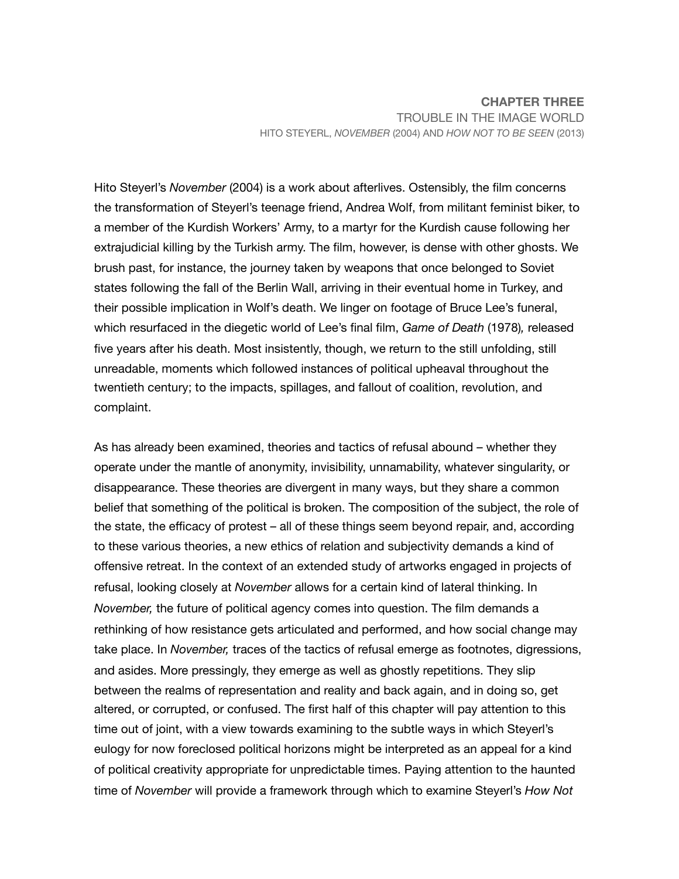## **CHAPTER THREE** TROUBLE IN THE IMAGE WORLD HITO STEYERL, *NOVEMBER* (2004) AND *HOW NOT TO BE SEEN* (2013)

Hito Steyerl's *November* (2004) is a work about afterlives. Ostensibly, the film concerns the transformation of Steyerl's teenage friend, Andrea Wolf, from militant feminist biker, to a member of the Kurdish Workers' Army, to a martyr for the Kurdish cause following her extrajudicial killing by the Turkish army. The film, however, is dense with other ghosts. We brush past, for instance, the journey taken by weapons that once belonged to Soviet states following the fall of the Berlin Wall, arriving in their eventual home in Turkey, and their possible implication in Wolf's death. We linger on footage of Bruce Lee's funeral, which resurfaced in the diegetic world of Lee's final film, *Game of Death* (1978)*,* released five years after his death. Most insistently, though, we return to the still unfolding, still unreadable, moments which followed instances of political upheaval throughout the twentieth century; to the impacts, spillages, and fallout of coalition, revolution, and complaint.

As has already been examined, theories and tactics of refusal abound – whether they operate under the mantle of anonymity, invisibility, unnamability, whatever singularity, or disappearance. These theories are divergent in many ways, but they share a common belief that something of the political is broken. The composition of the subject, the role of the state, the efficacy of protest – all of these things seem beyond repair, and, according to these various theories, a new ethics of relation and subjectivity demands a kind of offensive retreat. In the context of an extended study of artworks engaged in projects of refusal, looking closely at *November* allows for a certain kind of lateral thinking. In *November,* the future of political agency comes into question. The film demands a rethinking of how resistance gets articulated and performed, and how social change may take place. In *November,* traces of the tactics of refusal emerge as footnotes, digressions, and asides. More pressingly, they emerge as well as ghostly repetitions. They slip between the realms of representation and reality and back again, and in doing so, get altered, or corrupted, or confused. The first half of this chapter will pay attention to this time out of joint, with a view towards examining to the subtle ways in which Steyerl's eulogy for now foreclosed political horizons might be interpreted as an appeal for a kind of political creativity appropriate for unpredictable times. Paying attention to the haunted time of *November* will provide a framework through which to examine Steyerl's *How Not*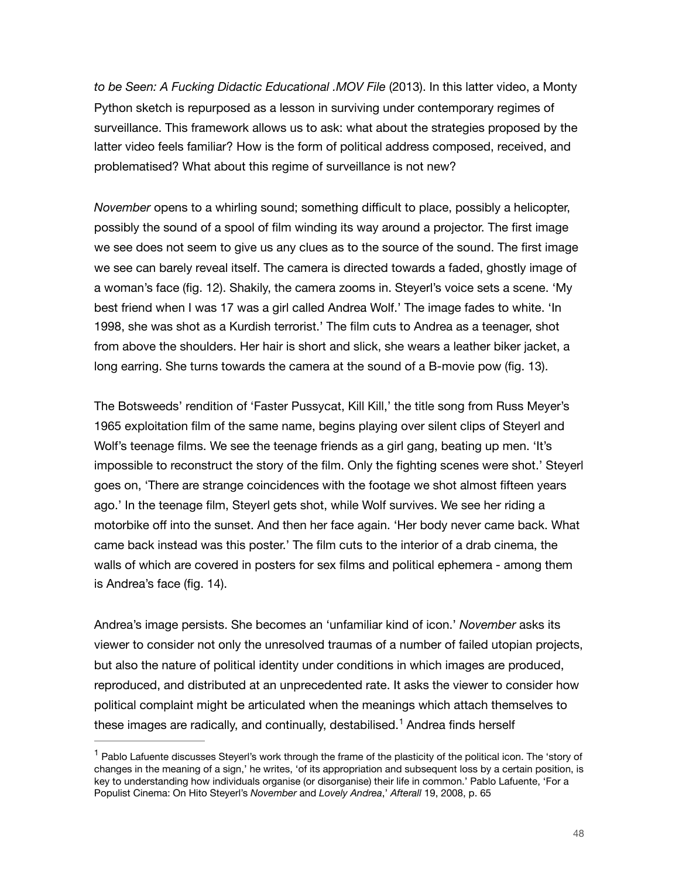*to be Seen: A Fucking Didactic Educational .MOV File* (2013). In this latter video, a Monty Python sketch is repurposed as a lesson in surviving under contemporary regimes of surveillance. This framework allows us to ask: what about the strategies proposed by the latter video feels familiar? How is the form of political address composed, received, and problematised? What about this regime of surveillance is not new?

*November* opens to a whirling sound; something difficult to place, possibly a helicopter, possibly the sound of a spool of film winding its way around a projector. The first image we see does not seem to give us any clues as to the source of the sound. The first image we see can barely reveal itself. The camera is directed towards a faded, ghostly image of a woman's face (fig. 12). Shakily, the camera zooms in. Steyerl's voice sets a scene. 'My best friend when I was 17 was a girl called Andrea Wolf.' The image fades to white. 'In 1998, she was shot as a Kurdish terrorist.' The film cuts to Andrea as a teenager, shot from above the shoulders. Her hair is short and slick, she wears a leather biker jacket, a long earring. She turns towards the camera at the sound of a B-movie pow (fig. 13).

The Botsweeds' rendition of 'Faster Pussycat, Kill Kill,' the title song from Russ Meyer's 1965 exploitation film of the same name, begins playing over silent clips of Steyerl and Wolf's teenage films. We see the teenage friends as a girl gang, beating up men. 'It's impossible to reconstruct the story of the film. Only the fighting scenes were shot.' Steyerl goes on, 'There are strange coincidences with the footage we shot almost fifteen years ago.' In the teenage film, Steyerl gets shot, while Wolf survives. We see her riding a motorbike off into the sunset. And then her face again. 'Her body never came back. What came back instead was this poster.' The film cuts to the interior of a drab cinema, the walls of which are covered in posters for sex films and political ephemera - among them is Andrea's face (fig. 14).

Andrea's image persists. She becomes an 'unfamiliar kind of icon.' *November* asks its viewer to consider not only the unresolved traumas of a number of failed utopian projects, but also the nature of political identity under conditions in which images are produced, reproduced, and distributed at an unprecedented rate. It asks the viewer to consider how political complaint might be articulated when the meanings which attach themselves to theseimages are radically, and continually, destabilised.<sup>[1](#page-48-0)</sup> Andrea finds herself

<span id="page-48-1"></span><span id="page-48-0"></span> $<sup>1</sup>$  $<sup>1</sup>$  $<sup>1</sup>$  Pablo Lafuente discusses Steverl's work through the frame of the plasticity of the political icon. The 'story of</sup> changes in the meaning of a sign,' he writes, 'of its appropriation and subsequent loss by a certain position, is key to understanding how individuals organise (or disorganise) their life in common.' Pablo Lafuente, 'For a Populist Cinema: On Hito Steyerl's *November* and *Lovely Andrea*,' *Afterall* 19, 2008, p. 65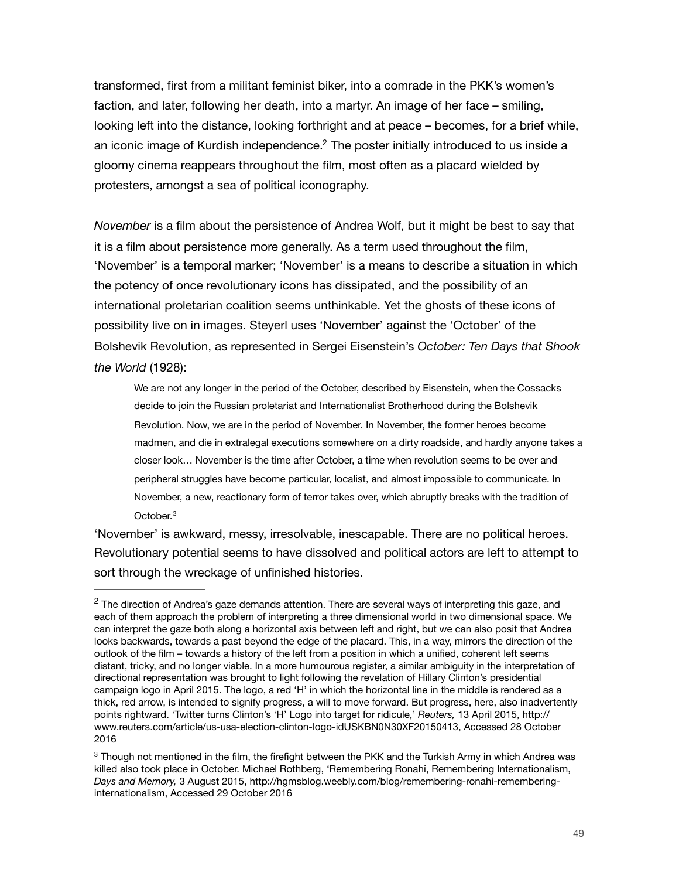<span id="page-49-2"></span>transformed, first from a militant feminist biker, into a comrade in the PKK's women's faction, and later, following her death, into a martyr. An image of her face – smiling, looking left into the distance, looking forthright and at peace – becomes, for a brief while, an iconic image of Kurdish independence.<sup>[2](#page-49-0)</sup> The poster initially introduced to us inside a gloomy cinema reappears throughout the film, most often as a placard wielded by protesters, amongst a sea of political iconography.

*November* is a film about the persistence of Andrea Wolf, but it might be best to say that it is a film about persistence more generally. As a term used throughout the film, 'November' is a temporal marker; 'November' is a means to describe a situation in which the potency of once revolutionary icons has dissipated, and the possibility of an international proletarian coalition seems unthinkable. Yet the ghosts of these icons of possibility live on in images. Steyerl uses 'November' against the 'October' of the Bolshevik Revolution, as represented in Sergei Eisenstein's *October: Ten Days that Shook the World* (1928):

We are not any longer in the period of the October, described by Eisenstein, when the Cossacks decide to join the Russian proletariat and Internationalist Brotherhood during the Bolshevik Revolution. Now, we are in the period of November. In November, the former heroes become madmen, and die in extralegal executions somewhere on a dirty roadside, and hardly anyone takes a closer look… November is the time after October, a time when revolution seems to be over and peripheral struggles have become particular, localist, and almost impossible to communicate. In November, a new, reactionary form of terror takes over, which abruptly breaks with the tradition of October.[3](#page-49-1)

<span id="page-49-3"></span>'November' is awkward, messy, irresolvable, inescapable. There are no political heroes. Revolutionary potential seems to have dissolved and political actors are left to attempt to sort through the wreckage of unfinished histories.

<span id="page-49-0"></span> $2$  The direction of Andrea's gaze demands attention. There are several ways of interpreting this gaze, and each of them approach the problem of interpreting a three dimensional world in two dimensional space. We can interpret the gaze both along a horizontal axis between left and right, but we can also posit that Andrea looks backwards, towards a past beyond the edge of the placard. This, in a way, mirrors the direction of the outlook of the film – towards a history of the left from a position in which a unified, coherent left seems distant, tricky, and no longer viable. In a more humourous register, a similar ambiguity in the interpretation of directional representation was brought to light following the revelation of Hillary Clinton's presidential campaign logo in April 2015. The logo, a red 'H' in which the horizontal line in the middle is rendered as a thick, red arrow, is intended to signify progress, a will to move forward. But progress, here, also inadvertently points rightward. 'Twitter turns Clinton's 'H' Logo into target for ridicule,' *Reuters,* 13 April 2015, http:// www.reuters.com/article/us-usa-election-clinton-logo-idUSKBN0N30XF20150413, Accessed 28 October 2016

<span id="page-49-1"></span><sup>&</sup>lt;sup>[3](#page-49-3)</sup> Though not mentioned in the film, the firefight between the PKK and the Turkish Army in which Andrea was killed also took place in October. Michael Rothberg, 'Remembering Ronahî, Remembering Internationalism, *Days and Memory,* 3 August 2015, http://hgmsblog.weebly.com/blog/remembering-ronahi-rememberinginternationalism, Accessed 29 October 2016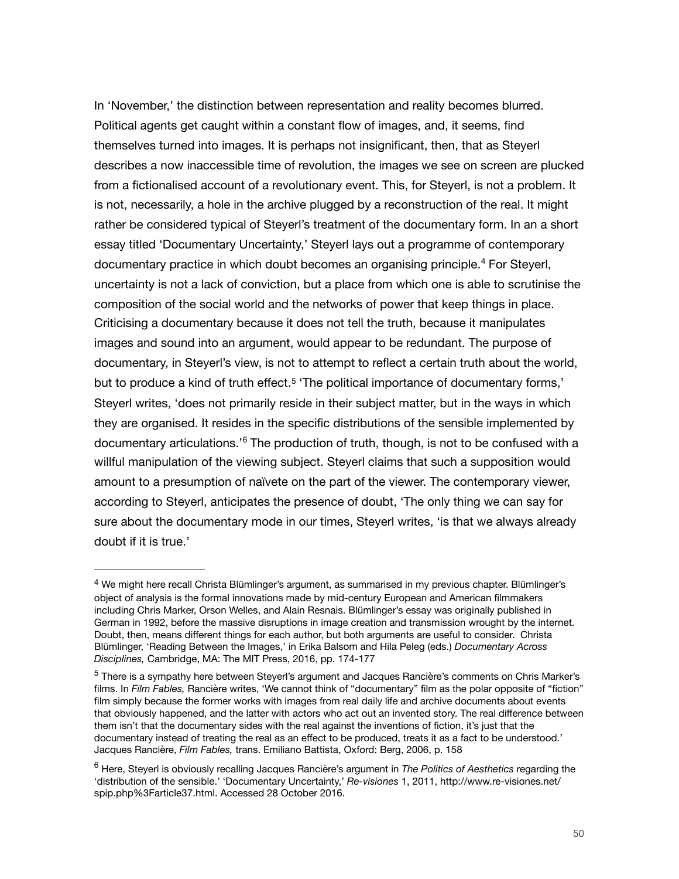<span id="page-50-3"></span>In 'November,' the distinction between representation and reality becomes blurred. Political agents get caught within a constant flow of images, and, it seems, find themselves turned into images. It is perhaps not insignificant, then, that as Steyerl describes a now inaccessible time of revolution, the images we see on screen are plucked from a fictionalised account of a revolutionary event. This, for Steyerl, is not a problem. It is not, necessarily, a hole in the archive plugged by a reconstruction of the real. It might rather be considered typical of Steyerl's treatment of the documentary form. In an a short essay titled 'Documentary Uncertainty,' Steyerl lays out a programme of contemporary documentarypractice in which doubt becomes an organising principle.<sup>[4](#page-50-0)</sup> For Steyerl, uncertainty is not a lack of conviction, but a place from which one is able to scrutinise the composition of the social world and the networks of power that keep things in place. Criticising a documentary because it does not tell the truth, because it manipulates images and sound into an argument, would appear to be redundant. The purpose of documentary, in Steyerl's view, is not to attempt to reflect a certain truth about the world, butto produce a kind of truth effect.<sup>[5](#page-50-1)</sup> 'The political importance of documentary forms,' Steyerl writes, 'does not primarily reside in their subject matter, but in the ways in which they are organised. It resides in the specific distributions of the sensible implemented by documentaryarticulations.<sup>'[6](#page-50-2)</sup> The production of truth, though, is not to be confused with a willful manipulation of the viewing subject. Steyerl claims that such a supposition would amount to a presumption of naïvete on the part of the viewer. The contemporary viewer, according to Steyerl, anticipates the presence of doubt, 'The only thing we can say for sure about the documentary mode in our times, Steyerl writes, 'is that we always already doubt if it is true.'

<span id="page-50-5"></span><span id="page-50-4"></span><span id="page-50-0"></span><sup>&</sup>lt;sup>[4](#page-50-3)</sup> We might here recall Christa Blümlinger's argument, as summarised in my previous chapter. Blümlinger's object of analysis is the formal innovations made by mid-century European and American filmmakers including Chris Marker, Orson Welles, and Alain Resnais. Blümlinger's essay was originally published in German in 1992, before the massive disruptions in image creation and transmission wrought by the internet. Doubt, then, means different things for each author, but both arguments are useful to consider. Christa Blümlinger, 'Reading Between the Images,' in Erika Balsom and Hila Peleg (eds.) *Documentary Across Disciplines,* Cambridge, MA: The MIT Press, 2016, pp. 174-177

<span id="page-50-1"></span><sup>&</sup>lt;sup>[5](#page-50-4)</sup> There is a sympathy here between Steyerl's argument and Jacques Rancière's comments on Chris Marker's films. In *Film Fables,* Rancière writes, 'We cannot think of "documentary" film as the polar opposite of "fiction" film simply because the former works with images from real daily life and archive documents about events that obviously happened, and the latter with actors who act out an invented story. The real difference between them isn't that the documentary sides with the real against the inventions of fiction, it's just that the documentary instead of treating the real as an effect to be produced, treats it as a fact to be understood.' Jacques Rancière, *Film Fables,* trans. Emiliano Battista, Oxford: Berg, 2006, p. 158

<span id="page-50-2"></span>Here, Steyerl is obviously recalling Jacques Rancière's argument in *The Politics of Aesthetics* regarding the [6](#page-50-5) 'distribution of the sensible.' 'Documentary Uncertainty,' *Re-visiones* 1, 2011, http://www.re-visiones.net/ spip.php%3Farticle37.html. Accessed 28 October 2016.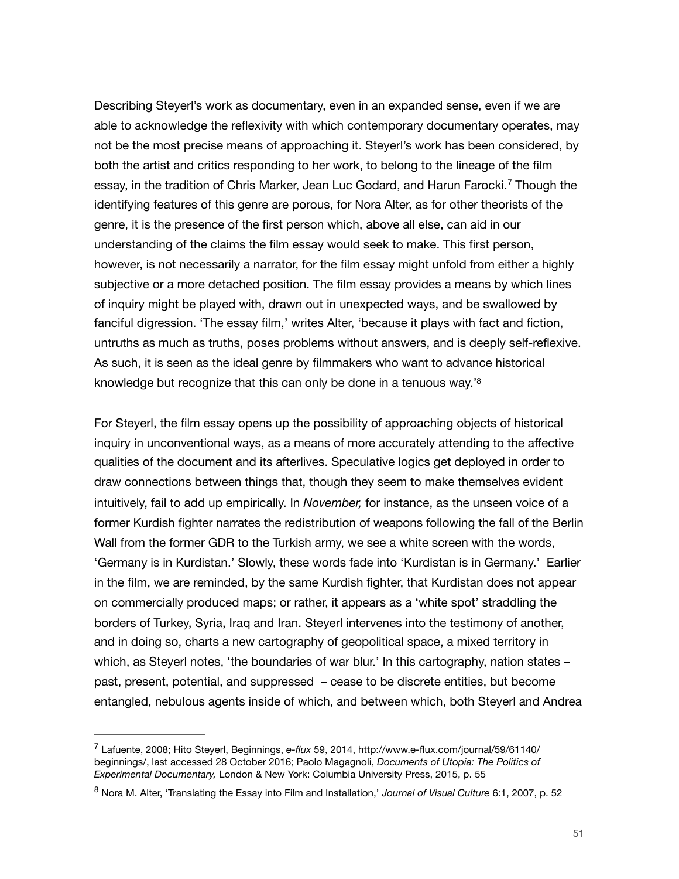<span id="page-51-2"></span>Describing Steyerl's work as documentary, even in an expanded sense, even if we are able to acknowledge the reflexivity with which contemporary documentary operates, may not be the most precise means of approaching it. Steyerl's work has been considered, by both the artist and critics responding to her work, to belong to the lineage of the film essay,in the tradition of Chris Marker, Jean Luc Godard, and Harun Farocki.<sup>[7](#page-51-0)</sup> Though the identifying features of this genre are porous, for Nora Alter, as for other theorists of the genre, it is the presence of the first person which, above all else, can aid in our understanding of the claims the film essay would seek to make. This first person, however, is not necessarily a narrator, for the film essay might unfold from either a highly subjective or a more detached position. The film essay provides a means by which lines of inquiry might be played with, drawn out in unexpected ways, and be swallowed by fanciful digression. 'The essay film,' writes Alter, 'because it plays with fact and fiction, untruths as much as truths, poses problems without answers, and is deeply self-reflexive. As such, it is seen as the ideal genre by filmmakers who want to advance historical knowledge but recognize that this can only be done in a tenuous way.['8](#page-51-1)

<span id="page-51-3"></span>For Steyerl, the film essay opens up the possibility of approaching objects of historical inquiry in unconventional ways, as a means of more accurately attending to the affective qualities of the document and its afterlives. Speculative logics get deployed in order to draw connections between things that, though they seem to make themselves evident intuitively, fail to add up empirically. In *November,* for instance, as the unseen voice of a former Kurdish fighter narrates the redistribution of weapons following the fall of the Berlin Wall from the former GDR to the Turkish army, we see a white screen with the words, 'Germany is in Kurdistan.' Slowly, these words fade into 'Kurdistan is in Germany.' Earlier in the film, we are reminded, by the same Kurdish fighter, that Kurdistan does not appear on commercially produced maps; or rather, it appears as a 'white spot' straddling the borders of Turkey, Syria, Iraq and Iran. Steyerl intervenes into the testimony of another, and in doing so, charts a new cartography of geopolitical space, a mixed territory in which, as Steyerl notes, 'the boundaries of war blur.' In this cartography, nation states – past, present, potential, and suppressed – cease to be discrete entities, but become entangled, nebulous agents inside of which, and between which, both Steyerl and Andrea

<span id="page-51-0"></span>Lafuente, 2008; Hito Steyerl, Beginnings, *e-flux* 59, 2014, http://www.e-flux.com/journal/59/61140/ [7](#page-51-2) beginnings/, last accessed 28 October 2016; Paolo Magagnoli, *Documents of Utopia: The Politics of Experimental Documentary,* London & New York: Columbia University Press, 2015, p. 55

<span id="page-51-1"></span>Nora M. Alter, 'Translating the Essay into Film and Installation,' *Journal of Visual Culture* 6:1, 2007, p. 52 [8](#page-51-3)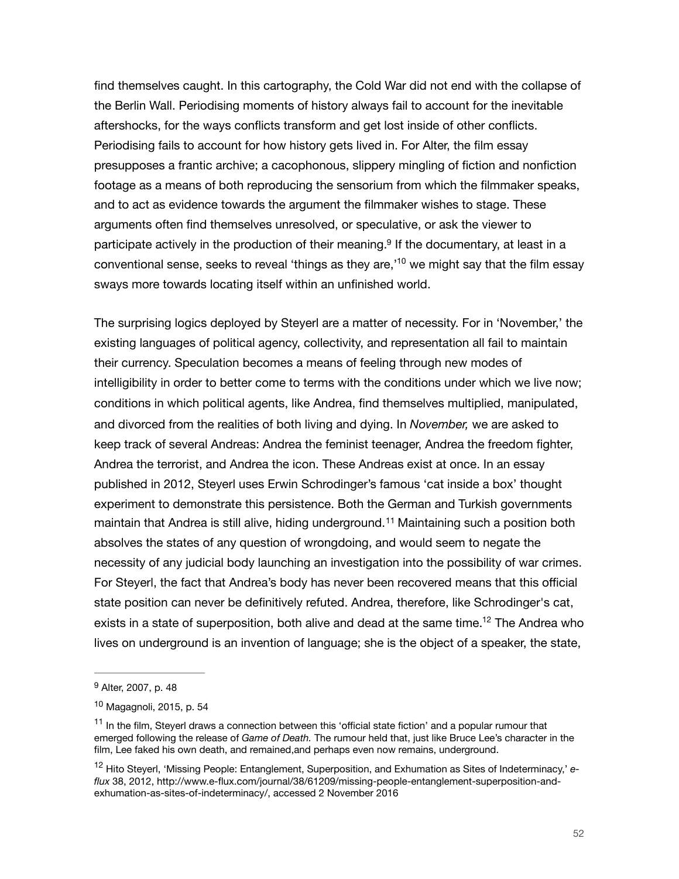find themselves caught. In this cartography, the Cold War did not end with the collapse of the Berlin Wall. Periodising moments of history always fail to account for the inevitable aftershocks, for the ways conflicts transform and get lost inside of other conflicts. Periodising fails to account for how history gets lived in. For Alter, the film essay presupposes a frantic archive; a cacophonous, slippery mingling of fiction and nonfiction footage as a means of both reproducing the sensorium from which the filmmaker speaks, and to act as evidence towards the argument the filmmaker wishes to stage. These arguments often find themselves unresolved, or speculative, or ask the viewer to participate actively in the production of their meaning[.](#page-52-0)<sup>[9](#page-52-0)</sup> If the documentary, at least in a conventional sense, seeks to reveal ['](#page-52-1)things as they are, $10$  we might say that the film essay sways more towards locating itself within an unfinished world.

<span id="page-52-5"></span><span id="page-52-4"></span>The surprising logics deployed by Steyerl are a matter of necessity. For in 'November,' the existing languages of political agency, collectivity, and representation all fail to maintain their currency. Speculation becomes a means of feeling through new modes of intelligibility in order to better come to terms with the conditions under which we live now; conditions in which political agents, like Andrea, find themselves multiplied, manipulated, and divorced from the realities of both living and dying. In *November,* we are asked to keep track of several Andreas: Andrea the feminist teenager, Andrea the freedom fighter, Andrea the terrorist, and Andrea the icon. These Andreas exist at once. In an essay published in 2012, Steyerl uses Erwin Schrodinger's famous 'cat inside a box' thought experiment to demonstrate this persistence. Both the German and Turkish governments maintainthat Andrea is still alive, hiding underground.<sup>[11](#page-52-2)</sup> Maintaining such a position both absolves the states of any question of wrongdoing, and would seem to negate the necessity of any judicial body launching an investigation into the possibility of war crimes. For Steyerl, the fact that Andrea's body has never been recovered means that this official state position can never be definitively refuted. Andrea, therefore, like Schrodinger's cat, exists in a state of superposition, both alive and dead at the same time[.](#page-52-3)<sup>[12](#page-52-3)</sup> The Andrea who lives on underground is an invention of language; she is the object of a speaker, the state,

<span id="page-52-7"></span><span id="page-52-6"></span><span id="page-52-0"></span><sup>&</sup>lt;sup>[9](#page-52-4)</sup> Alter, 2007, p. 48

<span id="page-52-1"></span>[<sup>10</sup>](#page-52-5) Magagnoli, 2015, p. 54

<span id="page-52-2"></span> $11$  In the film, Steyerl draws a connection between this 'official state fiction' and a popular rumour that emerged following the release of *Game of Death.* The rumour held that, just like Bruce Lee's character in the film, Lee faked his own death, and remained,and perhaps even now remains, underground.

<span id="page-52-3"></span><sup>&</sup>lt;sup>[12](#page-52-7)</sup> Hito Steyerl, 'Missing People: Entanglement, Superposition, and Exhumation as Sites of Indeterminacy,' e*flux* 38, 2012, http://www.e-flux.com/journal/38/61209/missing-people-entanglement-superposition-andexhumation-as-sites-of-indeterminacy/, accessed 2 November 2016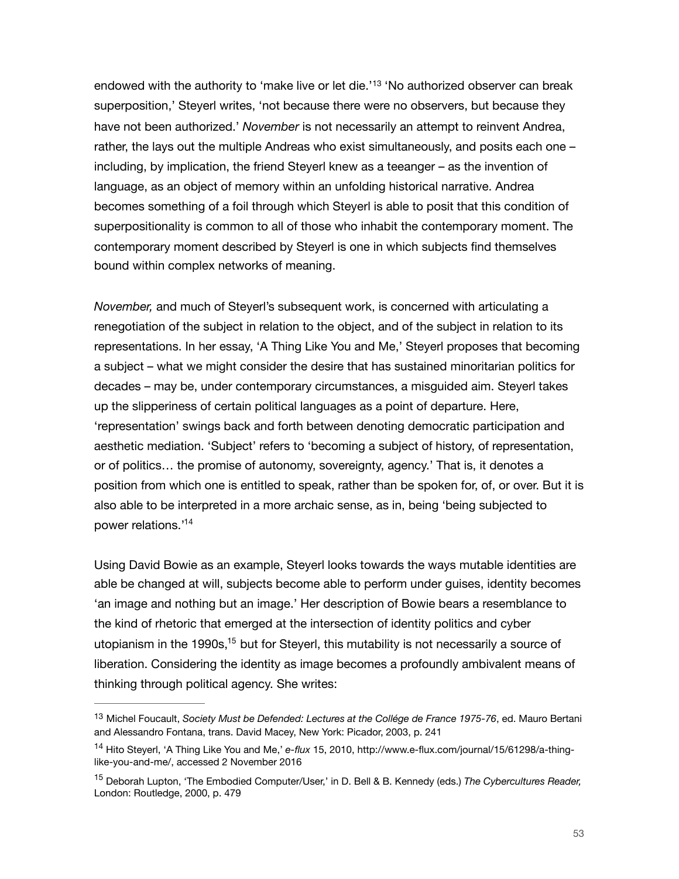<span id="page-53-3"></span>endowedwith the authority to 'make live or let die.'<sup>[13](#page-53-0)</sup> 'No authorized observer can break superposition,' Steyerl writes, 'not because there were no observers, but because they have not been authorized.' *November* is not necessarily an attempt to reinvent Andrea, rather, the lays out the multiple Andreas who exist simultaneously, and posits each one – including, by implication, the friend Steyerl knew as a teeanger – as the invention of language, as an object of memory within an unfolding historical narrative. Andrea becomes something of a foil through which Steyerl is able to posit that this condition of superpositionality is common to all of those who inhabit the contemporary moment. The contemporary moment described by Steyerl is one in which subjects find themselves bound within complex networks of meaning.

*November,* and much of Steyerl's subsequent work, is concerned with articulating a renegotiation of the subject in relation to the object, and of the subject in relation to its representations. In her essay, 'A Thing Like You and Me,' Steyerl proposes that becoming a subject – what we might consider the desire that has sustained minoritarian politics for decades – may be, under contemporary circumstances, a misguided aim. Steyerl takes up the slipperiness of certain political languages as a point of departure. Here, 'representation' swings back and forth between denoting democratic participation and aesthetic mediation. 'Subject' refers to 'becoming a subject of history, of representation, or of politics… the promise of autonomy, sovereignty, agency.' That is, it denotes a position from which one is entitled to speak, rather than be spoken for, of, or over. But it is also able to be interpreted in a more archaic sense, as in, being 'being subjected to power relations.['14](#page-53-1)

<span id="page-53-4"></span>Using David Bowie as an example, Steyerl looks towards the ways mutable identities are able be changed at will, subjects become able to perform under guises, identity becomes 'an image and nothing but an image.' Her description of Bowie bears a resemblance to the kind of rhetoric that emerged at the intersection of identity politics and cyber utopianism in the 1990s[,](#page-53-2)  $15$  but for Steyerl, this mutability is not necessarily a source of liberation. Considering the identity as image becomes a profoundly ambivalent means of thinking through political agency. She writes:

<span id="page-53-5"></span><span id="page-53-0"></span><sup>&</sup>lt;sup>[13](#page-53-3)</sup> Michel Foucault, *Society Must be Defended: Lectures at the Collége de France 1975-76*, ed. Mauro Bertani and Alessandro Fontana, trans. David Macey, New York: Picador, 2003, p. 241

<span id="page-53-1"></span><sup>&</sup>lt;sup>[14](#page-53-4)</sup> Hito Steyerl, 'A Thing Like You and Me,' *e-flux* 15, 2010, http://www.e-flux.com/journal/15/61298/a-thinglike-you-and-me/, accessed 2 November 2016

<span id="page-53-2"></span><sup>&</sup>lt;sup>[15](#page-53-5)</sup> Deborah Lupton, 'The Embodied Computer/User,' in D. Bell & B. Kennedy (eds.) The Cybercultures Reader, London: Routledge, 2000, p. 479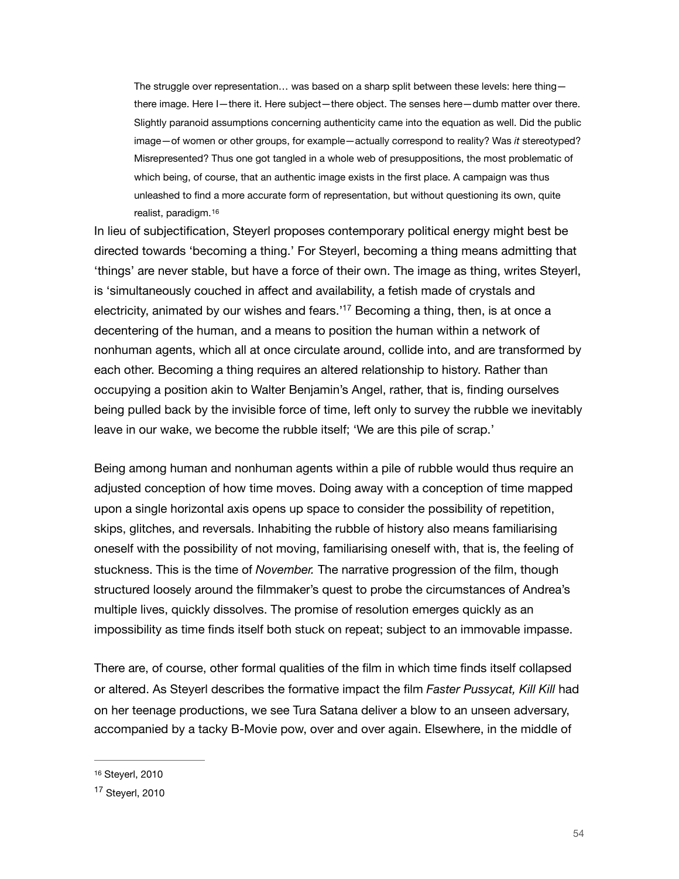The struggle over representation... was based on a sharp split between these levels: here thingthere image. Here I—there it. Here subject—there object. The senses here—dumb matter over there. Slightly paranoid assumptions concerning authenticity came into the equation as well. Did the public image—of women or other groups, for example—actually correspond to reality? Was *it* stereotyped? Misrepresented? Thus one got tangled in a whole web of presuppositions, the most problematic of which being, of course, that an authentic image exists in the first place. A campaign was thus unleashed to find a more accurate form of representation, but without questioning its own, quite realist, paradigm.[16](#page-54-0)

<span id="page-54-3"></span><span id="page-54-2"></span>In lieu of subjectification, Steyerl proposes contemporary political energy might best be directed towards 'becoming a thing.' For Steyerl, becoming a thing means admitting that 'things' are never stable, but have a force of their own. The image as thing, writes Steyerl, is 'simultaneously couched in affect and availability, a fetish made of crystals and electricity, animated by our wishes and fears.<sup> $17$ </sup> Becoming a thing, then, is at once a decentering of the human, and a means to position the human within a network of nonhuman agents, which all at once circulate around, collide into, and are transformed by each other. Becoming a thing requires an altered relationship to history. Rather than occupying a position akin to Walter Benjamin's Angel, rather, that is, finding ourselves being pulled back by the invisible force of time, left only to survey the rubble we inevitably leave in our wake, we become the rubble itself; 'We are this pile of scrap.'

Being among human and nonhuman agents within a pile of rubble would thus require an adjusted conception of how time moves. Doing away with a conception of time mapped upon a single horizontal axis opens up space to consider the possibility of repetition, skips, glitches, and reversals. Inhabiting the rubble of history also means familiarising oneself with the possibility of not moving, familiarising oneself with, that is, the feeling of stuckness. This is the time of *November.* The narrative progression of the film, though structured loosely around the filmmaker's quest to probe the circumstances of Andrea's multiple lives, quickly dissolves. The promise of resolution emerges quickly as an impossibility as time finds itself both stuck on repeat; subject to an immovable impasse.

There are, of course, other formal qualities of the film in which time finds itself collapsed or altered. As Steyerl describes the formative impact the film *Faster Pussycat, Kill Kill* had on her teenage productions, we see Tura Satana deliver a blow to an unseen adversary, accompanied by a tacky B-Movie pow, over and over again. Elsewhere, in the middle of

<span id="page-54-0"></span>[<sup>16</sup>](#page-54-2) Steyerl, 2010

<span id="page-54-1"></span> $17$  Steyerl, 2010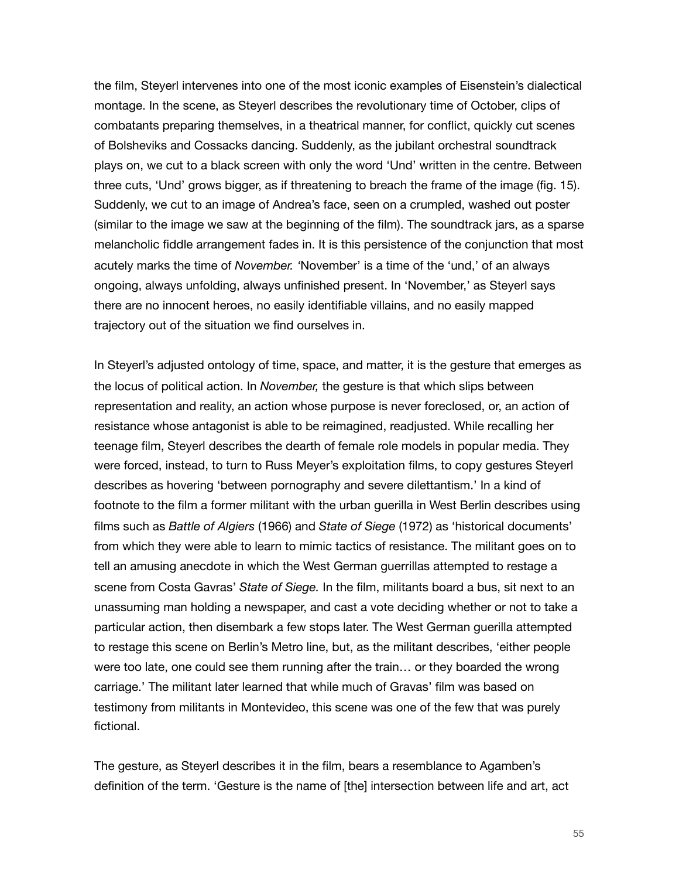the film, Steyerl intervenes into one of the most iconic examples of Eisenstein's dialectical montage. In the scene, as Steyerl describes the revolutionary time of October, clips of combatants preparing themselves, in a theatrical manner, for conflict, quickly cut scenes of Bolsheviks and Cossacks dancing. Suddenly, as the jubilant orchestral soundtrack plays on, we cut to a black screen with only the word 'Und' written in the centre. Between three cuts, 'Und' grows bigger, as if threatening to breach the frame of the image (fig. 15). Suddenly, we cut to an image of Andrea's face, seen on a crumpled, washed out poster (similar to the image we saw at the beginning of the film). The soundtrack jars, as a sparse melancholic fiddle arrangement fades in. It is this persistence of the conjunction that most acutely marks the time of *November. '*November' is a time of the 'und,' of an always ongoing, always unfolding, always unfinished present. In 'November,' as Steyerl says there are no innocent heroes, no easily identifiable villains, and no easily mapped trajectory out of the situation we find ourselves in.

In Steyerl's adjusted ontology of time, space, and matter, it is the gesture that emerges as the locus of political action. In *November,* the gesture is that which slips between representation and reality, an action whose purpose is never foreclosed, or, an action of resistance whose antagonist is able to be reimagined, readjusted. While recalling her teenage film, Steyerl describes the dearth of female role models in popular media. They were forced, instead, to turn to Russ Meyer's exploitation films, to copy gestures Steyerl describes as hovering 'between pornography and severe dilettantism.' In a kind of footnote to the film a former militant with the urban guerilla in West Berlin describes using films such as *Battle of Algiers* (1966) and *State of Siege* (1972) as 'historical documents' from which they were able to learn to mimic tactics of resistance. The militant goes on to tell an amusing anecdote in which the West German guerrillas attempted to restage a scene from Costa Gavras' *State of Siege.* In the film, militants board a bus, sit next to an unassuming man holding a newspaper, and cast a vote deciding whether or not to take a particular action, then disembark a few stops later. The West German guerilla attempted to restage this scene on Berlin's Metro line, but, as the militant describes, 'either people were too late, one could see them running after the train… or they boarded the wrong carriage.' The militant later learned that while much of Gravas' film was based on testimony from militants in Montevideo, this scene was one of the few that was purely fictional.

The gesture, as Steyerl describes it in the film, bears a resemblance to Agamben's definition of the term. 'Gesture is the name of [the] intersection between life and art, act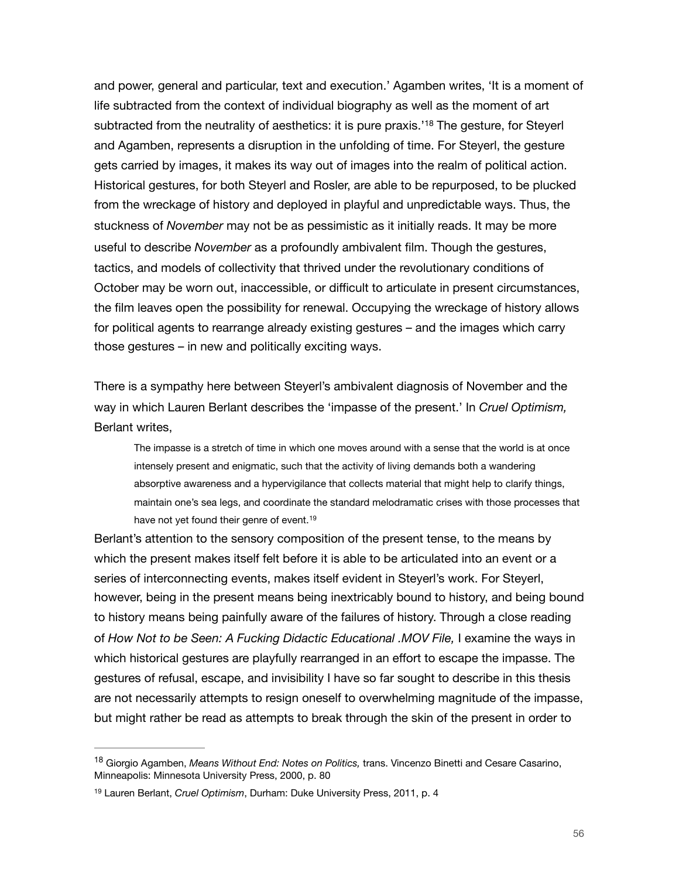<span id="page-56-2"></span>and power, general and particular, text and execution.' Agamben writes, 'It is a moment of life subtracted from the context of individual biography as well as the moment of art subtracted from the neutrality of aesthetics: it is pure praxis.<sup>'[18](#page-56-0)</sup> The gesture, for Steyerl and Agamben, represents a disruption in the unfolding of time. For Steyerl, the gesture gets carried by images, it makes its way out of images into the realm of political action. Historical gestures, for both Steyerl and Rosler, are able to be repurposed, to be plucked from the wreckage of history and deployed in playful and unpredictable ways. Thus, the stuckness of *November* may not be as pessimistic as it initially reads. It may be more useful to describe *November* as a profoundly ambivalent film. Though the gestures, tactics, and models of collectivity that thrived under the revolutionary conditions of October may be worn out, inaccessible, or difficult to articulate in present circumstances, the film leaves open the possibility for renewal. Occupying the wreckage of history allows for political agents to rearrange already existing gestures – and the images which carry those gestures – in new and politically exciting ways.

There is a sympathy here between Steyerl's ambivalent diagnosis of November and the way in which Lauren Berlant describes the 'impasse of the present.' In *Cruel Optimism,*  Berlant writes,

<span id="page-56-3"></span>The impasse is a stretch of time in which one moves around with a sense that the world is at once intensely present and enigmatic, such that the activity of living demands both a wandering absorptive awareness and a hypervigilance that collects material that might help to clarify things, maintain one's sea legs, and coordinate the standard melodramatic crises with those processes that have not yet found their genre of event.<sup>[19](#page-56-1)</sup>

Berlant's attention to the sensory composition of the present tense, to the means by which the present makes itself felt before it is able to be articulated into an event or a series of interconnecting events, makes itself evident in Steyerl's work. For Steyerl, however, being in the present means being inextricably bound to history, and being bound to history means being painfully aware of the failures of history. Through a close reading of *How Not to be Seen: A Fucking Didactic Educational .MOV File,* I examine the ways in which historical gestures are playfully rearranged in an effort to escape the impasse. The gestures of refusal, escape, and invisibility I have so far sought to describe in this thesis are not necessarily attempts to resign oneself to overwhelming magnitude of the impasse, but might rather be read as attempts to break through the skin of the present in order to

<span id="page-56-0"></span><sup>&</sup>lt;sup>[18](#page-56-2)</sup> Giorgio Agamben, *Means Without End: Notes on Politics*, trans. Vincenzo Binetti and Cesare Casarino, Minneapolis: Minnesota University Press, 2000, p. 80

<span id="page-56-1"></span><sup>&</sup>lt;sup>[19](#page-56-3)</sup> Lauren Berlant, *Cruel Optimism*, Durham: Duke University Press, 2011, p. 4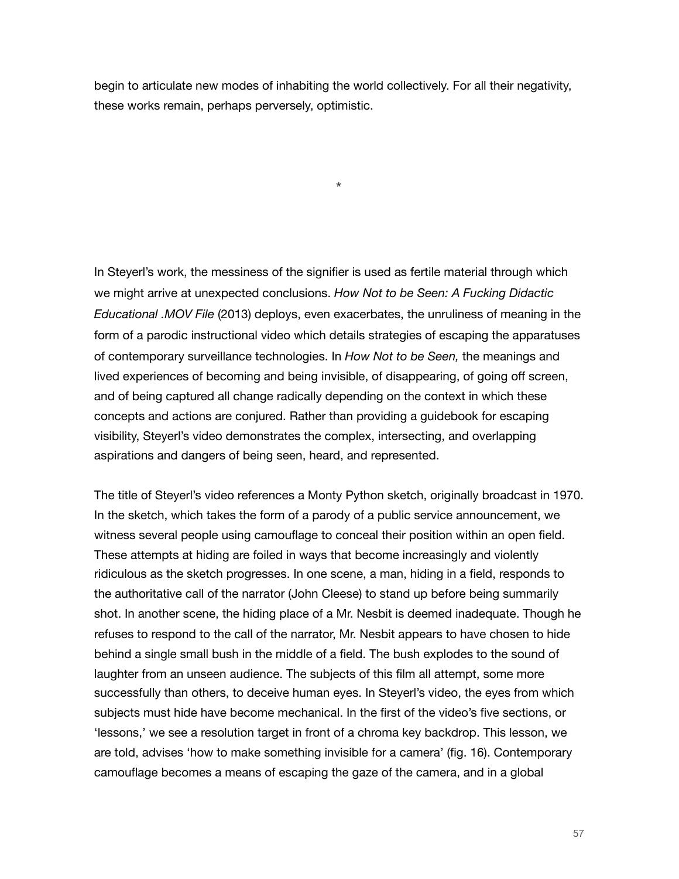begin to articulate new modes of inhabiting the world collectively. For all their negativity, these works remain, perhaps perversely, optimistic.

\*

In Steyerl's work, the messiness of the signifier is used as fertile material through which we might arrive at unexpected conclusions. *How Not to be Seen: A Fucking Didactic Educational .MOV File* (2013) deploys, even exacerbates, the unruliness of meaning in the form of a parodic instructional video which details strategies of escaping the apparatuses of contemporary surveillance technologies. In *How Not to be Seen,* the meanings and lived experiences of becoming and being invisible, of disappearing, of going off screen, and of being captured all change radically depending on the context in which these concepts and actions are conjured. Rather than providing a guidebook for escaping visibility, Steyerl's video demonstrates the complex, intersecting, and overlapping aspirations and dangers of being seen, heard, and represented.

The title of Steyerl's video references a Monty Python sketch, originally broadcast in 1970. In the sketch, which takes the form of a parody of a public service announcement, we witness several people using camouflage to conceal their position within an open field. These attempts at hiding are foiled in ways that become increasingly and violently ridiculous as the sketch progresses. In one scene, a man, hiding in a field, responds to the authoritative call of the narrator (John Cleese) to stand up before being summarily shot. In another scene, the hiding place of a Mr. Nesbit is deemed inadequate. Though he refuses to respond to the call of the narrator, Mr. Nesbit appears to have chosen to hide behind a single small bush in the middle of a field. The bush explodes to the sound of laughter from an unseen audience. The subjects of this film all attempt, some more successfully than others, to deceive human eyes. In Steyerl's video, the eyes from which subjects must hide have become mechanical. In the first of the video's five sections, or 'lessons,' we see a resolution target in front of a chroma key backdrop. This lesson, we are told, advises 'how to make something invisible for a camera' (fig. 16). Contemporary camouflage becomes a means of escaping the gaze of the camera, and in a global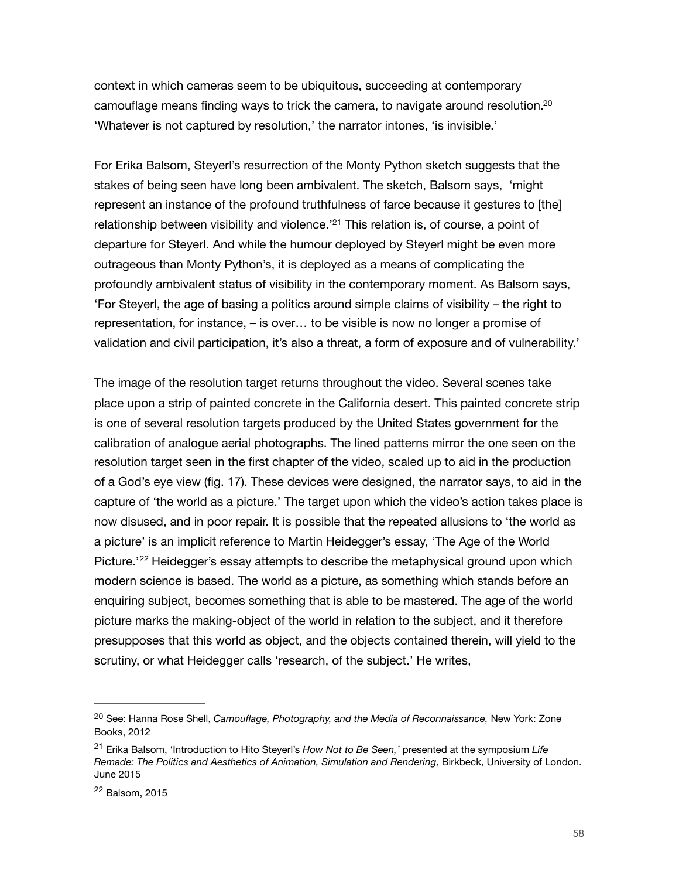<span id="page-58-3"></span>context in which cameras seem to be ubiquitous, succeeding at contemporary camouflage means finding ways to trick the camera, to navigate around resolution[.20](#page-58-0) 'Whatever is not captured by resolution,' the narrator intones, 'is invisible.'

<span id="page-58-4"></span>For Erika Balsom, Steyerl's resurrection of the Monty Python sketch suggests that the stakes of being seen have long been ambivalent. The sketch, Balsom says, 'might represent an instance of the profound truthfulness of farce because it gestures to [the] relationship between visibility and violence.<sup> $21$ </sup> This relation is, of course, a point of departure for Steyerl. And while the humour deployed by Steyerl might be even more outrageous than Monty Python's, it is deployed as a means of complicating the profoundly ambivalent status of visibility in the contemporary moment. As Balsom says, 'For Steyerl, the age of basing a politics around simple claims of visibility – the right to representation, for instance, – is over… to be visible is now no longer a promise of validation and civil participation, it's also a threat, a form of exposure and of vulnerability.'

The image of the resolution target returns throughout the video. Several scenes take place upon a strip of painted concrete in the California desert. This painted concrete strip is one of several resolution targets produced by the United States government for the calibration of analogue aerial photographs. The lined patterns mirror the one seen on the resolution target seen in the first chapter of the video, scaled up to aid in the production of a God's eye view (fig. 17). These devices were designed, the narrator says, to aid in the capture of 'the world as a picture.' The target upon which the video's action takes place is now disused, and in poor repair. It is possible that the repeated allusions to 'the world as a picture' is an implicit reference to Martin Heidegger's essay, 'The Age of the World Picture.<sup>'22</sup>Heidegger's essay attempts to describe the metaphysical ground upon which modern science is based. The world as a picture, as something which stands before an enquiring subject, becomes something that is able to be mastered. The age of the world picture marks the making-object of the world in relation to the subject, and it therefore presupposes that this world as object, and the objects contained therein, will yield to the scrutiny, or what Heidegger calls 'research, of the subject.' He writes,

<span id="page-58-5"></span><span id="page-58-0"></span><sup>&</sup>lt;sup>[20](#page-58-3)</sup> See: Hanna Rose Shell, *Camouflage, Photography, and the Media of Reconnaissance*, New York: Zone Books, 2012

<span id="page-58-1"></span>Erika Balsom, 'Introduction to Hito Steyerl's *How Not to Be Seen,'* presented at the symposium *Life* [21](#page-58-4) *Remade: The Politics and Aesthetics of Animation, Simulation and Rendering*, Birkbeck, University of London. June 2015

<span id="page-58-2"></span><sup>&</sup>lt;sup>[22](#page-58-5)</sup> Balsom, 2015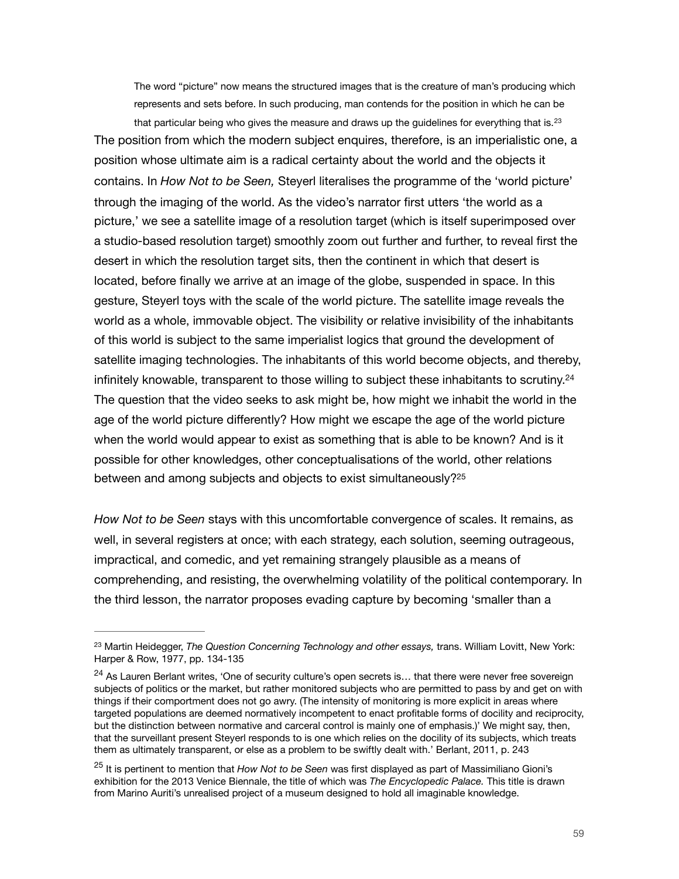<span id="page-59-3"></span>The word "picture" now means the structured images that is the creature of man's producing which represents and sets before. In such producing, man contends for the position in which he can be that particular being who gives the measure and draws up the guidelines for everything that is.<sup>[23](#page-59-0)</sup>

The position from which the modern subject enquires, therefore, is an imperialistic one, a position whose ultimate aim is a radical certainty about the world and the objects it contains. In *How Not to be Seen,* Steyerl literalises the programme of the 'world picture' through the imaging of the world. As the video's narrator first utters 'the world as a picture,' we see a satellite image of a resolution target (which is itself superimposed over a studio-based resolution target) smoothly zoom out further and further, to reveal first the desert in which the resolution target sits, then the continent in which that desert is located, before finally we arrive at an image of the globe, suspended in space. In this gesture, Steyerl toys with the scale of the world picture. The satellite image reveals the world as a whole, immovable object. The visibility or relative invisibility of the inhabitants of this world is subject to the same imperialist logics that ground the development of satellite imaging technologies. The inhabitants of this world become objects, and thereby, infinitely knowable, transparent to those willing to subject these inhabitants to scrutiny.<sup>[24](#page-59-1)</sup> The question that the video seeks to ask might be, how might we inhabit the world in the age of the world picture differently? How might we escape the age of the world picture when the world would appear to exist as something that is able to be known? And is it possible for other knowledges, other conceptualisations of the world, other relations between and among subjects and objects to exist simultaneously[?25](#page-59-2)

<span id="page-59-5"></span><span id="page-59-4"></span>*How Not to be Seen* stays with this uncomfortable convergence of scales. It remains, as well, in several registers at once; with each strategy, each solution, seeming outrageous, impractical, and comedic, and yet remaining strangely plausible as a means of comprehending, and resisting, the overwhelming volatility of the political contemporary. In the third lesson, the narrator proposes evading capture by becoming 'smaller than a

<span id="page-59-0"></span><sup>&</sup>lt;sup>[23](#page-59-3)</sup> Martin Heidegger, *The Question Concerning Technology and other essays, trans. William Lovitt, New York:* Harper & Row, 1977, pp. 134-135

<span id="page-59-1"></span><sup>&</sup>lt;sup>[24](#page-59-4)</sup> As Lauren Berlant writes, 'One of security culture's open secrets is... that there were never free sovereign subjects of politics or the market, but rather monitored subjects who are permitted to pass by and get on with things if their comportment does not go awry. (The intensity of monitoring is more explicit in areas where targeted populations are deemed normatively incompetent to enact profitable forms of docility and reciprocity, but the distinction between normative and carceral control is mainly one of emphasis.)' We might say, then, that the surveillant present Steyerl responds to is one which relies on the docility of its subjects, which treats them as ultimately transparent, or else as a problem to be swiftly dealt with.' Berlant, 2011, p. 243

<span id="page-59-2"></span><sup>&</sup>lt;sup>[25](#page-59-5)</sup> It is pertinent to mention that *How Not to be Seen* was first displayed as part of Massimiliano Gioni's exhibition for the 2013 Venice Biennale, the title of which was *The Encyclopedic Palace.* This title is drawn from Marino Auriti's unrealised project of a museum designed to hold all imaginable knowledge.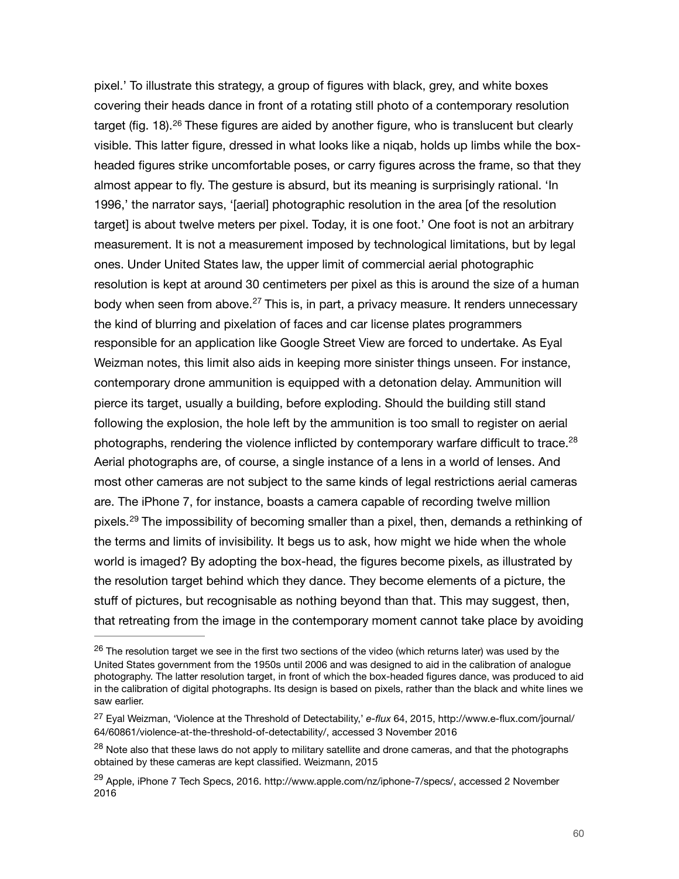<span id="page-60-5"></span><span id="page-60-4"></span>pixel.' To illustrate this strategy, a group of figures with black, grey, and white boxes covering their heads dance in front of a rotating still photo of a contemporary resolution target(fig. 18).  $26$  These figures are aided by another figure, who is translucent but clearly visible. This latter figure, dressed in what looks like a niqab, holds up limbs while the boxheaded figures strike uncomfortable poses, or carry figures across the frame, so that they almost appear to fly. The gesture is absurd, but its meaning is surprisingly rational. 'In 1996,' the narrator says, '[aerial] photographic resolution in the area [of the resolution target] is about twelve meters per pixel. Today, it is one foot.' One foot is not an arbitrary measurement. It is not a measurement imposed by technological limitations, but by legal ones. Under United States law, the upper limit of commercial aerial photographic resolution is kept at around 30 centimeters per pixel as this is around the size of a human bodywhen seen from above.<sup>[27](#page-60-1)</sup> This is, in part, a privacy measure. It renders unnecessary the kind of blurring and pixelation of faces and car license plates programmers responsible for an application like Google Street View are forced to undertake. As Eyal Weizman notes, this limit also aids in keeping more sinister things unseen. For instance, contemporary drone ammunition is equipped with a detonation delay. Ammunition will pierce its target, usually a building, before exploding. Should the building still stand following the explosion, the hole left by the ammunition is too small to register on aerial photographs, rendering the violence inflicted by contemporary warfare difficult to trace.<sup>[28](#page-60-2)</sup> Aerial photographs are, of course, a single instance of a lens in a world of lenses. And most other cameras are not subject to the same kinds of legal restrictions aerial cameras are. The iPhone 7, for instance, boasts a camera capable of recording twelve million pixels.<sup>29</sup>The impossibility of becoming smaller than a pixel, then, demands a rethinking of the terms and limits of invisibility. It begs us to ask, how might we hide when the whole world is imaged? By adopting the box-head, the figures become pixels, as illustrated by the resolution target behind which they dance. They become elements of a picture, the stuff of pictures, but recognisable as nothing beyond than that. This may suggest, then, that retreating from the image in the contemporary moment cannot take place by avoiding

<span id="page-60-7"></span><span id="page-60-6"></span><span id="page-60-0"></span> $26$  The resolution target we see in the first two sections of the video (which returns later) was used by the United States government from the 1950s until 2006 and was designed to aid in the calibration of analogue photography. The latter resolution target, in front of which the box-headed figures dance, was produced to aid in the calibration of digital photographs. Its design is based on pixels, rather than the black and white lines we saw earlier.

<span id="page-60-1"></span>Eyal Weizman, 'Violence at the Threshold of Detectability,' *e-flux* 64, 2015, http://www.e-flux.com/journal/ [27](#page-60-5) 64/60861/violence-at-the-threshold-of-detectability/, accessed 3 November 2016

<span id="page-60-2"></span> $^{28}$  $^{28}$  $^{28}$  Note also that these laws do not apply to military satellite and drone cameras, and that the photographs obtained by these cameras are kept classified. Weizmann, 2015

<span id="page-60-3"></span><sup>&</sup>lt;sup>[29](#page-60-7)</sup> Apple, iPhone 7 Tech Specs, 2016. http://www.apple.com/nz/iphone-7/specs/, accessed 2 November 2016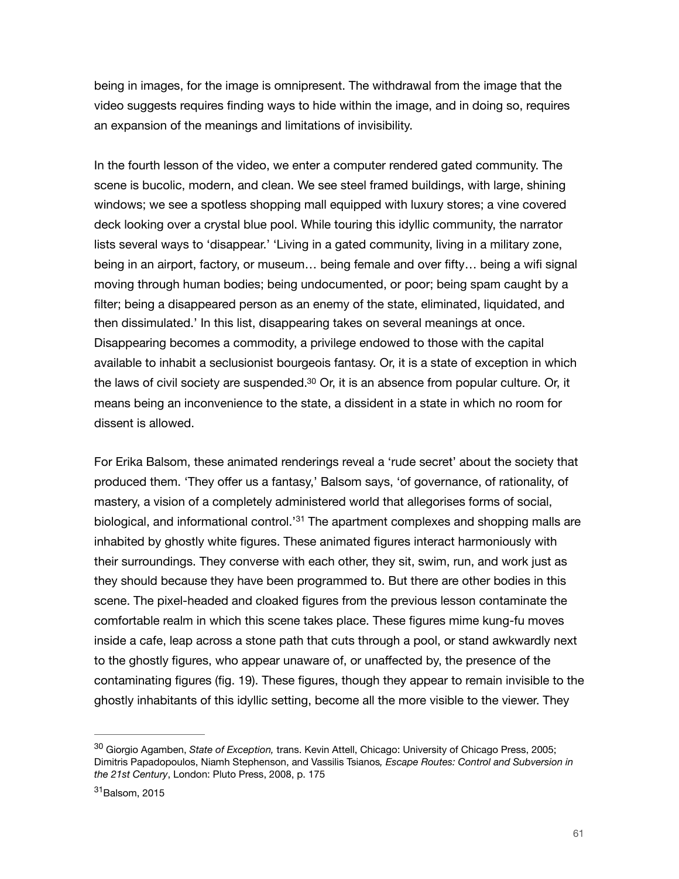being in images, for the image is omnipresent. The withdrawal from the image that the video suggests requires finding ways to hide within the image, and in doing so, requires an expansion of the meanings and limitations of invisibility.

In the fourth lesson of the video, we enter a computer rendered gated community. The scene is bucolic, modern, and clean. We see steel framed buildings, with large, shining windows; we see a spotless shopping mall equipped with luxury stores; a vine covered deck looking over a crystal blue pool. While touring this idyllic community, the narrator lists several ways to 'disappear.' 'Living in a gated community, living in a military zone, being in an airport, factory, or museum… being female and over fifty… being a wifi signal moving through human bodies; being undocumented, or poor; being spam caught by a filter; being a disappeared person as an enemy of the state, eliminated, liquidated, and then dissimulated.' In this list, disappearing takes on several meanings at once. Disappearing becomes a commodity, a privilege endowed to those with the capital available to inhabit a seclusionist bourgeois fantasy. Or, it is a state of exception in which the laws of civil society are suspended[.](#page-61-0) $30$  Or, it is an absence from popular culture. Or, it means being an inconvenience to the state, a dissident in a state in which no room for dissent is allowed.

<span id="page-61-3"></span><span id="page-61-2"></span>For Erika Balsom, these animated renderings reveal a 'rude secret' about the society that produced them. 'They offer us a fantasy,' Balsom says, 'of governance, of rationality, of mastery, a vision of a completely administered world that allegorises forms of social, biological,and informational control.<sup>[31](#page-61-1)</sup> The apartment complexes and shopping malls are inhabited by ghostly white figures. These animated figures interact harmoniously with their surroundings. They converse with each other, they sit, swim, run, and work just as they should because they have been programmed to. But there are other bodies in this scene. The pixel-headed and cloaked figures from the previous lesson contaminate the comfortable realm in which this scene takes place. These figures mime kung-fu moves inside a cafe, leap across a stone path that cuts through a pool, or stand awkwardly next to the ghostly figures, who appear unaware of, or unaffected by, the presence of the contaminating figures (fig. 19). These figures, though they appear to remain invisible to the ghostly inhabitants of this idyllic setting, become all the more visible to the viewer. They

<span id="page-61-0"></span>Giorgio Agamben, *State of Exception,* trans. Kevin Attell, Chicago: University of Chicago Press, 2005; [30](#page-61-2) Dimitris Papadopoulos, Niamh Stephenson, and Vassilis Tsianos*, Escape Routes: Control and Subversion in the 21st Century*, London: Pluto Press, 2008, p. 175

<span id="page-61-1"></span> $31$ Balsom, 2015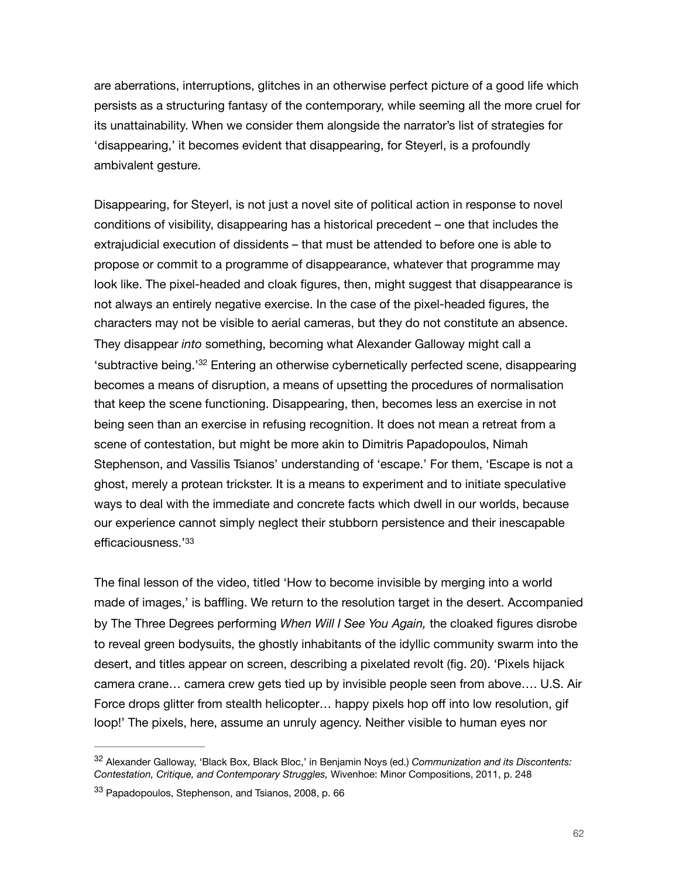are aberrations, interruptions, glitches in an otherwise perfect picture of a good life which persists as a structuring fantasy of the contemporary, while seeming all the more cruel for its unattainability. When we consider them alongside the narrator's list of strategies for 'disappearing,' it becomes evident that disappearing, for Steyerl, is a profoundly ambivalent gesture.

<span id="page-62-2"></span>Disappearing, for Steyerl, is not just a novel site of political action in response to novel conditions of visibility, disappearing has a historical precedent – one that includes the extrajudicial execution of dissidents – that must be attended to before one is able to propose or commit to a programme of disappearance, whatever that programme may look like. The pixel-headed and cloak figures, then, might suggest that disappearance is not always an entirely negative exercise. In the case of the pixel-headed figures, the characters may not be visible to aerial cameras, but they do not constitute an absence. They disappear *into* something, becoming what Alexander Galloway might call a 'subtractive being.<sup>'[32](#page-62-0)</sup> Entering an otherwise cybernetically perfected scene, disappearing becomes a means of disruption, a means of upsetting the procedures of normalisation that keep the scene functioning. Disappearing, then, becomes less an exercise in not being seen than an exercise in refusing recognition. It does not mean a retreat from a scene of contestation, but might be more akin to Dimitris Papadopoulos, Nimah Stephenson, and Vassilis Tsianos' understanding of 'escape.' For them, 'Escape is not a ghost, merely a protean trickster. It is a means to experiment and to initiate speculative ways to deal with the immediate and concrete facts which dwell in our worlds, because our experience cannot simply neglect their stubborn persistence and their inescapable efficaciousness.'[33](#page-62-1)

<span id="page-62-3"></span>The final lesson of the video, titled 'How to become invisible by merging into a world made of images,' is baffling. We return to the resolution target in the desert. Accompanied by The Three Degrees performing *When Will I See You Again,* the cloaked figures disrobe to reveal green bodysuits, the ghostly inhabitants of the idyllic community swarm into the desert, and titles appear on screen, describing a pixelated revolt (fig. 20). 'Pixels hijack camera crane… camera crew gets tied up by invisible people seen from above…. U.S. Air Force drops glitter from stealth helicopter… happy pixels hop off into low resolution, gif loop!' The pixels, here, assume an unruly agency. Neither visible to human eyes nor

<span id="page-62-0"></span><sup>&</sup>lt;sup>[32](#page-62-2)</sup> Alexander Galloway, 'Black Box, Black Bloc,' in Benjamin Noys (ed.) *Communization and its Discontents: Contestation, Critique, and Contemporary Struggles,* Wivenhoe: Minor Compositions, 2011, p. 248

<span id="page-62-1"></span><sup>&</sup>lt;sup>[33](#page-62-3)</sup> Papadopoulos, Stephenson, and Tsianos, 2008, p. 66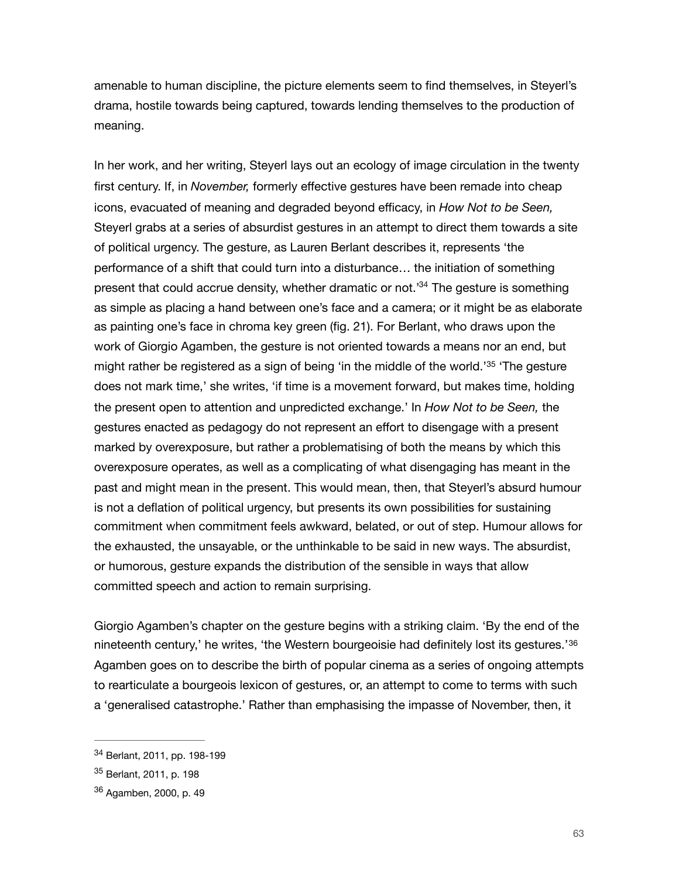amenable to human discipline, the picture elements seem to find themselves, in Steyerl's drama, hostile towards being captured, towards lending themselves to the production of meaning.

<span id="page-63-4"></span><span id="page-63-3"></span>In her work, and her writing, Steyerl lays out an ecology of image circulation in the twenty first century. If, in *November,* formerly effective gestures have been remade into cheap icons, evacuated of meaning and degraded beyond efficacy, in *How Not to be Seen,*  Steyerl grabs at a series of absurdist gestures in an attempt to direct them towards a site of political urgency. The gesture, as Lauren Berlant describes it, represents 'the performance of a shift that could turn into a disturbance… the initiation of something present that could accrue density, whether dramatic or not.<sup>[34](#page-63-0)</sup> The gesture is something as simple as placing a hand between one's face and a camera; or it might be as elaborate as painting one's face in chroma key green (fig. 21). For Berlant, who draws upon the work of Giorgio Agamben, the gesture is not oriented towards a means nor an end, but might rather be registered as a sign of being 'in the middle of the world.'<sup>[35](#page-63-1)</sup> 'The gesture does not mark time,' she writes, 'if time is a movement forward, but makes time, holding the present open to attention and unpredicted exchange.' In *How Not to be Seen,* the gestures enacted as pedagogy do not represent an effort to disengage with a present marked by overexposure, but rather a problematising of both the means by which this overexposure operates, as well as a complicating of what disengaging has meant in the past and might mean in the present. This would mean, then, that Steyerl's absurd humour is not a deflation of political urgency, but presents its own possibilities for sustaining commitment when commitment feels awkward, belated, or out of step. Humour allows for the exhausted, the unsayable, or the unthinkable to be said in new ways. The absurdist, or humorous, gesture expands the distribution of the sensible in ways that allow committed speech and action to remain surprising.

<span id="page-63-5"></span>Giorgio Agamben's chapter on the gesture begins with a striking claim. 'By the end of the nineteenth century,' he writes, 'the Western bourgeoisie had definitely lost its gestures.'[36](#page-63-2) Agamben goes on to describe the birth of popular cinema as a series of ongoing attempts to rearticulate a bourgeois lexicon of gestures, or, an attempt to come to terms with such a 'generalised catastrophe.' Rather than emphasising the impasse of November, then, it

<span id="page-63-0"></span>[<sup>34</sup>](#page-63-3) Berlant, 2011, pp. 198-199

<span id="page-63-1"></span>[<sup>35</sup>](#page-63-4) Berlant, 2011, p. 198

<span id="page-63-2"></span><sup>&</sup>lt;sup>[36](#page-63-5)</sup> Agamben, 2000, p. 49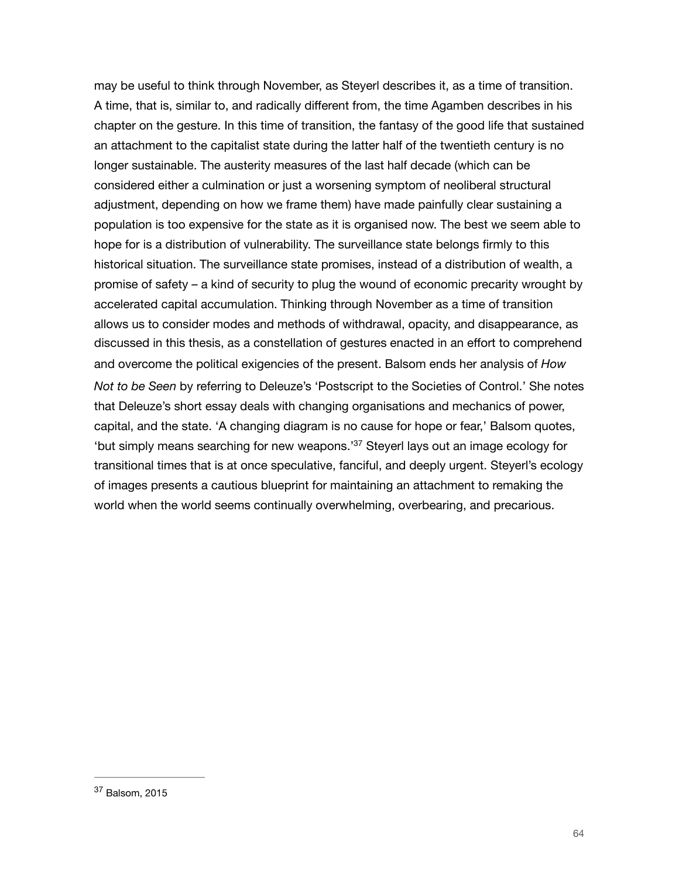may be useful to think through November, as Steyerl describes it, as a time of transition. A time, that is, similar to, and radically different from, the time Agamben describes in his chapter on the gesture. In this time of transition, the fantasy of the good life that sustained an attachment to the capitalist state during the latter half of the twentieth century is no longer sustainable. The austerity measures of the last half decade (which can be considered either a culmination or just a worsening symptom of neoliberal structural adjustment, depending on how we frame them) have made painfully clear sustaining a population is too expensive for the state as it is organised now. The best we seem able to hope for is a distribution of vulnerability. The surveillance state belongs firmly to this historical situation. The surveillance state promises, instead of a distribution of wealth, a promise of safety – a kind of security to plug the wound of economic precarity wrought by accelerated capital accumulation. Thinking through November as a time of transition allows us to consider modes and methods of withdrawal, opacity, and disappearance, as discussed in this thesis, as a constellation of gestures enacted in an effort to comprehend and overcome the political exigencies of the present. Balsom ends her analysis of *How Not to be Seen* by referring to Deleuze's 'Postscript to the Societies of Control.' She notes that Deleuze's short essay deals with changing organisations and mechanics of power, capital, and the state. 'A changing diagram is no cause for hope or fear,' Balsom quotes, ['](#page-64-0)but simply means searching for new weapons. $37$  Steyerl lays out an image ecology for transitional times that is at once speculative, fanciful, and deeply urgent. Steyerl's ecology of images presents a cautious blueprint for maintaining an attachment to remaking the world when the world seems continually overwhelming, overbearing, and precarious.

<span id="page-64-1"></span><span id="page-64-0"></span> $37$  Balsom, 2015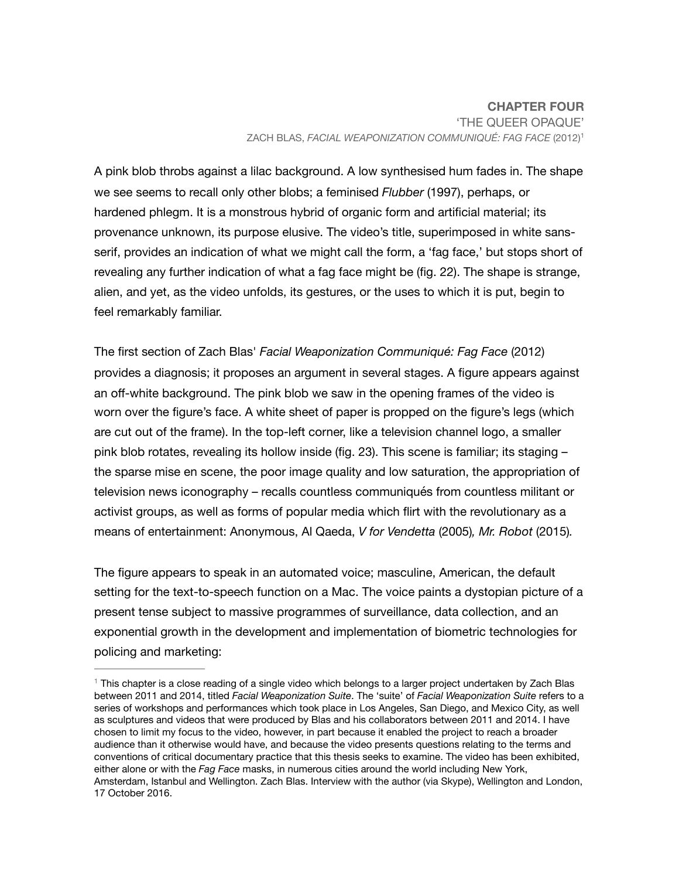## <span id="page-65-1"></span>**CHAPTER FOUR**  'THE QUEER OPAQUE' ZACH BLAS, *FACIAL WEAPONIZATION COMMUNIQUÉ: FAG FACE* (2012)[1](#page-65-0)

A pink blob throbs against a lilac background. A low synthesised hum fades in. The shape we see seems to recall only other blobs; a feminised *Flubber* (1997), perhaps, or hardened phlegm. It is a monstrous hybrid of organic form and artificial material; its provenance unknown, its purpose elusive. The video's title, superimposed in white sansserif, provides an indication of what we might call the form, a 'fag face,' but stops short of revealing any further indication of what a fag face might be (fig. 22). The shape is strange, alien, and yet, as the video unfolds, its gestures, or the uses to which it is put, begin to feel remarkably familiar.

The first section of Zach Blas' *Facial Weaponization Communiqué: Fag Face* (2012) provides a diagnosis; it proposes an argument in several stages. A figure appears against an off-white background. The pink blob we saw in the opening frames of the video is worn over the figure's face. A white sheet of paper is propped on the figure's legs (which are cut out of the frame). In the top-left corner, like a television channel logo, a smaller pink blob rotates, revealing its hollow inside (fig. 23). This scene is familiar; its staging – the sparse mise en scene, the poor image quality and low saturation, the appropriation of television news iconography – recalls countless communiqués from countless militant or activist groups, as well as forms of popular media which flirt with the revolutionary as a means of entertainment: Anonymous, Al Qaeda, *V for Vendetta* (2005)*, Mr. Robot* (2015)*.*

The figure appears to speak in an automated voice; masculine, American, the default setting for the text-to-speech function on a Mac. The voice paints a dystopian picture of a present tense subject to massive programmes of surveillance, data collection, and an exponential growth in the development and implementation of biometric technologies for policing and marketing:

<span id="page-65-0"></span> $1$  This chapter is a close reading of a single video which belongs to a larger project undertaken by Zach Blas between 2011 and 2014, titled *Facial Weaponization Suite*. The 'suite' of *Facial Weaponization Suite* refers to a series of workshops and performances which took place in Los Angeles, San Diego, and Mexico City, as well as sculptures and videos that were produced by Blas and his collaborators between 2011 and 2014. I have chosen to limit my focus to the video, however, in part because it enabled the project to reach a broader audience than it otherwise would have, and because the video presents questions relating to the terms and conventions of critical documentary practice that this thesis seeks to examine. The video has been exhibited, either alone or with the *Fag Face* masks, in numerous cities around the world including New York, Amsterdam, Istanbul and Wellington. Zach Blas. Interview with the author (via Skype), Wellington and London, 17 October 2016.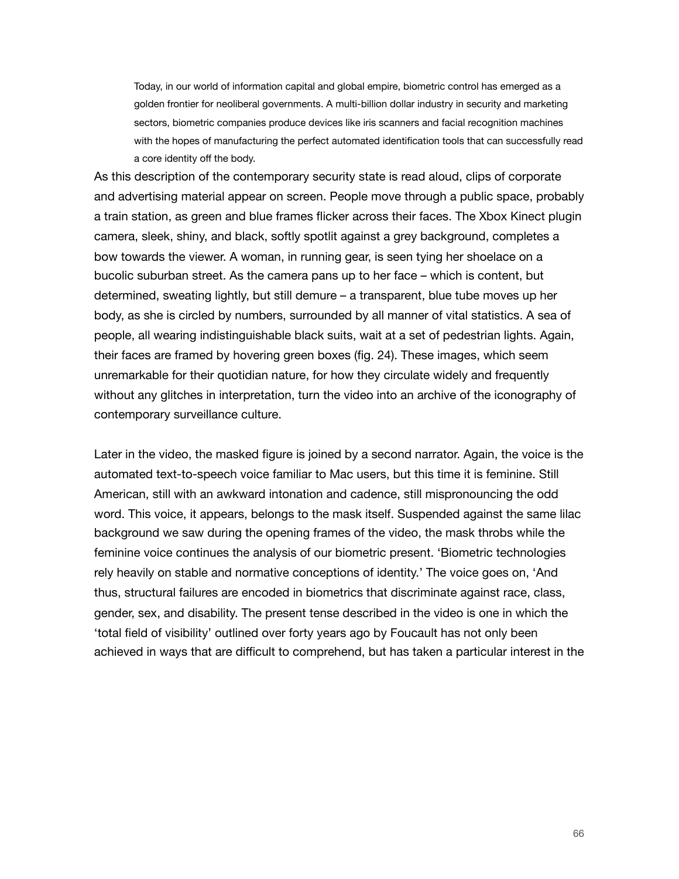Today, in our world of information capital and global empire, biometric control has emerged as a golden frontier for neoliberal governments. A multi-billion dollar industry in security and marketing sectors, biometric companies produce devices like iris scanners and facial recognition machines with the hopes of manufacturing the perfect automated identification tools that can successfully read a core identity off the body.

As this description of the contemporary security state is read aloud, clips of corporate and advertising material appear on screen. People move through a public space, probably a train station, as green and blue frames flicker across their faces. The Xbox Kinect plugin camera, sleek, shiny, and black, softly spotlit against a grey background, completes a bow towards the viewer. A woman, in running gear, is seen tying her shoelace on a bucolic suburban street. As the camera pans up to her face – which is content, but determined, sweating lightly, but still demure – a transparent, blue tube moves up her body, as she is circled by numbers, surrounded by all manner of vital statistics. A sea of people, all wearing indistinguishable black suits, wait at a set of pedestrian lights. Again, their faces are framed by hovering green boxes (fig. 24). These images, which seem unremarkable for their quotidian nature, for how they circulate widely and frequently without any glitches in interpretation, turn the video into an archive of the iconography of contemporary surveillance culture.

Later in the video, the masked figure is joined by a second narrator. Again, the voice is the automated text-to-speech voice familiar to Mac users, but this time it is feminine. Still American, still with an awkward intonation and cadence, still mispronouncing the odd word. This voice, it appears, belongs to the mask itself. Suspended against the same lilac background we saw during the opening frames of the video, the mask throbs while the feminine voice continues the analysis of our biometric present. 'Biometric technologies rely heavily on stable and normative conceptions of identity.' The voice goes on, 'And thus, structural failures are encoded in biometrics that discriminate against race, class, gender, sex, and disability. The present tense described in the video is one in which the 'total field of visibility' outlined over forty years ago by Foucault has not only been achieved in ways that are difficult to comprehend, but has taken a particular interest in the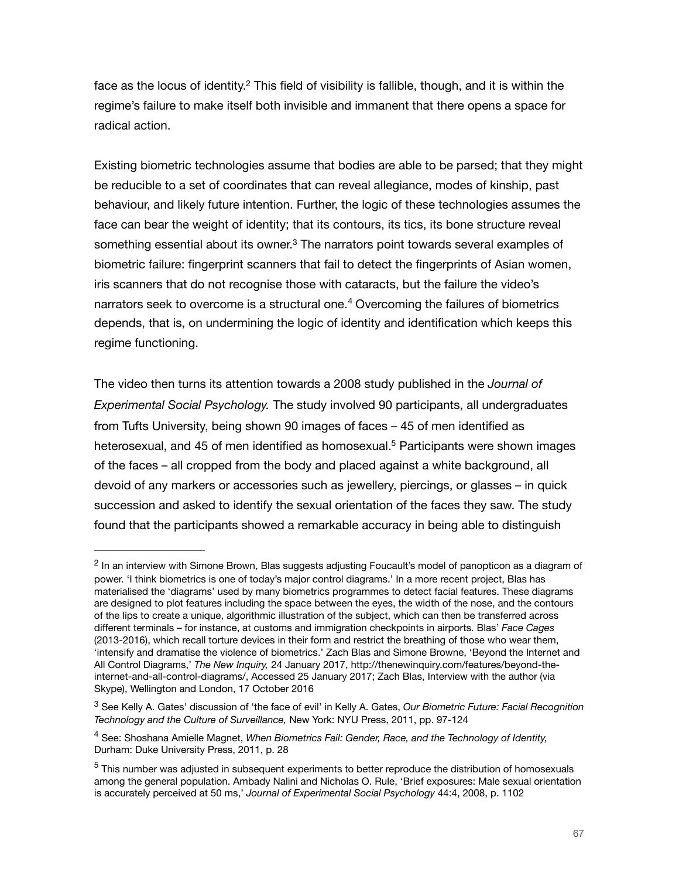<span id="page-67-4"></span>face as the locus of identity[.](#page-67-0)<sup>[2](#page-67-0)</sup> This field of visibility is fallible, though, and it is within the regime's failure to make itself both invisible and immanent that there opens a space for radical action.

<span id="page-67-5"></span>Existing biometric technologies assume that bodies are able to be parsed; that they might be reducible to a set of coordinates that can reveal allegiance, modes of kinship, past behaviour, and likely future intention. Further, the logic of these technologies assumes the face can bear the weight of identity; that its contours, its tics, its bone structure reveal something essential about its owner[.](#page-67-1) $3$  The narrators point towards several examples of biometric failure: fingerprint scanners that fail to detect the fingerprints of Asian women, iris scanners that do not recognise those with cataracts, but the failure the video's narratorsseek to overcome is a structural one. $4$  Overcoming the failures of biometrics depends, that is, on undermining the logic of identity and identification which keeps this regime functioning.

<span id="page-67-7"></span><span id="page-67-6"></span>The video then turns its attention towards a 2008 study published in the *Journal of Experimental Social Psychology.* The study involved 90 participants, all undergraduates from Tufts University, being shown 90 images of faces – 45 of men identified as heterosexual, and 45 of men identified as homosexual[.](#page-67-3)<sup>[5](#page-67-3)</sup> Participants were shown images of the faces – all cropped from the body and placed against a white background, all devoid of any markers or accessories such as jewellery, piercings, or glasses – in quick succession and asked to identify the sexual orientation of the faces they saw. The study found that the participants showed a remarkable accuracy in being able to distinguish

<span id="page-67-0"></span> $<sup>2</sup>$  $<sup>2</sup>$  $<sup>2</sup>$  In an interview with Simone Brown, Blas suggests adjusting Foucault's model of panopticon as a diagram of</sup> power. 'I think biometrics is one of today's major control diagrams.' In a more recent project, Blas has materialised the 'diagrams' used by many biometrics programmes to detect facial features. These diagrams are designed to plot features including the space between the eyes, the width of the nose, and the contours of the lips to create a unique, algorithmic illustration of the subject, which can then be transferred across different terminals – for instance, at customs and immigration checkpoints in airports. Blas' *Face Cages*  (2013-2016), which recall torture devices in their form and restrict the breathing of those who wear them, 'intensify and dramatise the violence of biometrics.' Zach Blas and Simone Browne, 'Beyond the Internet and All Control Diagrams,' *The New Inquiry,* 24 January 2017, http://thenewinquiry.com/features/beyond-theinternet-and-all-control-diagrams/, Accessed 25 January 2017; Zach Blas, Interview with the author (via Skype), Wellington and London, 17 October 2016

<span id="page-67-1"></span>See Kelly A. Gates' discussion of 'the face of evil' in Kelly A. Gates, *Our Biometric Future: Facial Recognition* [3](#page-67-5) *Technology and the Culture of Surveillance,* New York: NYU Press, 2011, pp. 97-124

<span id="page-67-2"></span>See: Shoshana Amielle Magnet, *When Biometrics Fail: Gender, Race, and the Technology of Identity,* [4](#page-67-6) Durham: Duke University Press, 2011, p. 28

<span id="page-67-3"></span> $<sup>5</sup>$  $<sup>5</sup>$  $<sup>5</sup>$  This number was adjusted in subsequent experiments to better reproduce the distribution of homosexuals</sup> among the general population. Ambady Nalini and Nicholas O. Rule, 'Brief exposures: Male sexual orientation is accurately perceived at 50 ms,' *Journal of Experimental Social Psychology* 44:4, 2008, p. 1102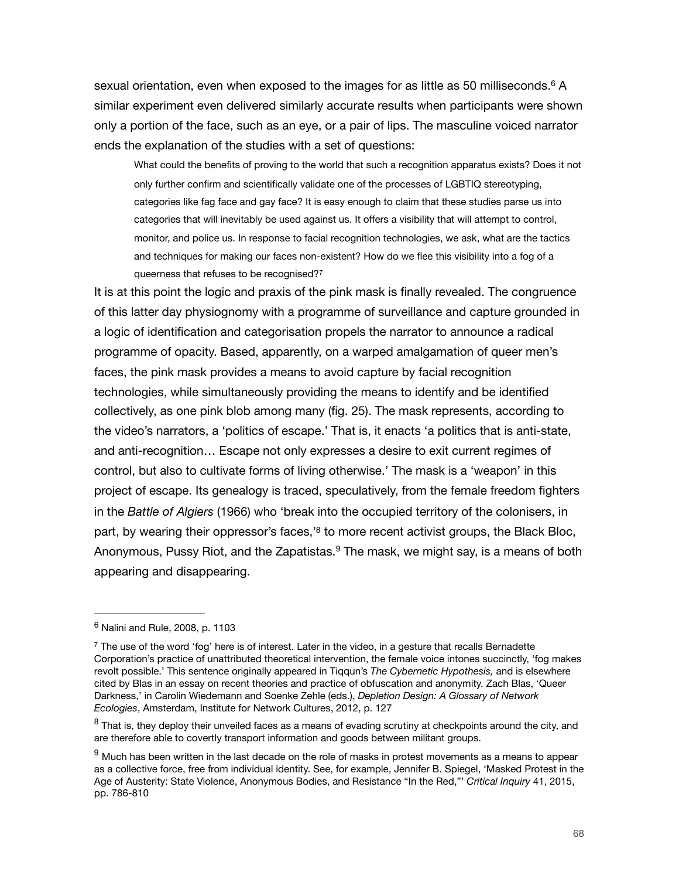sexual orientation, even when exposed to the images for as little as 50 milliseconds.<sup>[6](#page-68-0)</sup> A similar experiment even delivered similarly accurate results when participants were shown only a portion of the face, such as an eye, or a pair of lips. The masculine voiced narrator ends the explanation of the studies with a set of questions:

<span id="page-68-5"></span><span id="page-68-4"></span>What could the benefits of proving to the world that such a recognition apparatus exists? Does it not only further confirm and scientifically validate one of the processes of LGBTIQ stereotyping, categories like fag face and gay face? It is easy enough to claim that these studies parse us into categories that will inevitably be used against us. It offers a visibility that will attempt to control, monitor, and police us. In response to facial recognition technologies, we ask, what are the tactics and techniques for making our faces non-existent? How do we flee this visibility into a fog of a queerness that refuses to be recognised?[7](#page-68-1)

It is at this point the logic and praxis of the pink mask is finally revealed. The congruence of this latter day physiognomy with a programme of surveillance and capture grounded in a logic of identification and categorisation propels the narrator to announce a radical programme of opacity. Based, apparently, on a warped amalgamation of queer men's faces, the pink mask provides a means to avoid capture by facial recognition technologies, while simultaneously providing the means to identify and be identified collectively, as one pink blob among many (fig. 25). The mask represents, according to the video's narrators, a 'politics of escape.' That is, it enacts 'a politics that is anti-state, and anti-recognition… Escape not only expresses a desire to exit current regimes of control, but also to cultivate forms of living otherwise.' The mask is a 'weapon' in this project of escape. Its genealogy is traced, speculatively, from the female freedom fighters in the *Battle of Algiers* (1966) who 'break into the occupied territory of the colonisers, in part, by wearing their oppressor['](#page-68-2)s faces,<sup>1[8](#page-68-2)</sup> to more recent activist groups, the Black Bloc, Anonymous,Pussy Riot, and the Zapatistas. $9$  The mask, we might say, is a means of both appearing and disappearing.

<span id="page-68-7"></span><span id="page-68-6"></span><span id="page-68-0"></span> $6$  Nalini and Rule, 2008, p. 1103

<span id="page-68-1"></span> $\frac{7}{7}$  $\frac{7}{7}$  $\frac{7}{7}$  The use of the word 'fog' here is of interest. Later in the video, in a gesture that recalls Bernadette Corporation's practice of unattributed theoretical intervention, the female voice intones succinctly, 'fog makes revolt possible.' This sentence originally appeared in Tiqqun's *The Cybernetic Hypothesis,* and is elsewhere cited by Blas in an essay on recent theories and practice of obfuscation and anonymity. Zach Blas, 'Queer Darkness,' in Carolin Wiedemann and Soenke Zehle (eds.), *Depletion Design: A Glossary of Network Ecologies*, Amsterdam, Institute for Network Cultures, 2012, p. 127

<span id="page-68-2"></span><sup>&</sup>lt;sup>[8](#page-68-6)</sup> That is, they deploy their unveiled faces as a means of evading scrutiny at checkpoints around the city, and are therefore able to covertly transport information and goods between militant groups.

<span id="page-68-3"></span> $9$  Much has been written in the last decade on the role of masks in protest movements as a means to appear as a collective force, free from individual identity. See, for example, Jennifer B. Spiegel, 'Masked Protest in the Age of Austerity: State Violence, Anonymous Bodies, and Resistance "In the Red,"' *Critical Inquiry* 41, 2015, pp. 786-810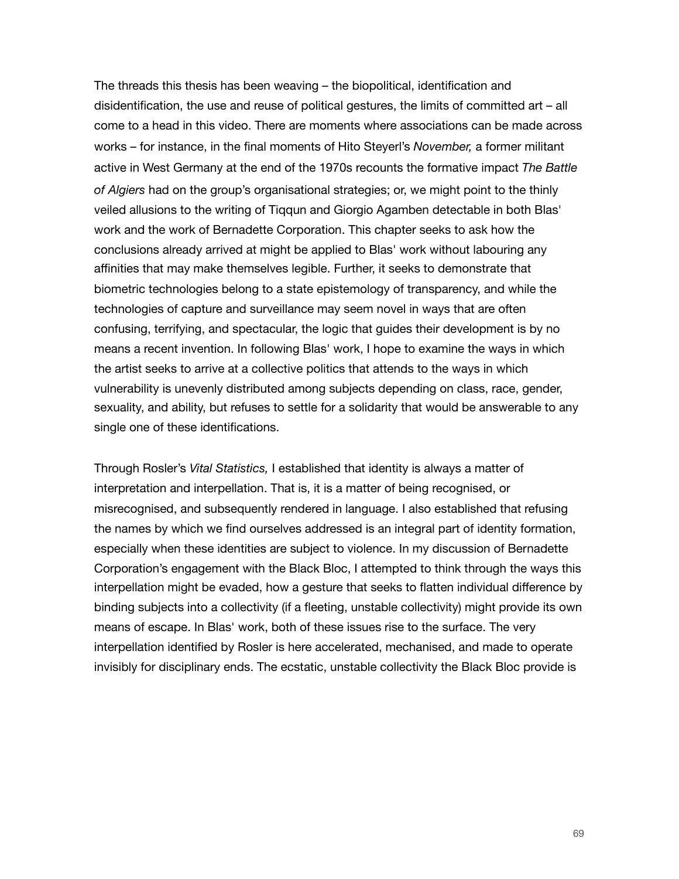The threads this thesis has been weaving – the biopolitical, identification and disidentification, the use and reuse of political gestures, the limits of committed art – all come to a head in this video. There are moments where associations can be made across works – for instance, in the final moments of Hito Steyerl's *November,* a former militant active in West Germany at the end of the 1970s recounts the formative impact *The Battle of Algiers* had on the group's organisational strategies; or, we might point to the thinly veiled allusions to the writing of Tiqqun and Giorgio Agamben detectable in both Blas' work and the work of Bernadette Corporation. This chapter seeks to ask how the conclusions already arrived at might be applied to Blas' work without labouring any affinities that may make themselves legible. Further, it seeks to demonstrate that biometric technologies belong to a state epistemology of transparency, and while the technologies of capture and surveillance may seem novel in ways that are often confusing, terrifying, and spectacular, the logic that guides their development is by no means a recent invention. In following Blas' work, I hope to examine the ways in which the artist seeks to arrive at a collective politics that attends to the ways in which vulnerability is unevenly distributed among subjects depending on class, race, gender, sexuality, and ability, but refuses to settle for a solidarity that would be answerable to any single one of these identifications.

Through Rosler's *Vital Statistics,* I established that identity is always a matter of interpretation and interpellation. That is, it is a matter of being recognised, or misrecognised, and subsequently rendered in language. I also established that refusing the names by which we find ourselves addressed is an integral part of identity formation, especially when these identities are subject to violence. In my discussion of Bernadette Corporation's engagement with the Black Bloc, I attempted to think through the ways this interpellation might be evaded, how a gesture that seeks to flatten individual difference by binding subjects into a collectivity (if a fleeting, unstable collectivity) might provide its own means of escape. In Blas' work, both of these issues rise to the surface. The very interpellation identified by Rosler is here accelerated, mechanised, and made to operate invisibly for disciplinary ends. The ecstatic, unstable collectivity the Black Bloc provide is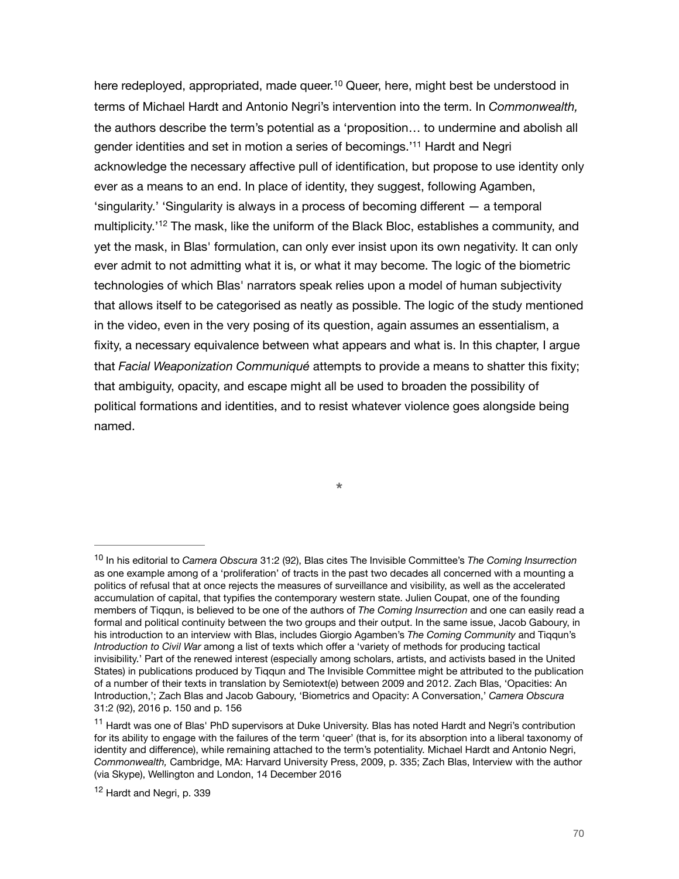<span id="page-70-5"></span><span id="page-70-4"></span><span id="page-70-3"></span>hereredeployed, appropriated, made queer.<sup>[10](#page-70-0)</sup> Queer, here, might best be understood in terms of Michael Hardt and Antonio Negri's intervention into the term. In *Commonwealth,*  the authors describe the term's potential as a 'proposition… to undermine and abolish all gender identities and set in motion a series of becomings.<sup>['](#page-70-1)[11](#page-70-1)</sup> Hardt and Negri acknowledge the necessary affective pull of identification, but propose to use identity only ever as a means to an end. In place of identity, they suggest, following Agamben, 'singularity.' 'Singularity is always in a process of becoming different — a temporal multiplicity.<sup>'[12](#page-70-2)</sup> The mask, like the uniform of the Black Bloc, establishes a community, and yet the mask, in Blas' formulation, can only ever insist upon its own negativity. It can only ever admit to not admitting what it is, or what it may become. The logic of the biometric technologies of which Blas' narrators speak relies upon a model of human subjectivity that allows itself to be categorised as neatly as possible. The logic of the study mentioned in the video, even in the very posing of its question, again assumes an essentialism, a fixity, a necessary equivalence between what appears and what is. In this chapter, I argue that *Facial Weaponization Communiqué* attempts to provide a means to shatter this fixity; that ambiguity, opacity, and escape might all be used to broaden the possibility of political formations and identities, and to resist whatever violence goes alongside being named.

**\***

<span id="page-70-0"></span><sup>&</sup>lt;sup>[10](#page-70-3)</sup> In his editorial to *Camera Obscura* 31:2 (92), Blas cites The Invisible Committee's The Coming Insurrection as one example among of a 'proliferation' of tracts in the past two decades all concerned with a mounting a politics of refusal that at once rejects the measures of surveillance and visibility, as well as the accelerated accumulation of capital, that typifies the contemporary western state. Julien Coupat, one of the founding members of Tiqqun, is believed to be one of the authors of *The Coming Insurrection* and one can easily read a formal and political continuity between the two groups and their output. In the same issue, Jacob Gaboury, in his introduction to an interview with Blas, includes Giorgio Agamben's *The Coming Community* and Tiqqun's *Introduction to Civil War* among a list of texts which offer a 'variety of methods for producing tactical invisibility.' Part of the renewed interest (especially among scholars, artists, and activists based in the United States) in publications produced by Tiqqun and The Invisible Committee might be attributed to the publication of a number of their texts in translation by Semiotext(e) between 2009 and 2012. Zach Blas, 'Opacities: An Introduction,'; Zach Blas and Jacob Gaboury, 'Biometrics and Opacity: A Conversation,' *Camera Obscura*  31:2 (92), 2016 p. 150 and p. 156

<span id="page-70-1"></span><sup>&</sup>lt;sup>[11](#page-70-4)</sup> Hardt was one of Blas' PhD supervisors at Duke University. Blas has noted Hardt and Negri's contribution for its ability to engage with the failures of the term 'queer' (that is, for its absorption into a liberal taxonomy of identity and difference), while remaining attached to the term's potentiality. Michael Hardt and Antonio Negri, *Commonwealth,* Cambridge, MA: Harvard University Press, 2009, p. 335; Zach Blas, Interview with the author (via Skype), Wellington and London, 14 December 2016

<span id="page-70-2"></span> $12$  Hardt and Negri, p. 339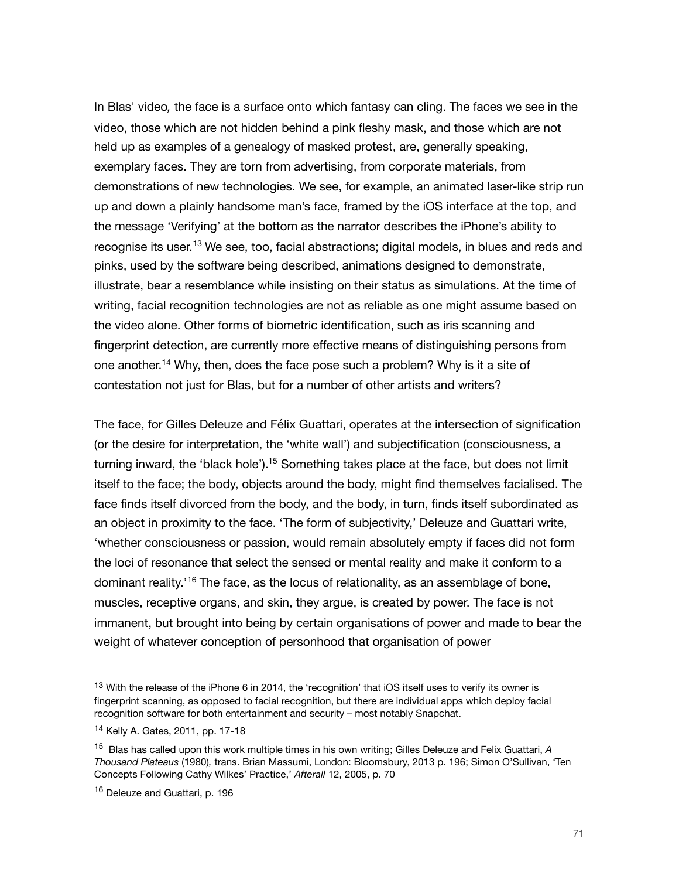<span id="page-71-4"></span>In Blas' video*,* the face is a surface onto which fantasy can cling. The faces we see in the video, those which are not hidden behind a pink fleshy mask, and those which are not held up as examples of a genealogy of masked protest, are, generally speaking, exemplary faces. They are torn from advertising, from corporate materials, from demonstrations of new technologies. We see, for example, an animated laser-like strip run up and down a plainly handsome man's face, framed by the iOS interface at the top, and the message 'Verifying' at the bottom as the narrator describes the iPhone's ability to recogniseits user.<sup>[13](#page-71-0)</sup> We see, too, facial abstractions; digital models, in blues and reds and pinks, used by the software being described, animations designed to demonstrate, illustrate, bear a resemblance while insisting on their status as simulations. At the time of writing, facial recognition technologies are not as reliable as one might assume based on the video alone. Other forms of biometric identification, such as iris scanning and fingerprint detection, are currently more effective means of distinguishing persons from one another.<sup>[14](#page-71-1)</sup> Why, then, does the face pose such a problem? Why is it a site of contestation not just for Blas, but for a number of other artists and writers?

<span id="page-71-6"></span><span id="page-71-5"></span>The face, for Gilles Deleuze and Félix Guattari, operates at the intersection of signification (or the desire for interpretation, the 'white wall') and subjectification (consciousness, a turning inward, the 'black hole')[.](#page-71-2)<sup>[15](#page-71-2)</sup> Something takes place at the face, but does not limit itself to the face; the body, objects around the body, might find themselves facialised. The face finds itself divorced from the body, and the body, in turn, finds itself subordinated as an object in proximity to the face. 'The form of subjectivity,' Deleuze and Guattari write, 'whether consciousness or passion, would remain absolutely empty if faces did not form the loci of resonance that select the sensed or mental reality and make it conform to a dominantreality.<sup>'[16](#page-71-3)</sup> The face, as the locus of relationality, as an assemblage of bone, muscles, receptive organs, and skin, they argue, is created by power. The face is not immanent, but brought into being by certain organisations of power and made to bear the weight of whatever conception of personhood that organisation of power

<span id="page-71-7"></span><span id="page-71-0"></span> $13$  With the release of the iPhone 6 in 2014, the 'recognition' that iOS itself uses to verify its owner is fingerprint scanning, as opposed to facial recognition, but there are individual apps which deploy facial recognition software for both entertainment and security – most notably Snapchat.

<span id="page-71-1"></span><sup>&</sup>lt;sup>[14](#page-71-5)</sup> Kelly A. Gates, 2011, pp. 17-18

<span id="page-71-2"></span><sup>&</sup>lt;sup>[15](#page-71-6)</sup> Blas has called upon this work multiple times in his own writing; Gilles Deleuze and Felix Guattari, A *Thousand Plateaus* (1980)*,* trans. Brian Massumi, London: Bloomsbury, 2013 p. 196; Simon O'Sullivan, 'Ten Concepts Following Cathy Wilkes' Practice,' *Afterall* 12, 2005, p. 70

<span id="page-71-3"></span><sup>&</sup>lt;sup>[16](#page-71-7)</sup> Deleuze and Guattari, p. 196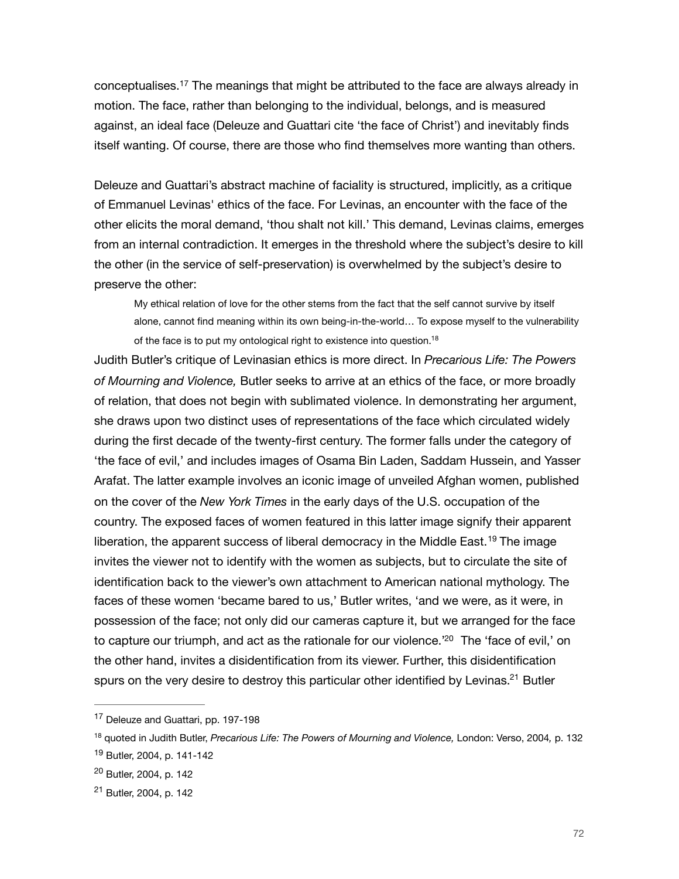<span id="page-72-5"></span>conceptualises[.](#page-72-0)<sup>[17](#page-72-0)</sup> The meanings that might be attributed to the face are always already in motion. The face, rather than belonging to the individual, belongs, and is measured against, an ideal face (Deleuze and Guattari cite 'the face of Christ') and inevitably finds itself wanting. Of course, there are those who find themselves more wanting than others.

Deleuze and Guattari's abstract machine of faciality is structured, implicitly, as a critique of Emmanuel Levinas' ethics of the face. For Levinas, an encounter with the face of the other elicits the moral demand, 'thou shalt not kill.' This demand, Levinas claims, emerges from an internal contradiction. It emerges in the threshold where the subject's desire to kill the other (in the service of self-preservation) is overwhelmed by the subject's desire to preserve the other:

<span id="page-72-6"></span>My ethical relation of love for the other stems from the fact that the self cannot survive by itself alone, cannot find meaning within its own being-in-the-world… To expose myself to the vulnerability of the face is to put my ontological right to existence into question.<sup>18</sup>

Judith Butler's critique of Levinasian ethics is more direct. In *Precarious Life: The Powers of Mourning and Violence,* Butler seeks to arrive at an ethics of the face, or more broadly of relation, that does not begin with sublimated violence. In demonstrating her argument, she draws upon two distinct uses of representations of the face which circulated widely during the first decade of the twenty-first century. The former falls under the category of 'the face of evil,' and includes images of Osama Bin Laden, Saddam Hussein, and Yasser Arafat. The latter example involves an iconic image of unveiled Afghan women, published on the cover of the *New York Times* in the early days of the U.S. occupation of the country. The exposed faces of women featured in this latter image signify their apparent liberation,the apparent success of liberal democracy in the Middle East.<sup>[19](#page-72-2)</sup> The image invites the viewer not to identify with the women as subjects, but to circulate the site of identification back to the viewer's own attachment to American national mythology. The faces of these women 'became bared to us,' Butler writes, 'and we were, as it were, in possession of the face; not only did our cameras capture it, but we arranged for the face to capture our triumph, and act as the rationale for our violence.<sup>'20</sup> The 'face of evil,['](#page-72-3) on the other hand, invites a disidentification from its viewer. Further, this disidentification spurs on the very desire to destroy this particular other identified by Levinas[.](#page-72-4)<sup>[21](#page-72-4)</sup> Butler

<span id="page-72-9"></span><span id="page-72-8"></span><span id="page-72-7"></span><span id="page-72-0"></span><sup>&</sup>lt;sup>[17](#page-72-5)</sup> Deleuze and Guattari, pp. 197-198

<span id="page-72-1"></span><sup>&</sup>lt;sup>[18](#page-72-6)</sup> quoted in Judith Butler, *Precarious Life: The Powers of Mourning and Violence, London: Verso, 2004, p. 132* 

<span id="page-72-2"></span><sup>&</sup>lt;sup>[19](#page-72-7)</sup> Butler, 2004, p. 141-142

<span id="page-72-3"></span><sup>&</sup>lt;sup>[20](#page-72-8)</sup> Butler, 2004, p. 142

<span id="page-72-4"></span> $21$  Butler, 2004, p. 142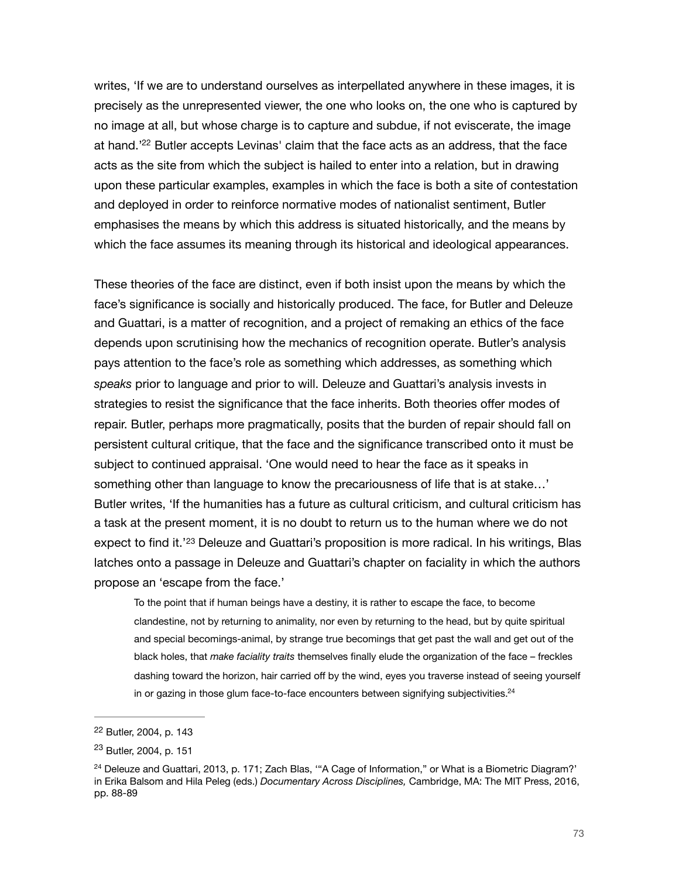<span id="page-73-3"></span>writes, 'If we are to understand ourselves as interpellated anywhere in these images, it is precisely as the unrepresented viewer, the one who looks on, the one who is captured by no image at all, but whose charge is to capture and subdue, if not eviscerate, the image at hand.<sup>['](#page-73-0)[22](#page-73-0)</sup> Butler accepts Levinas' claim that the face acts as an address, that the face acts as the site from which the subject is hailed to enter into a relation, but in drawing upon these particular examples, examples in which the face is both a site of contestation and deployed in order to reinforce normative modes of nationalist sentiment, Butler emphasises the means by which this address is situated historically, and the means by which the face assumes its meaning through its historical and ideological appearances.

These theories of the face are distinct, even if both insist upon the means by which the face's significance is socially and historically produced. The face, for Butler and Deleuze and Guattari, is a matter of recognition, and a project of remaking an ethics of the face depends upon scrutinising how the mechanics of recognition operate. Butler's analysis pays attention to the face's role as something which addresses, as something which *speaks* prior to language and prior to will. Deleuze and Guattari's analysis invests in strategies to resist the significance that the face inherits. Both theories offer modes of repair. Butler, perhaps more pragmatically, posits that the burden of repair should fall on persistent cultural critique, that the face and the significance transcribed onto it must be subject to continued appraisal. 'One would need to hear the face as it speaks in something other than language to know the precariousness of life that is at stake…' Butler writes, 'If the humanities has a future as cultural criticism, and cultural criticism has a task at the present moment, it is no doubt to return us to the human where we do not expectto find it.<sup>'[23](#page-73-1)</sup> Deleuze and Guattari's proposition is more radical. In his writings, Blas latches onto a passage in Deleuze and Guattari's chapter on faciality in which the authors propose an 'escape from the face.'

<span id="page-73-5"></span><span id="page-73-4"></span>To the point that if human beings have a destiny, it is rather to escape the face, to become clandestine, not by returning to animality, nor even by returning to the head, but by quite spiritual and special becomings-animal, by strange true becomings that get past the wall and get out of the black holes, that *make faciality traits* themselves finally elude the organization of the face – freckles dashing toward the horizon, hair carried off by the wind, eyes you traverse instead of seeing yourself in or gazing in those glum face-to-face encounters between signifying subjectivities. $24$ 

<span id="page-73-0"></span><sup>&</sup>lt;sup>[22](#page-73-3)</sup> Butler, 2004, p. 143

<span id="page-73-1"></span><sup>&</sup>lt;sup>[23](#page-73-4)</sup> Butler, 2004, p. 151

<span id="page-73-2"></span><sup>&</sup>lt;sup>24</sup>Deleuze and Guattari, 2013, p. 171; Zach Blas, "A Cage of Information," or What is a Biometric Diagram?' in Erika Balsom and Hila Peleg (eds.) *Documentary Across Disciplines,* Cambridge, MA: The MIT Press, 2016, pp. 88-89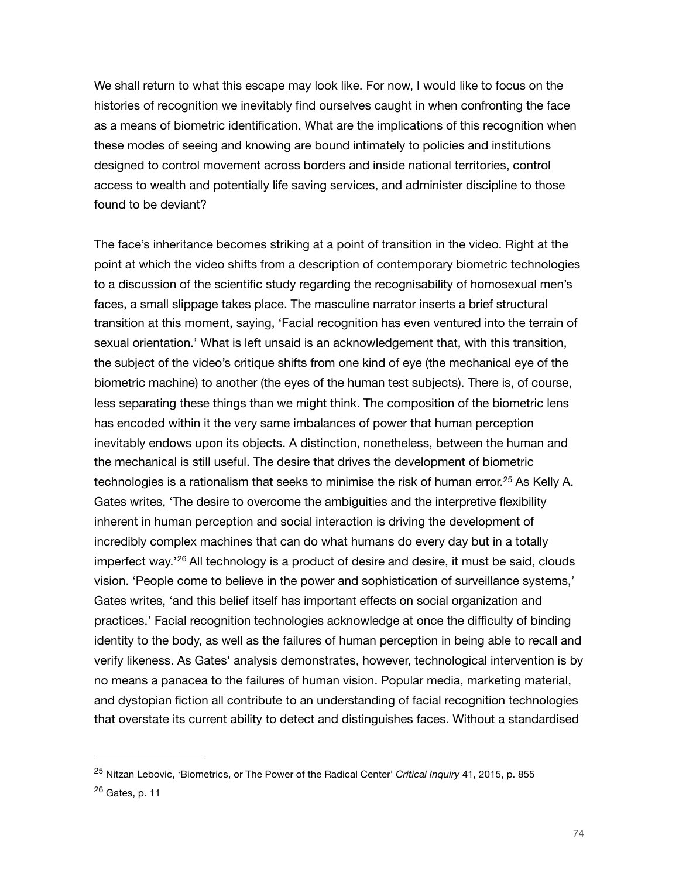We shall return to what this escape may look like. For now, I would like to focus on the histories of recognition we inevitably find ourselves caught in when confronting the face as a means of biometric identification. What are the implications of this recognition when these modes of seeing and knowing are bound intimately to policies and institutions designed to control movement across borders and inside national territories, control access to wealth and potentially life saving services, and administer discipline to those found to be deviant?

<span id="page-74-2"></span>The face's inheritance becomes striking at a point of transition in the video. Right at the point at which the video shifts from a description of contemporary biometric technologies to a discussion of the scientific study regarding the recognisability of homosexual men's faces, a small slippage takes place. The masculine narrator inserts a brief structural transition at this moment, saying, 'Facial recognition has even ventured into the terrain of sexual orientation.' What is left unsaid is an acknowledgement that, with this transition, the subject of the video's critique shifts from one kind of eye (the mechanical eye of the biometric machine) to another (the eyes of the human test subjects). There is, of course, less separating these things than we might think. The composition of the biometric lens has encoded within it the very same imbalances of power that human perception inevitably endows upon its objects. A distinction, nonetheless, between the human and the mechanical is still useful. The desire that drives the development of biometric technologiesis a rationalism that seeks to minimise the risk of human error.<sup>[25](#page-74-0)</sup> As Kelly A. Gates writes, 'The desire to overcome the ambiguities and the interpretive flexibility inherent in human perception and social interaction is driving the development of incredibly complex machines that can do what humans do every day but in a totally imperfectway.<sup>'[26](#page-74-1)</sup> All technology is a product of desire and desire, it must be said, clouds vision. 'People come to believe in the power and sophistication of surveillance systems,' Gates writes, 'and this belief itself has important effects on social organization and practices.' Facial recognition technologies acknowledge at once the difficulty of binding identity to the body, as well as the failures of human perception in being able to recall and verify likeness. As Gates' analysis demonstrates, however, technological intervention is by no means a panacea to the failures of human vision. Popular media, marketing material, and dystopian fiction all contribute to an understanding of facial recognition technologies that overstate its current ability to detect and distinguishes faces. Without a standardised

<span id="page-74-3"></span><span id="page-74-1"></span><span id="page-74-0"></span><sup>&</sup>lt;sup>[25](#page-74-2)</sup> Nitzan Lebovic, 'Biometrics, or The Power of the Radical Center' *Critical Inquiry* 41, 2015, p. 855  $26$  Gates, p. 11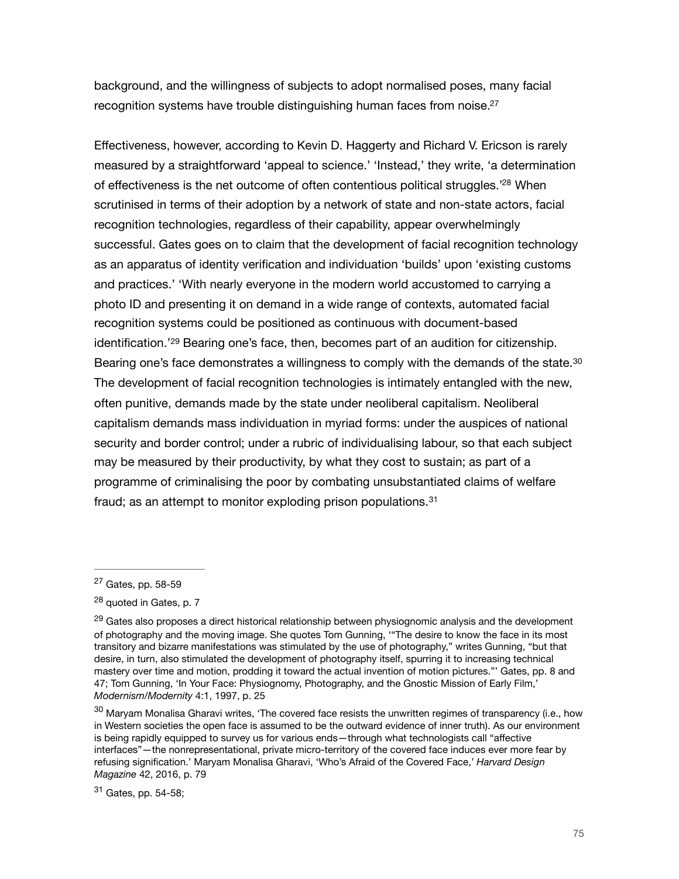<span id="page-75-5"></span>background, and the willingness of subjects to adopt normalised poses, many facial recognition systems have trouble distinguishing human faces from noise[.27](#page-75-0)

<span id="page-75-7"></span><span id="page-75-6"></span>Effectiveness, however, according to Kevin D. Haggerty and Richard V. Ericson is rarely measured by a straightforward 'appeal to science.' 'Instead,' they write, 'a determination of effectiveness is the net outcome of often contentious political struggles.<sup>[28](#page-75-1)</sup> When scrutinised in terms of their adoption by a network of state and non-state actors, facial recognition technologies, regardless of their capability, appear overwhelmingly successful. Gates goes on to claim that the development of facial recognition technology as an apparatus of identity verification and individuation 'builds' upon 'existing customs and practices.' 'With nearly everyone in the modern world accustomed to carrying a photo ID and presenting it on demand in a wide range of contexts, automated facial recognition systems could be positioned as continuous with document-based identification.<sup>'[29](#page-75-2)</sup> Bearing one's face, then, becomes part of an audition for citizenship. Bearing one's face demonstrates a willingness to comply with the demands of the state.<sup>[30](#page-75-3)</sup> The development of facial recognition technologies is intimately entangled with the new, often punitive, demands made by the state under neoliberal capitalism. Neoliberal capitalism demands mass individuation in myriad forms: under the auspices of national security and border control; under a rubric of individualising labour, so that each subject may be measured by their productivity, by what they cost to sustain; as part of a programme of criminalising the poor by combating unsubstantiated claims of welfare fraud; as an attempt to monitor exploding prison populations.[31](#page-75-4)

<span id="page-75-9"></span><span id="page-75-8"></span><span id="page-75-0"></span> $27$  Gates, pp. 58-59

<span id="page-75-1"></span> $28$  quoted in Gates, p. 7

<span id="page-75-2"></span><sup>&</sup>lt;sup>[29](#page-75-7)</sup> Gates also proposes a direct historical relationship between physiognomic analysis and the development of photography and the moving image. She quotes Tom Gunning, '"The desire to know the face in its most transitory and bizarre manifestations was stimulated by the use of photography," writes Gunning, "but that desire, in turn, also stimulated the development of photography itself, spurring it to increasing technical mastery over time and motion, prodding it toward the actual invention of motion pictures."' Gates, pp. 8 and 47; Tom Gunning, 'In Your Face: Physiognomy, Photography, and the Gnostic Mission of Early Film,' *Modernism/Modernity* 4:1, 1997, p. 25

<span id="page-75-3"></span> $30$  Maryam Monalisa Gharavi writes, 'The covered face resists the unwritten regimes of transparency (i.e., how in Western societies the open face is assumed to be the outward evidence of inner truth). As our environment is being rapidly equipped to survey us for various ends—through what technologists call "affective interfaces"—the nonrepresentational, private micro-territory of the covered face induces ever more fear by refusing signification.' Maryam Monalisa Gharavi, 'Who's Afraid of the Covered Face,' *Harvard Design Magazine* 42, 2016, p. 79

<span id="page-75-4"></span> $31$  Gates, pp. 54-58;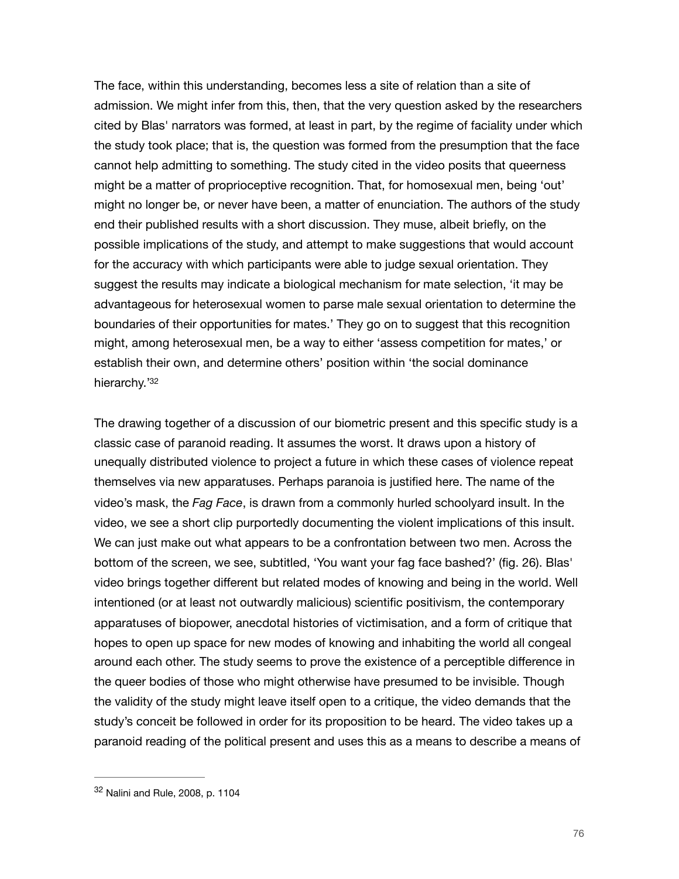The face, within this understanding, becomes less a site of relation than a site of admission. We might infer from this, then, that the very question asked by the researchers cited by Blas' narrators was formed, at least in part, by the regime of faciality under which the study took place; that is, the question was formed from the presumption that the face cannot help admitting to something. The study cited in the video posits that queerness might be a matter of proprioceptive recognition. That, for homosexual men, being 'out' might no longer be, or never have been, a matter of enunciation. The authors of the study end their published results with a short discussion. They muse, albeit briefly, on the possible implications of the study, and attempt to make suggestions that would account for the accuracy with which participants were able to judge sexual orientation. They suggest the results may indicate a biological mechanism for mate selection, 'it may be advantageous for heterosexual women to parse male sexual orientation to determine the boundaries of their opportunities for mates.' They go on to suggest that this recognition might, among heterosexual men, be a way to either 'assess competition for mates,' or establish their own, and determine others' position within 'the social dominance hierarchy.['32](#page-76-0)

<span id="page-76-1"></span>The drawing together of a discussion of our biometric present and this specific study is a classic case of paranoid reading. It assumes the worst. It draws upon a history of unequally distributed violence to project a future in which these cases of violence repeat themselves via new apparatuses. Perhaps paranoia is justified here. The name of the video's mask, the *Fag Face*, is drawn from a commonly hurled schoolyard insult. In the video, we see a short clip purportedly documenting the violent implications of this insult. We can just make out what appears to be a confrontation between two men. Across the bottom of the screen, we see, subtitled, 'You want your fag face bashed?' (fig. 26). Blas' video brings together different but related modes of knowing and being in the world. Well intentioned (or at least not outwardly malicious) scientific positivism, the contemporary apparatuses of biopower, anecdotal histories of victimisation, and a form of critique that hopes to open up space for new modes of knowing and inhabiting the world all congeal around each other. The study seems to prove the existence of a perceptible difference in the queer bodies of those who might otherwise have presumed to be invisible. Though the validity of the study might leave itself open to a critique, the video demands that the study's conceit be followed in order for its proposition to be heard. The video takes up a paranoid reading of the political present and uses this as a means to describe a means of

<span id="page-76-0"></span> $32$  Nalini and Rule, 2008, p. 1104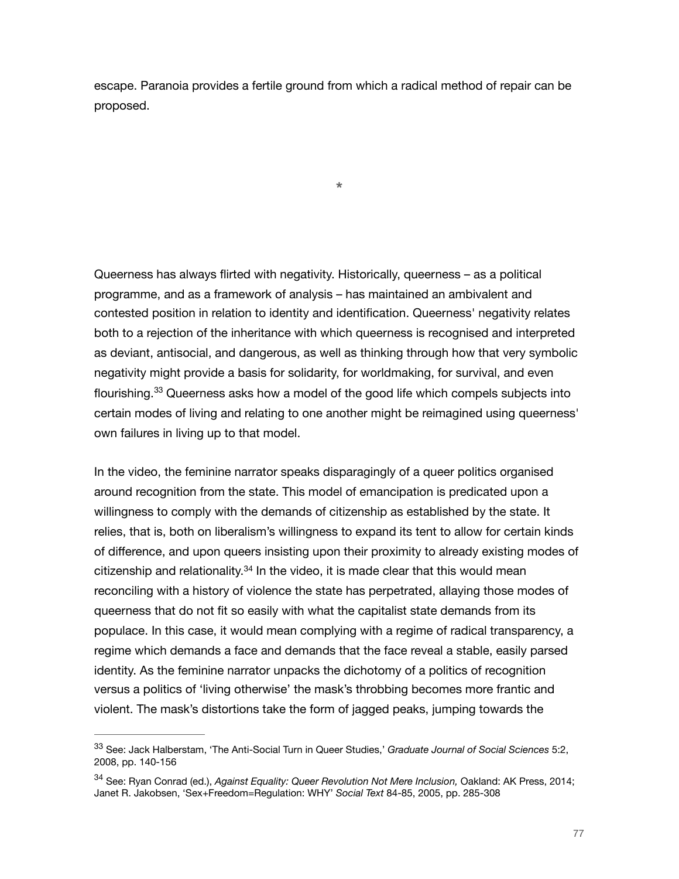escape. Paranoia provides a fertile ground from which a radical method of repair can be proposed.

**\***

Queerness has always flirted with negativity. Historically, queerness – as a political programme, and as a framework of analysis – has maintained an ambivalent and contested position in relation to identity and identification. Queerness' negativity relates both to a rejection of the inheritance with which queerness is recognised and interpreted as deviant, antisocial, and dangerous, as well as thinking through how that very symbolic negativity might provide a basis for solidarity, for worldmaking, for survival, and even flourishing. $33$ Queerness asks how a model of the good life which compels subjects into certain modes of living and relating to one another might be reimagined using queerness' own failures in living up to that model.

<span id="page-77-3"></span><span id="page-77-2"></span>In the video, the feminine narrator speaks disparagingly of a queer politics organised around recognition from the state. This model of emancipation is predicated upon a willingness to comply with the demands of citizenship as established by the state. It relies, that is, both on liberalism's willingness to expand its tent to allow for certain kinds of difference, and upon queers insisting upon their proximity to already existing modes of citizenship and relationality. $34$  In the video, it is made clear that this would mean reconciling with a history of violence the state has perpetrated, allaying those modes of queerness that do not fit so easily with what the capitalist state demands from its populace. In this case, it would mean complying with a regime of radical transparency, a regime which demands a face and demands that the face reveal a stable, easily parsed identity. As the feminine narrator unpacks the dichotomy of a politics of recognition versus a politics of 'living otherwise' the mask's throbbing becomes more frantic and violent. The mask's distortions take the form of jagged peaks, jumping towards the

<span id="page-77-0"></span>See: Jack Halberstam, 'The Anti-Social Turn in Queer Studies,' *Graduate Journal of Social Sciences* 5:2, [33](#page-77-2) 2008, pp. 140-156

<span id="page-77-1"></span><sup>&</sup>lt;sup>[34](#page-77-3)</sup> See: Ryan Conrad (ed.), *Against Equality: Queer Revolution Not Mere Inclusion, Oakland: AK Press, 2014;* Janet R. Jakobsen, 'Sex+Freedom=Regulation: WHY' *Social Text* 84-85, 2005, pp. 285-308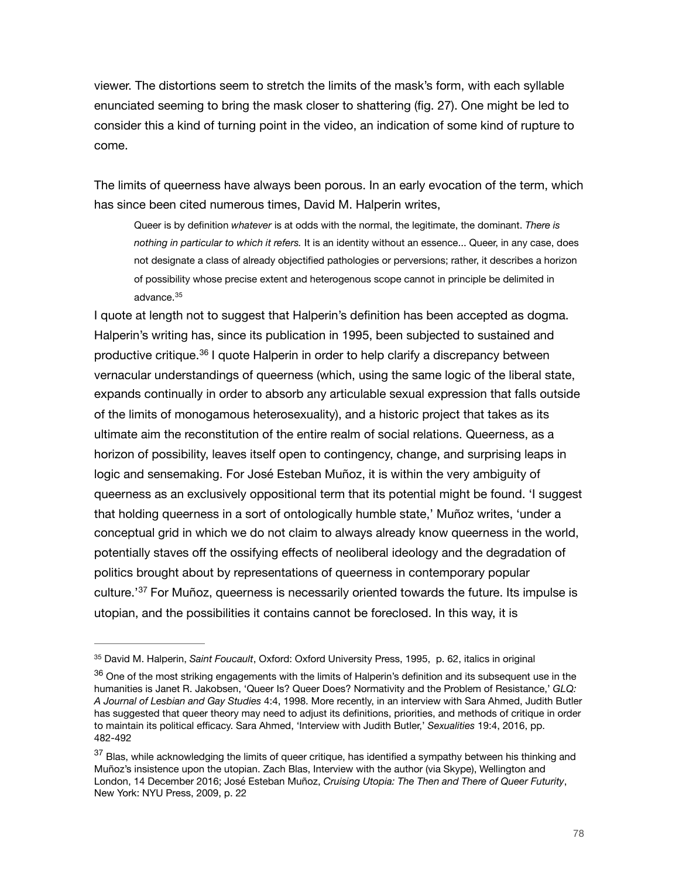viewer. The distortions seem to stretch the limits of the mask's form, with each syllable enunciated seeming to bring the mask closer to shattering (fig. 27). One might be led to consider this a kind of turning point in the video, an indication of some kind of rupture to come.

The limits of queerness have always been porous. In an early evocation of the term, which has since been cited numerous times, David M. Halperin writes,

Queer is by definition *whatever* is at odds with the normal, the legitimate, the dominant. *There is nothing in particular to which it refers.* It is an identity without an essence... Queer, in any case, does not designate a class of already objectified pathologies or perversions; rather, it describes a horizon of possibility whose precise extent and heterogenous scope cannot in principle be delimited in advance.[35](#page-78-0)

<span id="page-78-4"></span><span id="page-78-3"></span>I quote at length not to suggest that Halperin's definition has been accepted as dogma. Halperin's writing has, since its publication in 1995, been subjected to sustained and productivecritique.<sup>[36](#page-78-1)</sup> I quote Halperin in order to help clarify a discrepancy between vernacular understandings of queerness (which, using the same logic of the liberal state, expands continually in order to absorb any articulable sexual expression that falls outside of the limits of monogamous heterosexuality), and a historic project that takes as its ultimate aim the reconstitution of the entire realm of social relations. Queerness, as a horizon of possibility, leaves itself open to contingency, change, and surprising leaps in logic and sensemaking. For José Esteban Muñoz, it is within the very ambiguity of queerness as an exclusively oppositional term that its potential might be found. 'I suggest that holding queerness in a sort of ontologically humble state,' Muñoz writes, 'under a conceptual grid in which we do not claim to always already know queerness in the world, potentially staves off the ossifying effects of neoliberal ideology and the degradation of politics brought about by representations of queerness in contemporary popular culture.<sup>'37</sup>For Muñoz, queerness is necessarily oriented towards the future. Its impulse is utopian, and the possibilities it contains cannot be foreclosed. In this way, it is

<span id="page-78-5"></span><span id="page-78-0"></span><sup>&</sup>lt;sup>[35](#page-78-3)</sup> David M. Halperin, *Saint Foucault*, Oxford: Oxford University Press, 1995, p. 62, italics in original

<span id="page-78-1"></span> $36$  One of the most striking engagements with the limits of Halperin's definition and its subsequent use in the humanities is Janet R. Jakobsen, 'Queer Is? Queer Does? Normativity and the Problem of Resistance,' *GLQ: A Journal of Lesbian and Gay Studies* 4:4, 1998. More recently, in an interview with Sara Ahmed, Judith Butler has suggested that queer theory may need to adjust its definitions, priorities, and methods of critique in order to maintain its political efficacy. Sara Ahmed, 'Interview with Judith Butler,' *Sexualities* 19:4, 2016, pp. 482-492

<span id="page-78-2"></span> $37$  Blas, while acknowledging the limits of queer critique, has identified a sympathy between his thinking and Muñoz's insistence upon the utopian. Zach Blas, Interview with the author (via Skype), Wellington and London, 14 December 2016; José Esteban Muñoz, *Cruising Utopia: The Then and There of Queer Futurity*, New York: NYU Press, 2009, p. 22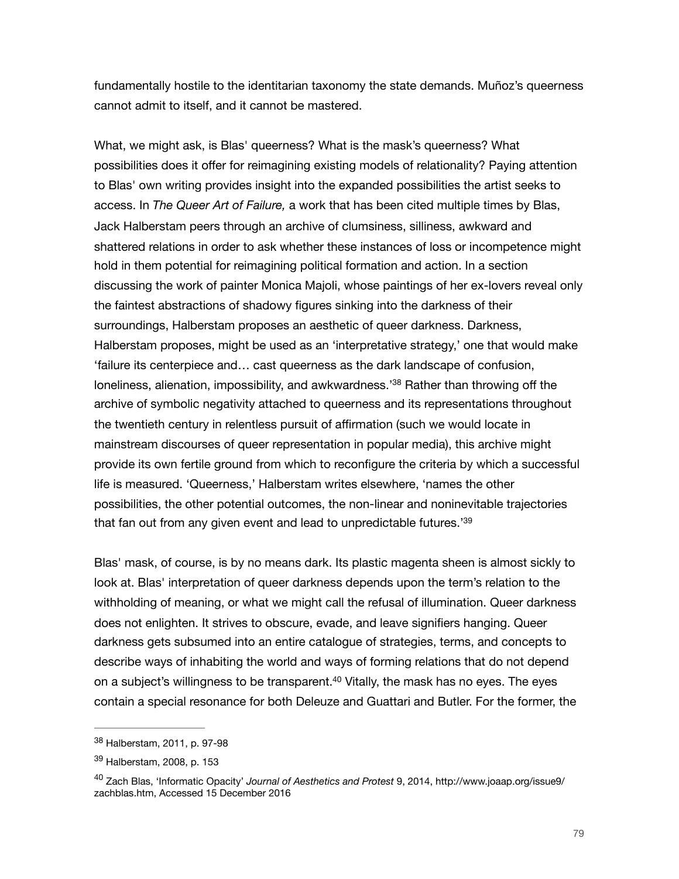fundamentally hostile to the identitarian taxonomy the state demands. Muñoz's queerness cannot admit to itself, and it cannot be mastered.

What, we might ask, is Blas' queerness? What is the mask's queerness? What possibilities does it offer for reimagining existing models of relationality? Paying attention to Blas' own writing provides insight into the expanded possibilities the artist seeks to access. In *The Queer Art of Failure,* a work that has been cited multiple times by Blas, Jack Halberstam peers through an archive of clumsiness, silliness, awkward and shattered relations in order to ask whether these instances of loss or incompetence might hold in them potential for reimagining political formation and action. In a section discussing the work of painter Monica Majoli, whose paintings of her ex-lovers reveal only the faintest abstractions of shadowy figures sinking into the darkness of their surroundings, Halberstam proposes an aesthetic of queer darkness. Darkness, Halberstam proposes, might be used as an 'interpretative strategy,' one that would make 'failure its centerpiece and… cast queerness as the dark landscape of confusion, loneliness, alienation, impossibility, and awkwardness.<sup>[38](#page-79-0)</sup> Rather than throwing off the archive of symbolic negativity attached to queerness and its representations throughout the twentieth century in relentless pursuit of affirmation (such we would locate in mainstream discourses of queer representation in popular media), this archive might provide its own fertile ground from which to reconfigure the criteria by which a successful life is measured. 'Queerness,' Halberstam writes elsewhere, 'names the other possibilities, the other potential outcomes, the non-linear and noninevitable trajectories that fan out from any given event and lead to unpredictable futures.['39](#page-79-1)

<span id="page-79-4"></span><span id="page-79-3"></span>Blas' mask, of course, is by no means dark. Its plastic magenta sheen is almost sickly to look at. Blas' interpretation of queer darkness depends upon the term's relation to the withholding of meaning, or what we might call the refusal of illumination. Queer darkness does not enlighten. It strives to obscure, evade, and leave signifiers hanging. Queer darkness gets subsumed into an entire catalogue of strategies, terms, and concepts to describe ways of inhabiting the world and ways of forming relations that do not depend on a subject's willingness to be transparent[.](#page-79-2) $40$  Vitally, the mask has no eyes. The eyes contain a special resonance for both Deleuze and Guattari and Butler. For the former, the

<span id="page-79-5"></span><span id="page-79-0"></span>[<sup>38</sup>](#page-79-3) Halberstam, 2011, p. 97-98

<span id="page-79-1"></span> $39$  Halberstam, 2008, p. 153

<span id="page-79-2"></span>Zach Blas, 'Informatic Opacity' *Journal of Aesthetics and Protest* 9, 2014, http://www.joaap.org/issue9/ [40](#page-79-5) zachblas.htm, Accessed 15 December 2016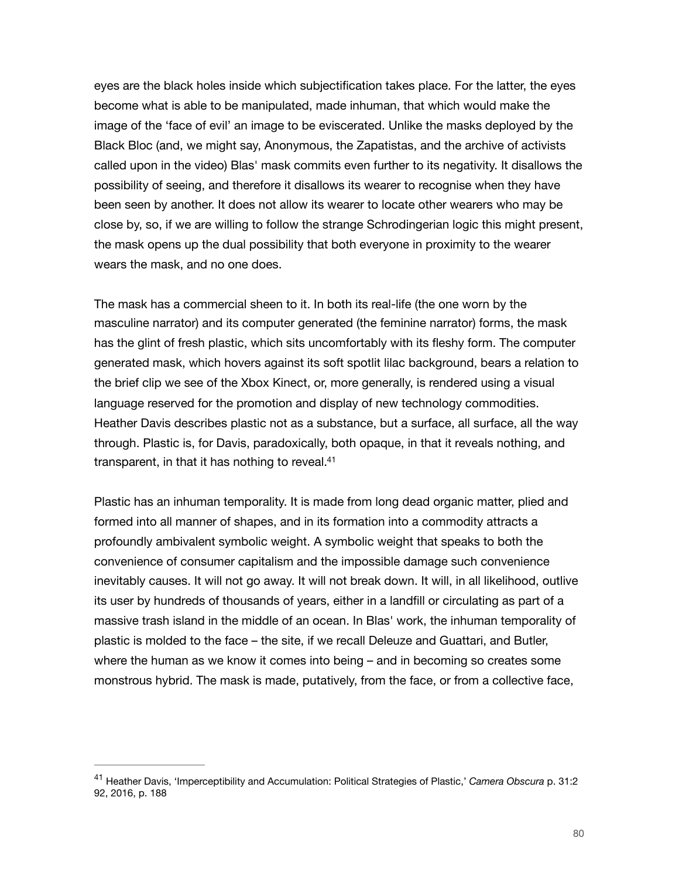eyes are the black holes inside which subjectification takes place. For the latter, the eyes become what is able to be manipulated, made inhuman, that which would make the image of the 'face of evil' an image to be eviscerated. Unlike the masks deployed by the Black Bloc (and, we might say, Anonymous, the Zapatistas, and the archive of activists called upon in the video) Blas' mask commits even further to its negativity. It disallows the possibility of seeing, and therefore it disallows its wearer to recognise when they have been seen by another. It does not allow its wearer to locate other wearers who may be close by, so, if we are willing to follow the strange Schrodingerian logic this might present, the mask opens up the dual possibility that both everyone in proximity to the wearer wears the mask, and no one does.

The mask has a commercial sheen to it. In both its real-life (the one worn by the masculine narrator) and its computer generated (the feminine narrator) forms, the mask has the glint of fresh plastic, which sits uncomfortably with its fleshy form. The computer generated mask, which hovers against its soft spotlit lilac background, bears a relation to the brief clip we see of the Xbox Kinect, or, more generally, is rendered using a visual language reserved for the promotion and display of new technology commodities. Heather Davis describes plastic not as a substance, but a surface, all surface, all the way through. Plastic is, for Davis, paradoxically, both opaque, in that it reveals nothing, and transparent, in that it has nothing to reveal.<sup>41</sup>

<span id="page-80-1"></span>Plastic has an inhuman temporality. It is made from long dead organic matter, plied and formed into all manner of shapes, and in its formation into a commodity attracts a profoundly ambivalent symbolic weight. A symbolic weight that speaks to both the convenience of consumer capitalism and the impossible damage such convenience inevitably causes. It will not go away. It will not break down. It will, in all likelihood, outlive its user by hundreds of thousands of years, either in a landfill or circulating as part of a massive trash island in the middle of an ocean. In Blas' work, the inhuman temporality of plastic is molded to the face – the site, if we recall Deleuze and Guattari, and Butler, where the human as we know it comes into being – and in becoming so creates some monstrous hybrid. The mask is made, putatively, from the face, or from a collective face,

<span id="page-80-0"></span><sup>&</sup>lt;sup>[41](#page-80-1)</sup> Heather Davis, 'Imperceptibility and Accumulation: Political Strategies of Plastic,' Camera Obscura p. 31:2 92, 2016, p. 188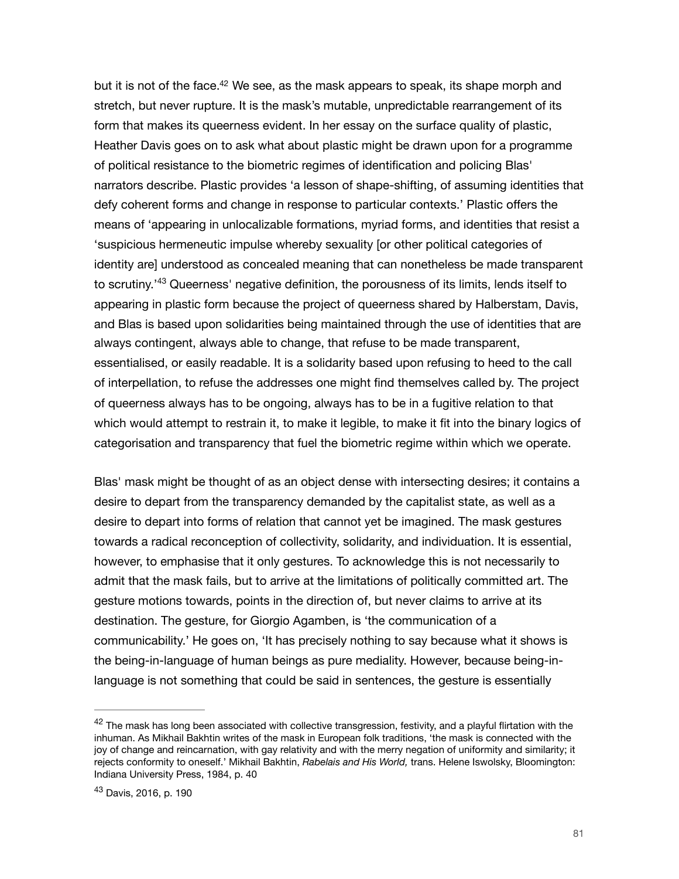<span id="page-81-2"></span>but it is not of the face[.](#page-81-0)<sup>[42](#page-81-0)</sup> We see, as the mask appears to speak, its shape morph and stretch, but never rupture. It is the mask's mutable, unpredictable rearrangement of its form that makes its queerness evident. In her essay on the surface quality of plastic, Heather Davis goes on to ask what about plastic might be drawn upon for a programme of political resistance to the biometric regimes of identification and policing Blas' narrators describe. Plastic provides 'a lesson of shape-shifting, of assuming identities that defy coherent forms and change in response to particular contexts.' Plastic offers the means of 'appearing in unlocalizable formations, myriad forms, and identities that resist a 'suspicious hermeneutic impulse whereby sexuality [or other political categories of identity are] understood as concealed meaning that can nonetheless be made transparent to scrutiny.<sup>'[43](#page-81-1)</sup> Queerness' negative definition, the porousness of its limits, lends itself to appearing in plastic form because the project of queerness shared by Halberstam, Davis, and Blas is based upon solidarities being maintained through the use of identities that are always contingent, always able to change, that refuse to be made transparent, essentialised, or easily readable. It is a solidarity based upon refusing to heed to the call of interpellation, to refuse the addresses one might find themselves called by. The project of queerness always has to be ongoing, always has to be in a fugitive relation to that which would attempt to restrain it, to make it legible, to make it fit into the binary logics of categorisation and transparency that fuel the biometric regime within which we operate.

<span id="page-81-3"></span>Blas' mask might be thought of as an object dense with intersecting desires; it contains a desire to depart from the transparency demanded by the capitalist state, as well as a desire to depart into forms of relation that cannot yet be imagined. The mask gestures towards a radical reconception of collectivity, solidarity, and individuation. It is essential, however, to emphasise that it only gestures. To acknowledge this is not necessarily to admit that the mask fails, but to arrive at the limitations of politically committed art. The gesture motions towards, points in the direction of, but never claims to arrive at its destination. The gesture, for Giorgio Agamben, is 'the communication of a communicability.' He goes on, 'It has precisely nothing to say because what it shows is the being-in-language of human beings as pure mediality. However, because being-inlanguage is not something that could be said in sentences, the gesture is essentially

<span id="page-81-0"></span> $42$  The mask has long been associated with collective transgression, festivity, and a playful flirtation with the inhuman. As Mikhail Bakhtin writes of the mask in European folk traditions, 'the mask is connected with the joy of change and reincarnation, with gay relativity and with the merry negation of uniformity and similarity; it rejects conformity to oneself.' Mikhail Bakhtin, *Rabelais and His World,* trans. Helene Iswolsky, Bloomington: Indiana University Press, 1984, p. 40

<span id="page-81-1"></span><sup>&</sup>lt;sup>[43](#page-81-3)</sup> Davis, 2016, p. 190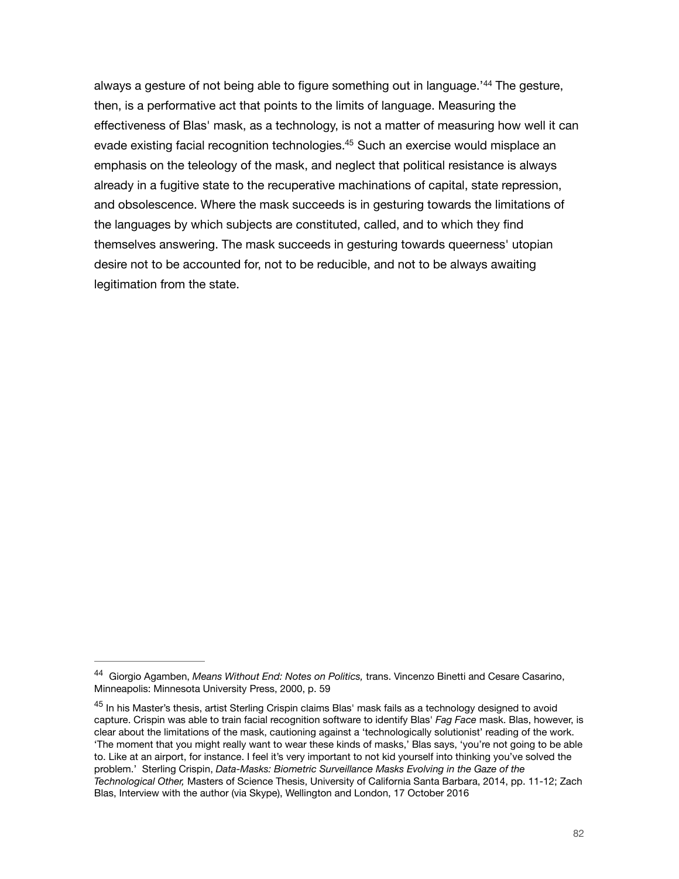<span id="page-82-3"></span><span id="page-82-2"></span>alwaysa gesture of not being able to figure something out in language.<sup>'[44](#page-82-0)</sup> The gesture, then, is a performative act that points to the limits of language. Measuring the effectiveness of Blas' mask, as a technology, is not a matter of measuring how well it can evade existing facial recognition technologies[.](#page-82-1)<sup>[45](#page-82-1)</sup> Such an exercise would misplace an emphasis on the teleology of the mask, and neglect that political resistance is always already in a fugitive state to the recuperative machinations of capital, state repression, and obsolescence. Where the mask succeeds is in gesturing towards the limitations of the languages by which subjects are constituted, called, and to which they find themselves answering. The mask succeeds in gesturing towards queerness' utopian desire not to be accounted for, not to be reducible, and not to be always awaiting legitimation from the state.

<span id="page-82-0"></span><sup>&</sup>lt;sup>[44](#page-82-2)</sup> Gioraio Agamben, *Means Without End: Notes on Politics, trans. Vincenzo Binetti and Cesare Casarino,* Minneapolis: Minnesota University Press, 2000, p. 59

<span id="page-82-1"></span><sup>&</sup>lt;sup>[45](#page-82-3)</sup> In his Master's thesis, artist Sterling Crispin claims Blas' mask fails as a technology designed to avoid capture. Crispin was able to train facial recognition software to identify Blas' *Fag Face* mask. Blas, however, is clear about the limitations of the mask, cautioning against a 'technologically solutionist' reading of the work. 'The moment that you might really want to wear these kinds of masks,' Blas says, 'you're not going to be able to. Like at an airport, for instance. I feel it's very important to not kid yourself into thinking you've solved the problem.' Sterling Crispin, *Data-Masks: Biometric Surveillance Masks Evolving in the Gaze of the Technological Other,* Masters of Science Thesis, University of California Santa Barbara, 2014, pp. 11-12; Zach Blas, Interview with the author (via Skype), Wellington and London, 17 October 2016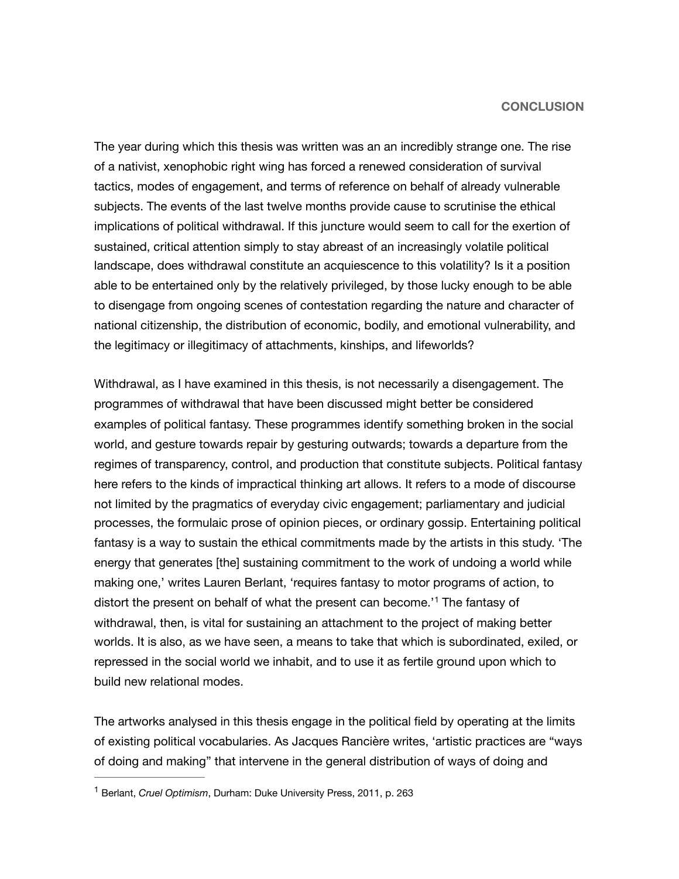The year during which this thesis was written was an an incredibly strange one. The rise of a nativist, xenophobic right wing has forced a renewed consideration of survival tactics, modes of engagement, and terms of reference on behalf of already vulnerable subjects. The events of the last twelve months provide cause to scrutinise the ethical implications of political withdrawal. If this juncture would seem to call for the exertion of sustained, critical attention simply to stay abreast of an increasingly volatile political landscape, does withdrawal constitute an acquiescence to this volatility? Is it a position able to be entertained only by the relatively privileged, by those lucky enough to be able to disengage from ongoing scenes of contestation regarding the nature and character of national citizenship, the distribution of economic, bodily, and emotional vulnerability, and the legitimacy or illegitimacy of attachments, kinships, and lifeworlds?

Withdrawal, as I have examined in this thesis, is not necessarily a disengagement. The programmes of withdrawal that have been discussed might better be considered examples of political fantasy. These programmes identify something broken in the social world, and gesture towards repair by gesturing outwards; towards a departure from the regimes of transparency, control, and production that constitute subjects. Political fantasy here refers to the kinds of impractical thinking art allows. It refers to a mode of discourse not limited by the pragmatics of everyday civic engagement; parliamentary and judicial processes, the formulaic prose of opinion pieces, or ordinary gossip. Entertaining political fantasy is a way to sustain the ethical commitments made by the artists in this study. 'The energy that generates [the] sustaining commitment to the work of undoing a world while making one,' writes Lauren Berlant, 'requires fantasy to motor programs of action, to distortthe present on behalf of what the present can become.<sup>'[1](#page-83-0)</sup> The fantasy of withdrawal, then, is vital for sustaining an attachment to the project of making better worlds. It is also, as we have seen, a means to take that which is subordinated, exiled, or repressed in the social world we inhabit, and to use it as fertile ground upon which to build new relational modes.

<span id="page-83-1"></span>The artworks analysed in this thesis engage in the political field by operating at the limits of existing political vocabularies. As Jacques Rancière writes, 'artistic practices are "ways of doing and making" that intervene in the general distribution of ways of doing and

<span id="page-83-0"></span><sup>&</sup>lt;sup>[1](#page-83-1)</sup> Berlant, *Cruel Optimism*, Durham: Duke University Press, 2011, p. 263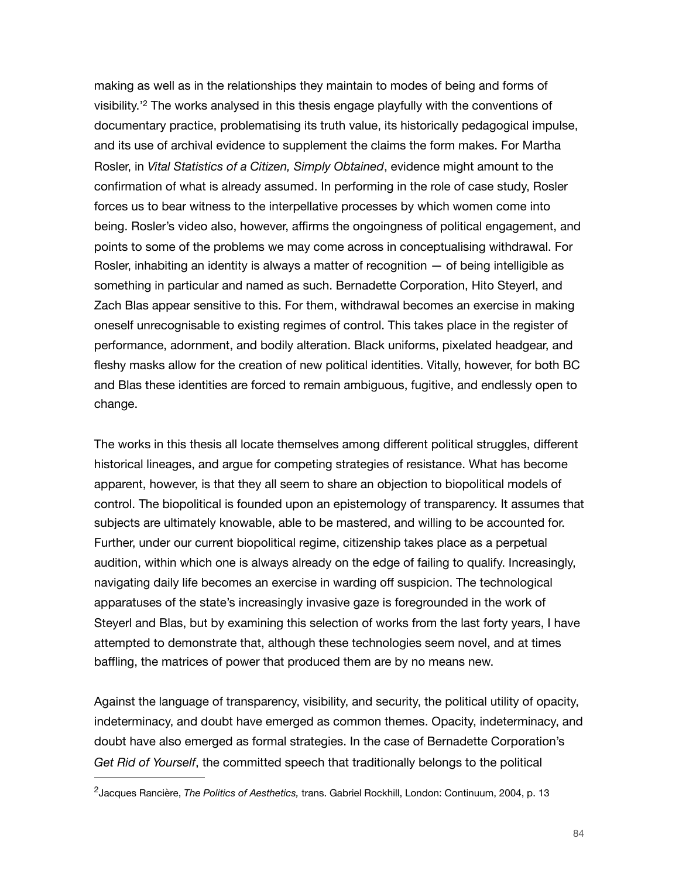<span id="page-84-1"></span>making as well as in the relationships they maintain to modes of being and forms of visibility.'<sup>[2](#page-84-0)</sup> The works analysed in this thesis engage playfully with the conventions of documentary practice, problematising its truth value, its historically pedagogical impulse, and its use of archival evidence to supplement the claims the form makes. For Martha Rosler, in *Vital Statistics of a Citizen, Simply Obtained*, evidence might amount to the confirmation of what is already assumed. In performing in the role of case study, Rosler forces us to bear witness to the interpellative processes by which women come into being. Rosler's video also, however, affirms the ongoingness of political engagement, and points to some of the problems we may come across in conceptualising withdrawal. For Rosler, inhabiting an identity is always a matter of recognition — of being intelligible as something in particular and named as such. Bernadette Corporation, Hito Steyerl, and Zach Blas appear sensitive to this. For them, withdrawal becomes an exercise in making oneself unrecognisable to existing regimes of control. This takes place in the register of performance, adornment, and bodily alteration. Black uniforms, pixelated headgear, and fleshy masks allow for the creation of new political identities. Vitally, however, for both BC and Blas these identities are forced to remain ambiguous, fugitive, and endlessly open to change.

The works in this thesis all locate themselves among different political struggles, different historical lineages, and argue for competing strategies of resistance. What has become apparent, however, is that they all seem to share an objection to biopolitical models of control. The biopolitical is founded upon an epistemology of transparency. It assumes that subjects are ultimately knowable, able to be mastered, and willing to be accounted for. Further, under our current biopolitical regime, citizenship takes place as a perpetual audition, within which one is always already on the edge of failing to qualify. Increasingly, navigating daily life becomes an exercise in warding off suspicion. The technological apparatuses of the state's increasingly invasive gaze is foregrounded in the work of Steyerl and Blas, but by examining this selection of works from the last forty years, I have attempted to demonstrate that, although these technologies seem novel, and at times baffling, the matrices of power that produced them are by no means new.

Against the language of transparency, visibility, and security, the political utility of opacity, indeterminacy, and doubt have emerged as common themes. Opacity, indeterminacy, and doubt have also emerged as formal strategies. In the case of Bernadette Corporation's *Get Rid of Yourself*, the committed speech that traditionally belongs to the political

<span id="page-84-0"></span><sup>&</sup>lt;sup>[2](#page-84-1)</sup>Jacques Rancière, *The Politics of Aesthetics*, trans. Gabriel Rockhill, London: Continuum, 2004, p. 13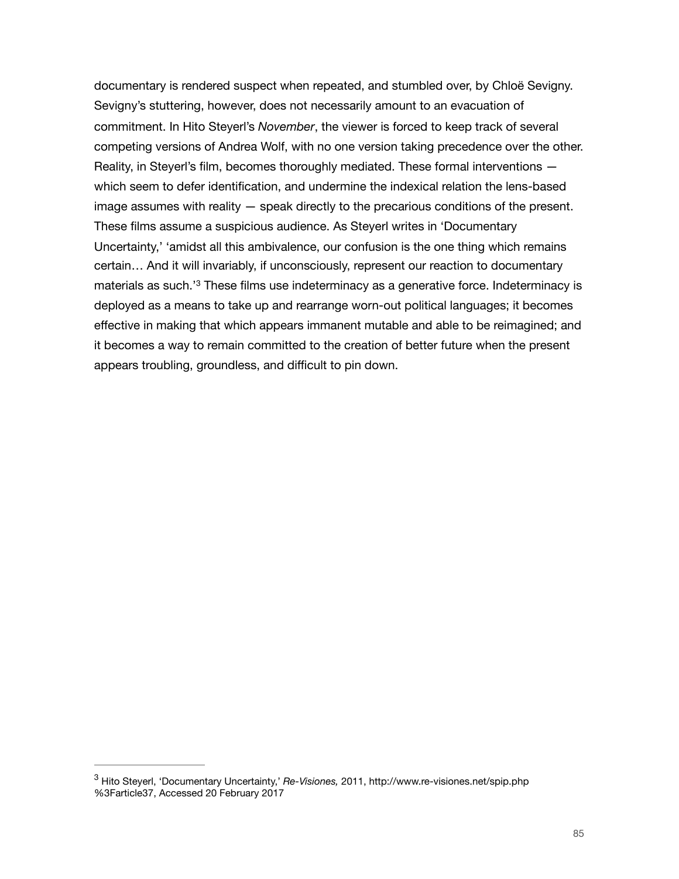<span id="page-85-1"></span>documentary is rendered suspect when repeated, and stumbled over, by Chloë Sevigny. Sevigny's stuttering, however, does not necessarily amount to an evacuation of commitment. In Hito Steyerl's *November*, the viewer is forced to keep track of several competing versions of Andrea Wolf, with no one version taking precedence over the other. Reality, in Steyerl's film, becomes thoroughly mediated. These formal interventions which seem to defer identification, and undermine the indexical relation the lens-based image assumes with reality — speak directly to the precarious conditions of the present. These films assume a suspicious audience. As Steyerl writes in 'Documentary Uncertainty,' 'amidst all this ambivalence, our confusion is the one thing which remains certain… And it will invariably, if unconsciously, represent our reaction to documentary materialsas such.<sup>[3](#page-85-0)</sup> These films use indeterminacy as a generative force. Indeterminacy is deployed as a means to take up and rearrange worn-out political languages; it becomes effective in making that which appears immanent mutable and able to be reimagined; and it becomes a way to remain committed to the creation of better future when the present appears troubling, groundless, and difficult to pin down.

<span id="page-85-0"></span>Hito Steyerl, 'Documentary Uncertainty,' *Re-Visiones,* 2011, http://www.re-visiones.net/spip.php [3](#page-85-1) %3Farticle37, Accessed 20 February 2017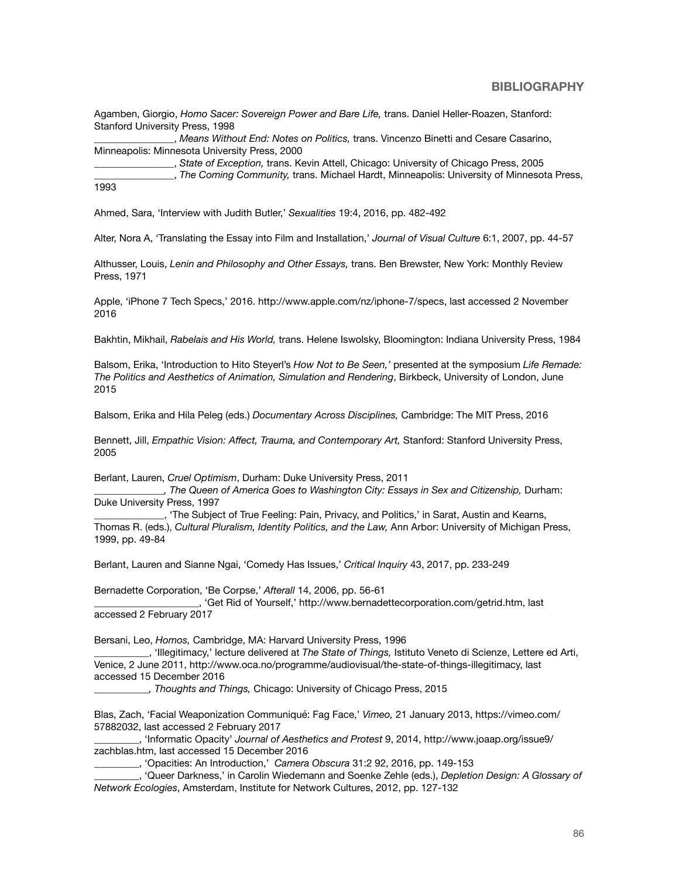## **BIBLIOGRAPHY**

Agamben, Giorgio, *Homo Sacer: Sovereign Power and Bare Life,* trans. Daniel Heller-Roazen, Stanford: Stanford University Press, 1998

\_\_\_\_\_\_\_\_\_\_\_\_\_\_\_\_, *Means Without End: Notes on Politics,* trans. Vincenzo Binetti and Cesare Casarino, Minneapolis: Minnesota University Press, 2000

\_\_\_\_\_\_\_\_\_\_\_\_\_\_\_\_, *State of Exception,* trans. Kevin Attell, Chicago: University of Chicago Press, 2005

\_\_\_\_\_\_\_\_\_\_\_\_\_\_\_\_, *The Coming Community,* trans. Michael Hardt, Minneapolis: University of Minnesota Press, 1993

Ahmed, Sara, 'Interview with Judith Butler,' *Sexualities* 19:4, 2016, pp. 482-492

Alter, Nora A, 'Translating the Essay into Film and Installation,' *Journal of Visual Culture* 6:1, 2007, pp. 44-57

Althusser, Louis, *Lenin and Philosophy and Other Essays,* trans. Ben Brewster, New York: Monthly Review Press, 1971

Apple, 'iPhone 7 Tech Specs,' 2016. http://www.apple.com/nz/iphone-7/specs, last accessed 2 November 2016

Bakhtin, Mikhail, *Rabelais and His World,* trans. Helene Iswolsky, Bloomington: Indiana University Press, 1984

Balsom, Erika, 'Introduction to Hito Steyerl's *How Not to Be Seen,'* presented at the symposium *Life Remade: The Politics and Aesthetics of Animation, Simulation and Rendering*, Birkbeck, University of London, June 2015

Balsom, Erika and Hila Peleg (eds.) *Documentary Across Disciplines,* Cambridge: The MIT Press, 2016

Bennett, Jill, *Empathic Vision: Affect, Trauma, and Contemporary Art,* Stanford: Stanford University Press, 2005

Berlant, Lauren, *Cruel Optimism*, Durham: Duke University Press, 2011

*\_\_\_\_\_\_\_\_\_\_\_\_\_\_, The Queen of America Goes to Washington City: Essays in Sex and Citizenship,* Durham: Duke University Press, 1997

\_\_\_\_\_\_\_\_\_\_\_\_\_\_, 'The Subject of True Feeling: Pain, Privacy, and Politics,' in Sarat, Austin and Kearns, Thomas R. (eds.), *Cultural Pluralism, Identity Politics, and the Law,* Ann Arbor: University of Michigan Press, 1999, pp. 49-84

Berlant, Lauren and Sianne Ngai, 'Comedy Has Issues,' *Critical Inquiry* 43, 2017, pp. 233-249

Bernadette Corporation, 'Be Corpse,' *Afterall* 14, 2006, pp. 56-61

\_\_\_\_\_\_\_\_\_\_\_\_\_\_\_\_\_\_\_\_\_, 'Get Rid of Yourself,' http://www.bernadettecorporation.com/getrid.htm, last accessed 2 February 2017

Bersani, Leo, *Homos,* Cambridge, MA: Harvard University Press, 1996

\_\_\_\_\_\_\_\_\_\_\_, 'Illegitimacy,' lecture delivered at *The State of Things,* Istituto Veneto di Scienze, Lettere ed Arti, Venice, 2 June 2011, http://www.oca.no/programme/audiovisual/the-state-of-things-illegitimacy, last accessed 15 December 2016

*\_\_\_\_\_\_\_\_\_\_\_, Thoughts and Things,* Chicago: University of Chicago Press, 2015

Blas, Zach, 'Facial Weaponization Communiqué: Fag Face,' *Vimeo,* 21 January 2013, https://vimeo.com/ 57882032, last accessed 2 February 2017

\_\_\_\_\_\_\_\_\_, 'Informatic Opacity' *Journal of Aesthetics and Protest* 9, 2014, http://www.joaap.org/issue9/ zachblas.htm, last accessed 15 December 2016

\_\_\_\_\_\_\_\_\_, 'Opacities: An Introduction,' *Camera Obscura* 31:2 92, 2016, pp. 149-153

\_\_\_\_\_\_\_\_\_, 'Queer Darkness,' in Carolin Wiedemann and Soenke Zehle (eds.), *Depletion Design: A Glossary of Network Ecologies*, Amsterdam, Institute for Network Cultures, 2012, pp. 127-132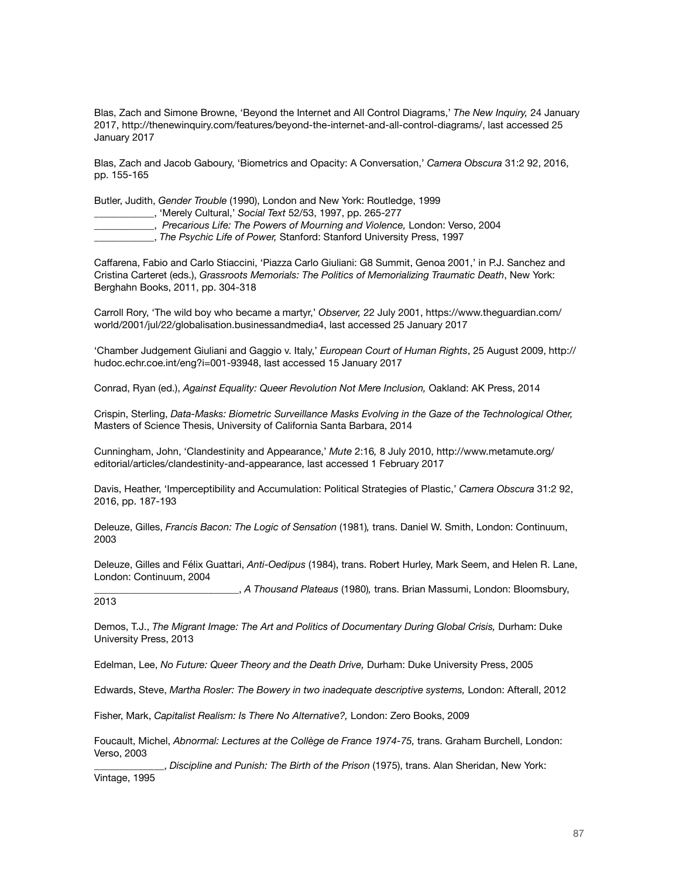Blas, Zach and Simone Browne, 'Beyond the Internet and All Control Diagrams,' *The New Inquiry,* 24 January 2017, http://thenewinquiry.com/features/beyond-the-internet-and-all-control-diagrams/, last accessed 25 January 2017

Blas, Zach and Jacob Gaboury, 'Biometrics and Opacity: A Conversation,' *Camera Obscura* 31:2 92, 2016, pp. 155-165

Butler, Judith, *Gender Trouble* (1990), London and New York: Routledge, 1999

- \_\_\_\_\_\_\_\_\_\_\_\_, 'Merely Cultural,' *Social Text* 52/53, 1997, pp. 265-277
- \_\_\_\_\_\_\_\_\_\_\_\_, *Precarious Life: The Powers of Mourning and Violence,* London: Verso, 2004
- \_\_\_\_\_\_\_\_\_\_\_\_, *The Psychic Life of Power,* Stanford: Stanford University Press, 1997

Caffarena, Fabio and Carlo Stiaccini, 'Piazza Carlo Giuliani: G8 Summit, Genoa 2001,' in P.J. Sanchez and Cristina Carteret (eds.), *Grassroots Memorials: The Politics of Memorializing Traumatic Death*, New York: Berghahn Books, 2011, pp. 304-318

Carroll Rory, 'The wild boy who became a martyr,' *Observer,* 22 July 2001, https://www.theguardian.com/ world/2001/jul/22/globalisation.businessandmedia4, last accessed 25 January 2017

'Chamber Judgement Giuliani and Gaggio v. Italy,' *European Court of Human Rights*, 25 August 2009, http:// hudoc.echr.coe.int/eng?i=001-93948, last accessed 15 January 2017

Conrad, Ryan (ed.), *Against Equality: Queer Revolution Not Mere Inclusion,* Oakland: AK Press, 2014

Crispin, Sterling, *Data-Masks: Biometric Surveillance Masks Evolving in the Gaze of the Technological Other,*  Masters of Science Thesis, University of California Santa Barbara, 2014

Cunningham, John, 'Clandestinity and Appearance,' *Mute* 2:16*,* 8 July 2010, http://www.metamute.org/ editorial/articles/clandestinity-and-appearance, last accessed 1 February 2017

Davis, Heather, 'Imperceptibility and Accumulation: Political Strategies of Plastic,' *Camera Obscura* 31:2 92, 2016, pp. 187-193

Deleuze, Gilles, *Francis Bacon: The Logic of Sensation* (1981)*,* trans. Daniel W. Smith, London: Continuum, 2003

Deleuze, Gilles and Félix Guattari, *Anti-Oedipus* (1984), trans. Robert Hurley, Mark Seem, and Helen R. Lane, London: Continuum, 2004

\_\_\_\_\_\_\_\_\_\_\_\_\_\_\_\_\_\_\_\_\_\_\_\_\_\_\_\_\_, *A Thousand Plateaus* (1980)*,* trans. Brian Massumi, London: Bloomsbury,

2013

Demos, T.J., *The Migrant Image: The Art and Politics of Documentary During Global Crisis, Durham: Duke* University Press, 2013

Edelman, Lee, *No Future: Queer Theory and the Death Drive,* Durham: Duke University Press, 2005

Edwards, Steve, Martha Rosler: The Bowery in two inadequate descriptive systems, London: Afterall, 2012

Fisher, Mark, *Capitalist Realism: Is There No Alternative?,* London: Zero Books, 2009

Foucault, Michel, *Abnormal: Lectures at the Collège de France 1974-75,* trans. Graham Burchell, London: Verso, 2003

\_\_\_\_\_\_\_\_\_\_\_\_\_\_, *Discipline and Punish: The Birth of the Prison* (1975), trans. Alan Sheridan, New York: Vintage, 1995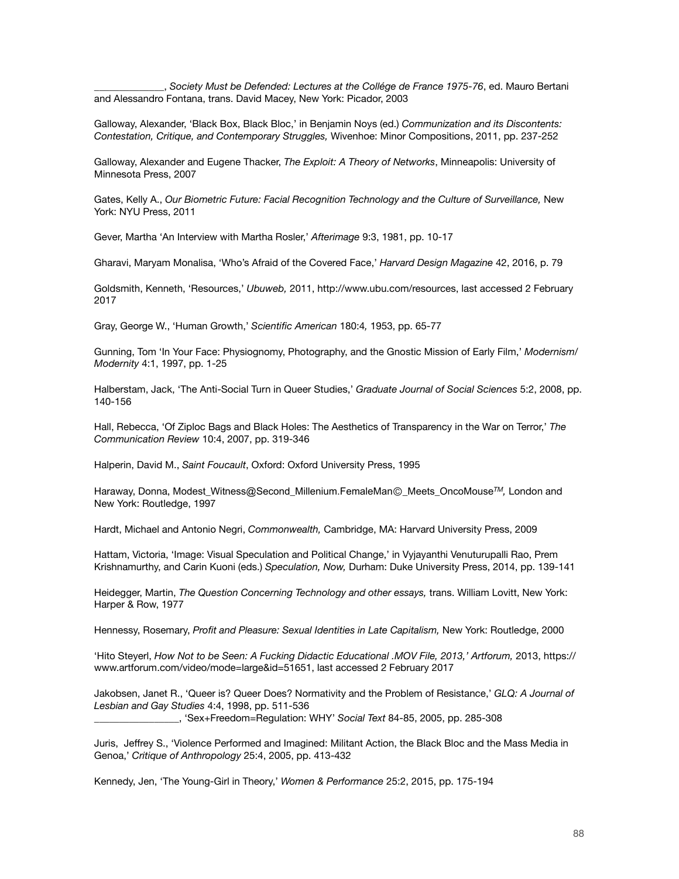\_\_\_\_\_\_\_\_\_\_\_\_\_\_, *Society Must be Defended: Lectures at the Collége de France 1975-76*, ed. Mauro Bertani and Alessandro Fontana, trans. David Macey, New York: Picador, 2003

Galloway, Alexander, 'Black Box, Black Bloc,' in Benjamin Noys (ed.) *Communization and its Discontents: Contestation, Critique, and Contemporary Struggles,* Wivenhoe: Minor Compositions, 2011, pp. 237-252

Galloway, Alexander and Eugene Thacker, *The Exploit: A Theory of Networks*, Minneapolis: University of Minnesota Press, 2007

Gates, Kelly A., *Our Biometric Future: Facial Recognition Technology and the Culture of Surveillance*, New York: NYU Press, 2011

Gever, Martha 'An Interview with Martha Rosler,' *Afterimage* 9:3, 1981, pp. 10-17

Gharavi, Maryam Monalisa, 'Who's Afraid of the Covered Face,' *Harvard Design Magazine* 42, 2016, p. 79

Goldsmith, Kenneth, 'Resources,' *Ubuweb,* 2011, http://www.ubu.com/resources, last accessed 2 February 2017

Gray, George W., 'Human Growth,' *Scientific American* 180:4*,* 1953, pp. 65-77

Gunning, Tom 'In Your Face: Physiognomy, Photography, and the Gnostic Mission of Early Film,' *Modernism/ Modernity* 4:1, 1997, pp. 1-25

Halberstam, Jack, 'The Anti-Social Turn in Queer Studies,' *Graduate Journal of Social Sciences* 5:2, 2008, pp. 140-156

Hall, Rebecca, 'Of Ziploc Bags and Black Holes: The Aesthetics of Transparency in the War on Terror,' *The Communication Review* 10:4, 2007, pp. 319-346

Halperin, David M., *Saint Foucault*, Oxford: Oxford University Press, 1995

Haraway, Donna, Modest\_Witness@Second\_Millenium.FemaleManⒸ\_Meets\_OncoMouse*TM,* London and New York: Routledge, 1997

Hardt, Michael and Antonio Negri, *Commonwealth,* Cambridge, MA: Harvard University Press, 2009

Hattam, Victoria, 'Image: Visual Speculation and Political Change,' in Vyjayanthi Venuturupalli Rao, Prem Krishnamurthy, and Carin Kuoni (eds.) *Speculation, Now,* Durham: Duke University Press, 2014, pp. 139-141

Heidegger, Martin, *The Question Concerning Technology and other essays,* trans. William Lovitt, New York: Harper & Row, 1977

Hennessy, Rosemary, *Profit and Pleasure: Sexual Identities in Late Capitalism,* New York: Routledge, 2000

'Hito Steyerl, *How Not to be Seen: A Fucking Didactic Educational .MOV File, 2013,' Artforum, 2013, https://* www.artforum.com/video/mode=large&id=51651, last accessed 2 February 2017

Jakobsen, Janet R., 'Queer is? Queer Does? Normativity and the Problem of Resistance,' *GLQ: A Journal of Lesbian and Gay Studies* 4:4, 1998, pp. 511-536

\_\_\_\_\_\_\_\_\_\_\_\_\_\_\_\_\_, 'Sex+Freedom=Regulation: WHY' *Social Text* 84-85, 2005, pp. 285-308

Juris, Jeffrey S., 'Violence Performed and Imagined: Militant Action, the Black Bloc and the Mass Media in Genoa,' *Critique of Anthropology* 25:4, 2005, pp. 413-432

Kennedy, Jen, 'The Young-Girl in Theory,' *Women & Performance* 25:2, 2015, pp. 175-194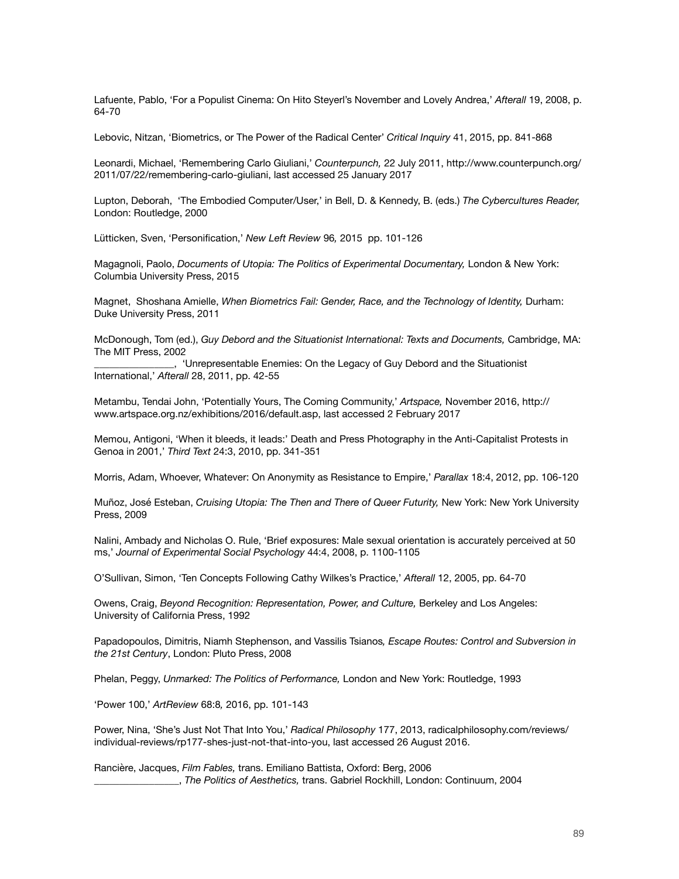Lafuente, Pablo, 'For a Populist Cinema: On Hito Steyerl's November and Lovely Andrea,' *Afterall* 19, 2008, p. 64-70

Lebovic, Nitzan, 'Biometrics, or The Power of the Radical Center' *Critical Inquiry* 41, 2015, pp. 841-868

Leonardi, Michael, 'Remembering Carlo Giuliani,' *Counterpunch,* 22 July 2011, http://www.counterpunch.org/ 2011/07/22/remembering-carlo-giuliani, last accessed 25 January 2017

Lupton, Deborah, 'The Embodied Computer/User,' in Bell, D. & Kennedy, B. (eds.) *The Cybercultures Reader,*  London: Routledge, 2000

Lütticken, Sven, 'Personification,' *New Left Review* 96*,* 2015pp. 101-126

Magagnoli, Paolo, *Documents of Utopia: The Politics of Experimental Documentary,* London & New York: Columbia University Press, 2015

Magnet, Shoshana Amielle, *When Biometrics Fail: Gender, Race, and the Technology of Identity,* Durham: Duke University Press, 2011

McDonough, Tom (ed.), *Guy Debord and the Situationist International: Texts and Documents, Cambridge, MA:* The MIT Press, 2002

\_\_\_\_\_\_\_\_\_\_\_\_\_\_\_\_, 'Unrepresentable Enemies: On the Legacy of Guy Debord and the Situationist International,' *Afterall* 28, 2011, pp. 42-55

Metambu, Tendai John, 'Potentially Yours, The Coming Community,' *Artspace,* November 2016, http:// www.artspace.org.nz/exhibitions/2016/default.asp, last accessed 2 February 2017

Memou, Antigoni, 'When it bleeds, it leads:' Death and Press Photography in the Anti-Capitalist Protests in Genoa in 2001,' *Third Text* 24:3, 2010, pp. 341-351

Morris, Adam, Whoever, Whatever: On Anonymity as Resistance to Empire,' *Parallax* 18:4, 2012, pp. 106-120

Muñoz, José Esteban, *Cruising Utopia: The Then and There of Queer Futurity*, New York: New York University Press, 2009

Nalini, Ambady and Nicholas O. Rule, 'Brief exposures: Male sexual orientation is accurately perceived at 50 ms,' *Journal of Experimental Social Psychology* 44:4, 2008, p. 1100-1105

O'Sullivan, Simon, 'Ten Concepts Following Cathy Wilkes's Practice,' *Afterall* 12, 2005, pp. 64-70

Owens, Craig, *Beyond Recognition: Representation, Power, and Culture,* Berkeley and Los Angeles: University of California Press, 1992

Papadopoulos, Dimitris, Niamh Stephenson, and Vassilis Tsianos*, Escape Routes: Control and Subversion in the 21st Century*, London: Pluto Press, 2008

Phelan, Peggy, *Unmarked: The Politics of Performance,* London and New York: Routledge, 1993

'Power 100,' *ArtReview* 68:8*,* 2016, pp. 101-143

Power, Nina, 'She's Just Not That Into You,' *Radical Philosophy* 177, 2013, radicalphilosophy.com/reviews/ individual-reviews/rp177-shes-just-not-that-into-you, last accessed 26 August 2016.

Rancière, Jacques, *Film Fables,* trans. Emiliano Battista, Oxford: Berg, 2006 \_\_\_\_\_\_\_\_\_\_\_\_\_\_\_\_\_, *The Politics of Aesthetics,* trans. Gabriel Rockhill, London: Continuum, 2004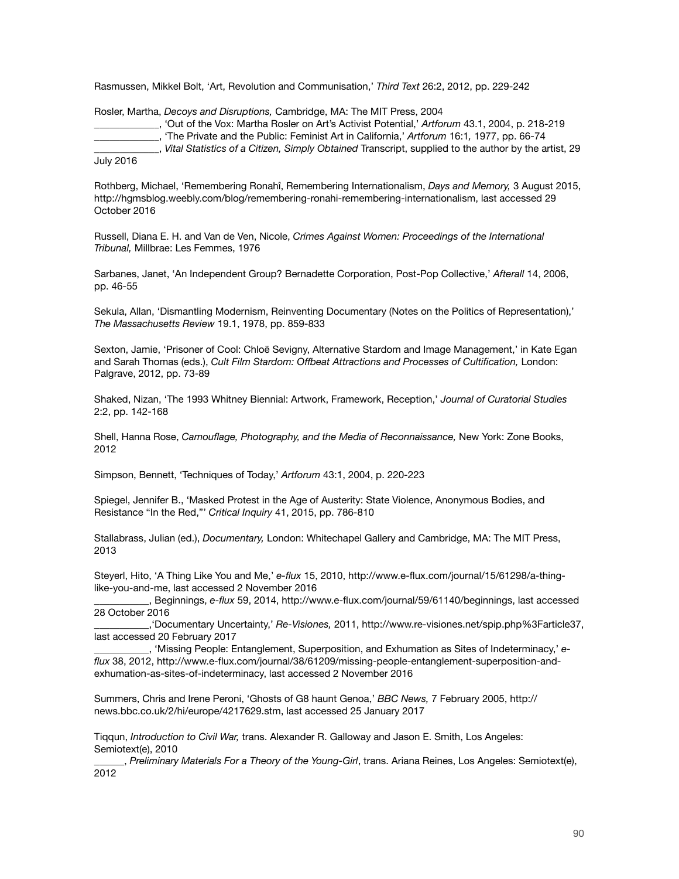Rasmussen, Mikkel Bolt, 'Art, Revolution and Communisation,' *Third Text* 26:2, 2012, pp. 229-242

Rosler, Martha, *Decoys and Disruptions,* Cambridge, MA: The MIT Press, 2004

\_\_\_\_\_\_\_\_\_\_\_\_\_, 'Out of the Vox: Martha Rosler on Art's Activist Potential,' *Artforum* 43.1, 2004, p. 218-219

\_\_\_\_\_\_\_\_\_\_\_\_\_, 'The Private and the Public: Feminist Art in California,' *Artforum* 16:1*,* 1977, pp. 66-74

\_\_\_\_\_\_\_\_\_\_\_\_\_, *Vital Statistics of a Citizen, Simply Obtained* Transcript, supplied to the author by the artist, 29 July 2016

Rothberg, Michael, 'Remembering Ronahî, Remembering Internationalism, *Days and Memory,* 3 August 2015, http://hgmsblog.weebly.com/blog/remembering-ronahi-remembering-internationalism, last accessed 29 October 2016

Russell, Diana E. H. and Van de Ven, Nicole, *Crimes Against Women: Proceedings of the International Tribunal,* Millbrae: Les Femmes, 1976

Sarbanes, Janet, 'An Independent Group? Bernadette Corporation, Post-Pop Collective,' *Afterall* 14, 2006, pp. 46-55

Sekula, Allan, 'Dismantling Modernism, Reinventing Documentary (Notes on the Politics of Representation),' *The Massachusetts Review* 19.1, 1978, pp. 859-833

Sexton, Jamie, 'Prisoner of Cool: Chloë Sevigny, Alternative Stardom and Image Management,' in Kate Egan and Sarah Thomas (eds.), *Cult Film Stardom: Offbeat Attractions and Processes of Cultification,* London: Palgrave, 2012, pp. 73-89

Shaked, Nizan, 'The 1993 Whitney Biennial: Artwork, Framework, Reception,' *Journal of Curatorial Studies* 2:2, pp. 142-168

Shell, Hanna Rose, *Camouflage, Photography, and the Media of Reconnaissance,* New York: Zone Books, 2012

Simpson, Bennett, 'Techniques of Today,' *Artforum* 43:1, 2004, p. 220-223

Spiegel, Jennifer B., 'Masked Protest in the Age of Austerity: State Violence, Anonymous Bodies, and Resistance "In the Red,"' *Critical Inquiry* 41, 2015, pp. 786-810

Stallabrass, Julian (ed.), *Documentary,* London: Whitechapel Gallery and Cambridge, MA: The MIT Press, 2013

Steyerl, Hito, 'A Thing Like You and Me,' *e-flux* 15, 2010, http://www.e-flux.com/journal/15/61298/a-thinglike-you-and-me, last accessed 2 November 2016

\_\_\_\_\_\_\_\_\_\_\_, Beginnings, *e-flux* 59, 2014, http://www.e-flux.com/journal/59/61140/beginnings, last accessed 28 October 2016

\_\_\_\_\_\_\_\_\_\_\_,'Documentary Uncertainty,' *Re-Visiones,* 2011, http://www.re-visiones.net/spip.php%3Farticle37, last accessed 20 February 2017

\_\_\_\_\_\_\_\_\_\_\_, 'Missing People: Entanglement, Superposition, and Exhumation as Sites of Indeterminacy,' *eflux* 38, 2012, http://www.e-flux.com/journal/38/61209/missing-people-entanglement-superposition-andexhumation-as-sites-of-indeterminacy, last accessed 2 November 2016

Summers, Chris and Irene Peroni, 'Ghosts of G8 haunt Genoa,' *BBC News,* 7 February 2005, http:// news.bbc.co.uk/2/hi/europe/4217629.stm, last accessed 25 January 2017

Tiqqun, *Introduction to Civil War,* trans. Alexander R. Galloway and Jason E. Smith, Los Angeles: Semiotext(e), 2010

\_\_\_\_\_\_, *Preliminary Materials For a Theory of the Young-Girl*, trans. Ariana Reines, Los Angeles: Semiotext(e), 2012